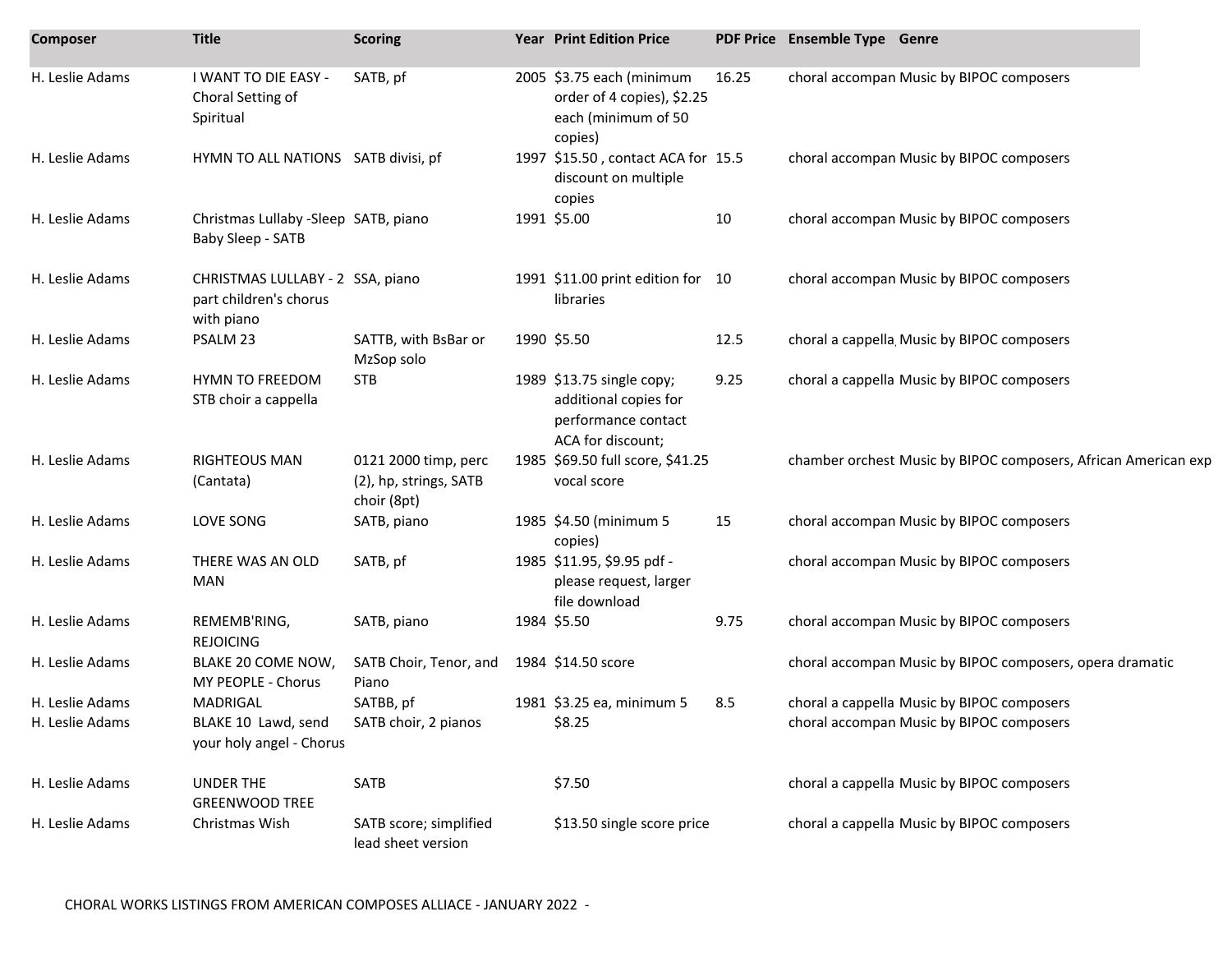| <b>Composer</b> | <b>Title</b>                                                             | <b>Scoring</b>                                                | <b>Year Print Edition Price</b>                                                                |       | PDF Price Ensemble Type Genre                                  |
|-----------------|--------------------------------------------------------------------------|---------------------------------------------------------------|------------------------------------------------------------------------------------------------|-------|----------------------------------------------------------------|
| H. Leslie Adams | I WANT TO DIE EASY -<br>Choral Setting of<br>Spiritual                   | SATB, pf                                                      | 2005 \$3.75 each (minimum<br>order of 4 copies), \$2.25<br>each (minimum of 50<br>copies)      | 16.25 | choral accompan Music by BIPOC composers                       |
| H. Leslie Adams | HYMN TO ALL NATIONS SATB divisi, pf                                      |                                                               | 1997 \$15.50, contact ACA for 15.5<br>discount on multiple<br>copies                           |       | choral accompan Music by BIPOC composers                       |
| H. Leslie Adams | Christmas Lullaby -Sleep SATB, piano<br>Baby Sleep - SATB                |                                                               | 1991 \$5.00                                                                                    | 10    | choral accompan Music by BIPOC composers                       |
| H. Leslie Adams | CHRISTMAS LULLABY - 2 SSA, piano<br>part children's chorus<br>with piano |                                                               | 1991 \$11.00 print edition for 10<br>libraries                                                 |       | choral accompan Music by BIPOC composers                       |
| H. Leslie Adams | PSALM 23                                                                 | SATTB, with BsBar or<br>MzSop solo                            | 1990 \$5.50                                                                                    | 12.5  | choral a cappella, Music by BIPOC composers                    |
| H. Leslie Adams | <b>HYMN TO FREEDOM</b><br>STB choir a cappella                           | <b>STB</b>                                                    | 1989 \$13.75 single copy;<br>additional copies for<br>performance contact<br>ACA for discount; | 9.25  | choral a cappella Music by BIPOC composers                     |
| H. Leslie Adams | <b>RIGHTEOUS MAN</b><br>(Cantata)                                        | 0121 2000 timp, perc<br>(2), hp, strings, SATB<br>choir (8pt) | 1985 \$69.50 full score, \$41.25<br>vocal score                                                |       | chamber orchest Music by BIPOC composers, African American exp |
| H. Leslie Adams | LOVE SONG                                                                | SATB, piano                                                   | 1985 \$4.50 (minimum 5<br>copies)                                                              | 15    | choral accompan Music by BIPOC composers                       |
| H. Leslie Adams | THERE WAS AN OLD<br><b>MAN</b>                                           | SATB, pf                                                      | 1985 \$11.95, \$9.95 pdf -<br>please request, larger<br>file download                          |       | choral accompan Music by BIPOC composers                       |
| H. Leslie Adams | REMEMB'RING,<br><b>REJOICING</b>                                         | SATB, piano                                                   | 1984 \$5.50                                                                                    | 9.75  | choral accompan Music by BIPOC composers                       |
| H. Leslie Adams | BLAKE 20 COME NOW,<br>MY PEOPLE - Chorus                                 | SATB Choir, Tenor, and<br>Piano                               | 1984 \$14.50 score                                                                             |       | choral accompan Music by BIPOC composers, opera dramatic       |
| H. Leslie Adams | MADRIGAL                                                                 | SATBB, pf                                                     | 1981 \$3.25 ea, minimum 5                                                                      | 8.5   | choral a cappella Music by BIPOC composers                     |
| H. Leslie Adams | BLAKE 10 Lawd, send<br>your holy angel - Chorus                          | SATB choir, 2 pianos                                          | \$8.25                                                                                         |       | choral accompan Music by BIPOC composers                       |
| H. Leslie Adams | UNDER THE<br><b>GREENWOOD TREE</b>                                       | SATB                                                          | \$7.50                                                                                         |       | choral a cappella Music by BIPOC composers                     |
| H. Leslie Adams | Christmas Wish                                                           | SATB score; simplified<br>lead sheet version                  | \$13.50 single score price                                                                     |       | choral a cappella Music by BIPOC composers                     |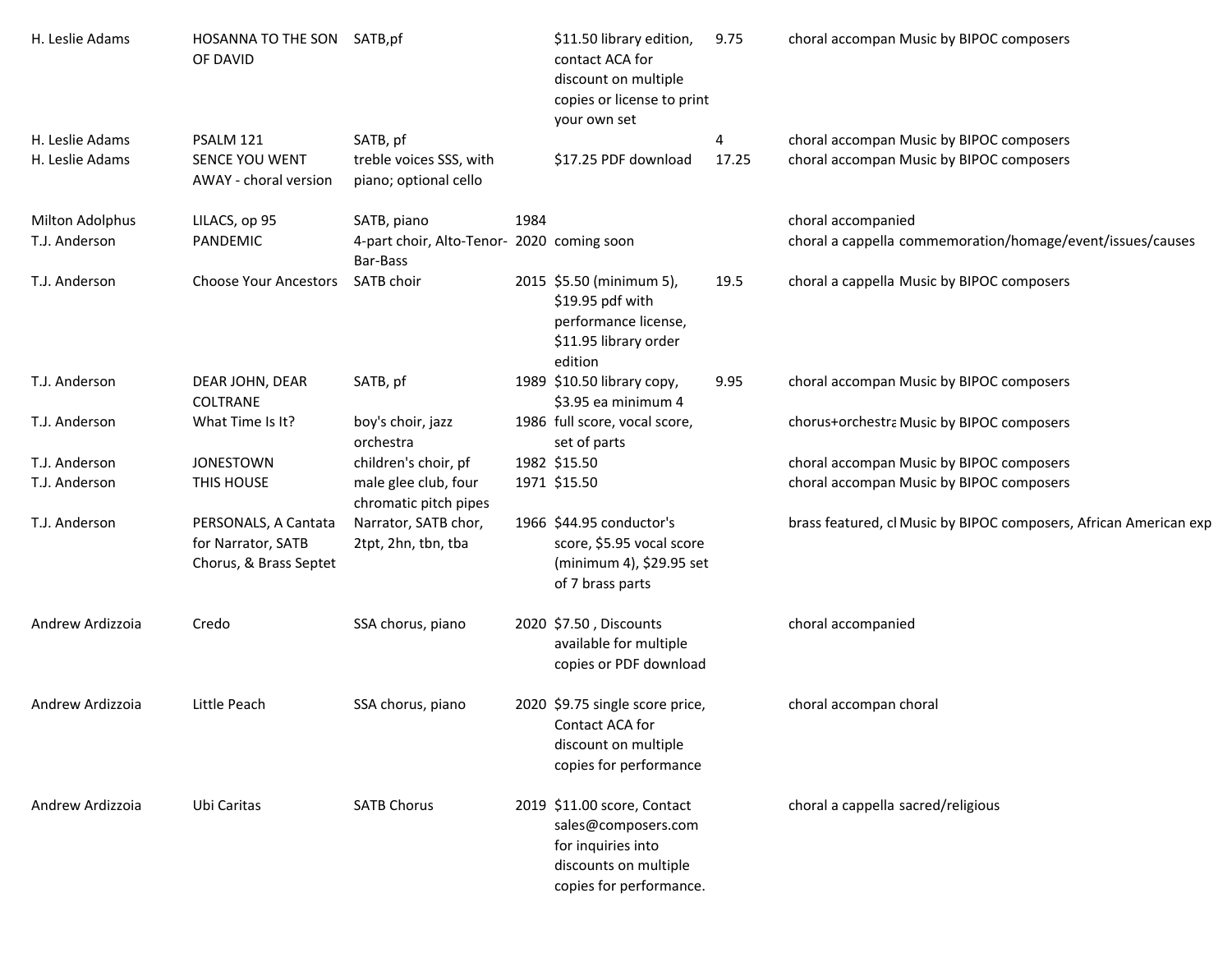| H. Leslie Adams                    | HOSANNA TO THE SON SATB, pf<br>OF DAVID                              |                                                        |      | \$11.50 library edition,<br>contact ACA for<br>discount on multiple<br>copies or license to print<br>your own set            | 9.75       | choral accompan Music by BIPOC composers                                             |
|------------------------------------|----------------------------------------------------------------------|--------------------------------------------------------|------|------------------------------------------------------------------------------------------------------------------------------|------------|--------------------------------------------------------------------------------------|
| H. Leslie Adams<br>H. Leslie Adams | PSALM 121<br>SENCE YOU WENT                                          | SATB, pf<br>treble voices SSS, with                    |      | \$17.25 PDF download                                                                                                         | 4<br>17.25 | choral accompan Music by BIPOC composers<br>choral accompan Music by BIPOC composers |
|                                    | AWAY - choral version                                                | piano; optional cello                                  |      |                                                                                                                              |            |                                                                                      |
| Milton Adolphus                    | LILACS, op 95                                                        | SATB, piano                                            | 1984 |                                                                                                                              |            | choral accompanied                                                                   |
| T.J. Anderson                      | PANDEMIC                                                             | 4-part choir, Alto-Tenor- 2020 coming soon<br>Bar-Bass |      |                                                                                                                              |            | choral a cappella commemoration/homage/event/issues/causes                           |
| T.J. Anderson                      | <b>Choose Your Ancestors</b>                                         | SATB choir                                             |      | 2015 \$5.50 (minimum 5),<br>\$19.95 pdf with<br>performance license,<br>\$11.95 library order<br>edition                     | 19.5       | choral a cappella Music by BIPOC composers                                           |
| T.J. Anderson                      | DEAR JOHN, DEAR<br>COLTRANE                                          | SATB, pf                                               |      | 1989 \$10.50 library copy,<br>\$3.95 ea minimum 4                                                                            | 9.95       | choral accompan Music by BIPOC composers                                             |
| T.J. Anderson                      | What Time Is It?                                                     | boy's choir, jazz<br>orchestra                         |      | 1986 full score, vocal score,<br>set of parts                                                                                |            | chorus+orchestra Music by BIPOC composers                                            |
| T.J. Anderson                      | <b>JONESTOWN</b>                                                     | children's choir, pf                                   |      | 1982 \$15.50                                                                                                                 |            | choral accompan Music by BIPOC composers                                             |
| T.J. Anderson                      | THIS HOUSE                                                           | male glee club, four<br>chromatic pitch pipes          |      | 1971 \$15.50                                                                                                                 |            | choral accompan Music by BIPOC composers                                             |
| T.J. Anderson                      | PERSONALS, A Cantata<br>for Narrator, SATB<br>Chorus, & Brass Septet | Narrator, SATB chor,<br>2tpt, 2hn, tbn, tba            |      | 1966 \$44.95 conductor's<br>score, \$5.95 vocal score<br>(minimum 4), \$29.95 set<br>of 7 brass parts                        |            | brass featured, cl Music by BIPOC composers, African American exp                    |
| Andrew Ardizzoia                   | Credo                                                                | SSA chorus, piano                                      |      | 2020 \$7.50, Discounts<br>available for multiple<br>copies or PDF download                                                   |            | choral accompanied                                                                   |
| Andrew Ardizzoia                   | Little Peach                                                         | SSA chorus, piano                                      |      | 2020 \$9.75 single score price,<br>Contact ACA for<br>discount on multiple<br>copies for performance                         |            | choral accompan choral                                                               |
| Andrew Ardizzoia                   | Ubi Caritas                                                          | <b>SATB Chorus</b>                                     |      | 2019 \$11.00 score, Contact<br>sales@composers.com<br>for inquiries into<br>discounts on multiple<br>copies for performance. |            | choral a cappella sacred/religious                                                   |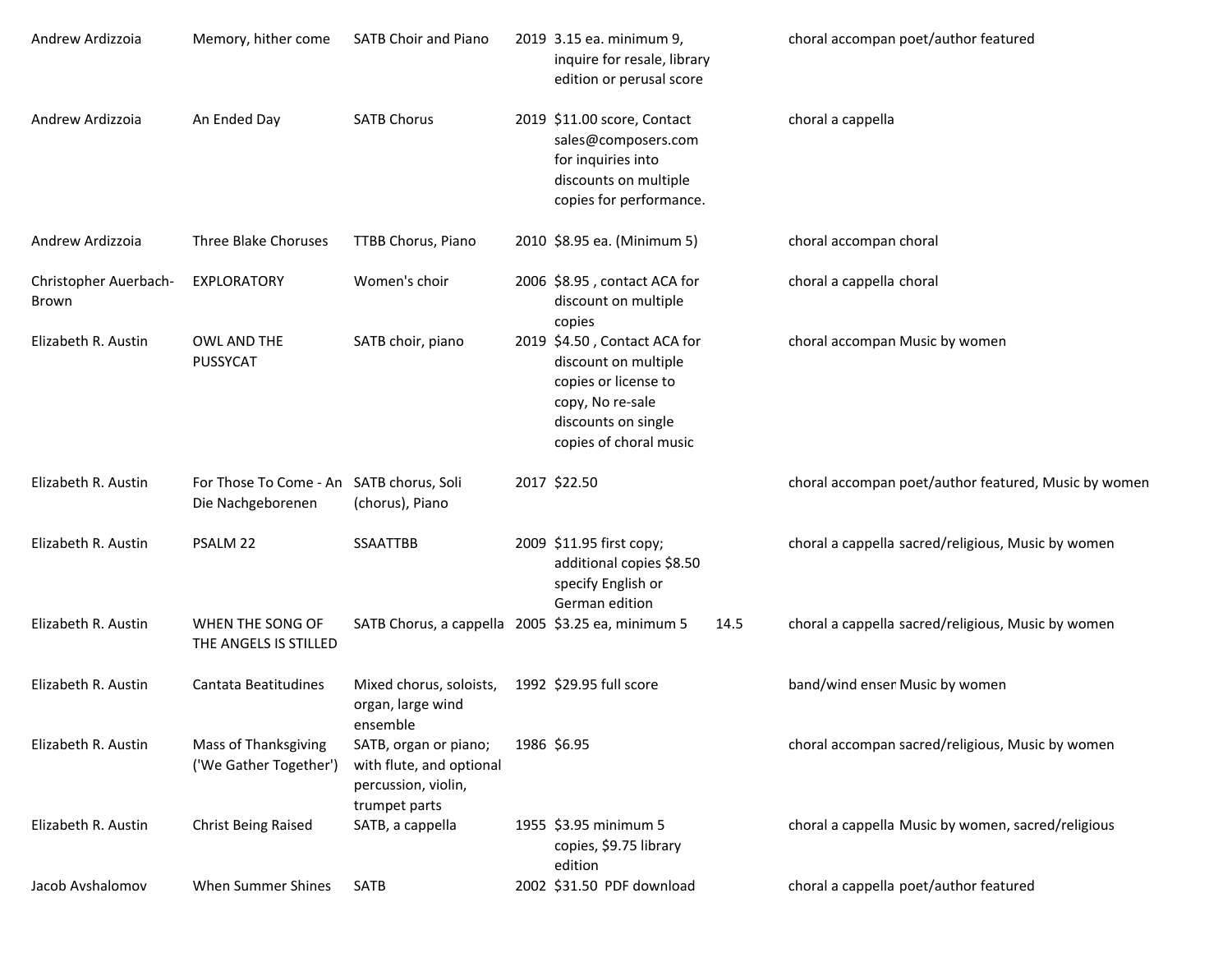| Andrew Ardizzoia               | Memory, hither come                                           | <b>SATB Choir and Piano</b>                                                               | 2019 3.15 ea. minimum 9,<br>inquire for resale, library<br>edition or perusal score                                                               |      | choral accompan poet/author featured                 |
|--------------------------------|---------------------------------------------------------------|-------------------------------------------------------------------------------------------|---------------------------------------------------------------------------------------------------------------------------------------------------|------|------------------------------------------------------|
| Andrew Ardizzoia               | An Ended Day                                                  | <b>SATB Chorus</b>                                                                        | 2019 \$11.00 score, Contact<br>sales@composers.com<br>for inquiries into<br>discounts on multiple<br>copies for performance.                      |      | choral a cappella                                    |
| Andrew Ardizzoia               | Three Blake Choruses                                          | TTBB Chorus, Piano                                                                        | 2010 \$8.95 ea. (Minimum 5)                                                                                                                       |      | choral accompan choral                               |
| Christopher Auerbach-<br>Brown | EXPLORATORY                                                   | Women's choir                                                                             | 2006 \$8.95, contact ACA for<br>discount on multiple<br>copies                                                                                    |      | choral a cappella choral                             |
| Elizabeth R. Austin            | OWL AND THE<br>PUSSYCAT                                       | SATB choir, piano                                                                         | 2019 \$4.50, Contact ACA for<br>discount on multiple<br>copies or license to<br>copy, No re-sale<br>discounts on single<br>copies of choral music |      | choral accompan Music by women                       |
| Elizabeth R. Austin            | For Those To Come - An SATB chorus, Soli<br>Die Nachgeborenen | (chorus), Piano                                                                           | 2017 \$22.50                                                                                                                                      |      | choral accompan poet/author featured, Music by women |
| Elizabeth R. Austin            | PSALM 22                                                      | <b>SSAATTBB</b>                                                                           | 2009 \$11.95 first copy;<br>additional copies \$8.50<br>specify English or<br>German edition                                                      |      | choral a cappella sacred/religious, Music by women   |
| Elizabeth R. Austin            | WHEN THE SONG OF<br>THE ANGELS IS STILLED                     | SATB Chorus, a cappella 2005 \$3.25 ea, minimum 5                                         |                                                                                                                                                   | 14.5 | choral a cappella sacred/religious, Music by women   |
| Elizabeth R. Austin            | Cantata Beatitudines                                          | Mixed chorus, soloists,<br>organ, large wind<br>ensemble                                  | 1992 \$29.95 full score                                                                                                                           |      | band/wind ensen Music by women                       |
| Elizabeth R. Austin            | Mass of Thanksgiving<br>('We Gather Together')                | SATB, organ or piano;<br>with flute, and optional<br>percussion, violin,<br>trumpet parts | 1986 \$6.95                                                                                                                                       |      | choral accompan sacred/religious, Music by women     |
| Elizabeth R. Austin            | <b>Christ Being Raised</b>                                    | SATB, a cappella                                                                          | 1955 \$3.95 minimum 5<br>copies, \$9.75 library<br>edition                                                                                        |      | choral a cappella Music by women, sacred/religious   |
| Jacob Avshalomov               | When Summer Shines                                            | SATB                                                                                      | 2002 \$31.50 PDF download                                                                                                                         |      | choral a cappella poet/author featured               |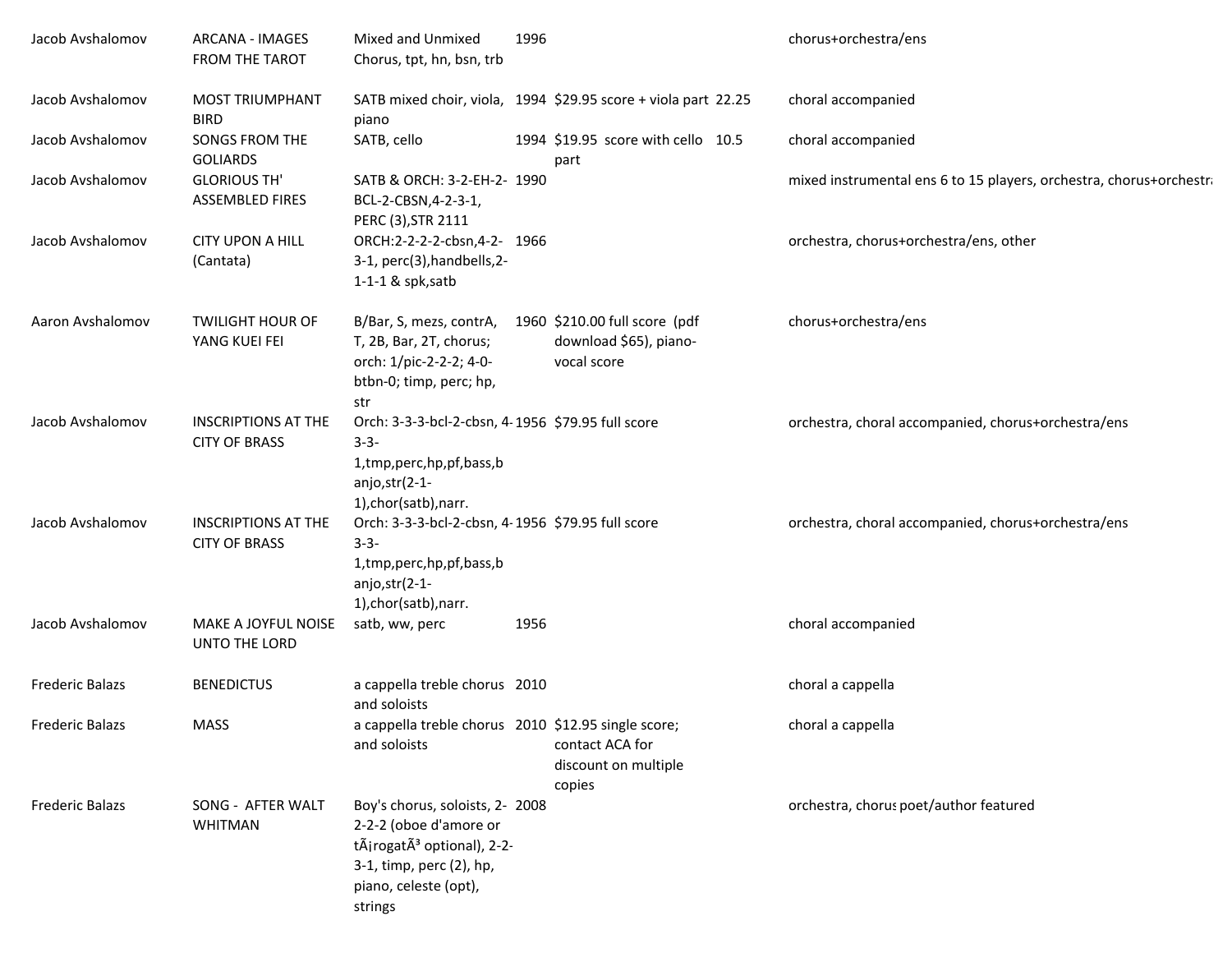| Jacob Avshalomov       | <b>ARCANA - IMAGES</b><br>FROM THE TAROT           | Mixed and Unmixed<br>Chorus, tpt, hn, bsn, trb                                                                                                                      | 1996 |                                                                        | chorus+orchestra/ens                                                |
|------------------------|----------------------------------------------------|---------------------------------------------------------------------------------------------------------------------------------------------------------------------|------|------------------------------------------------------------------------|---------------------------------------------------------------------|
| Jacob Avshalomov       | <b>MOST TRIUMPHANT</b><br><b>BIRD</b>              | piano                                                                                                                                                               |      | SATB mixed choir, viola, 1994 \$29.95 score + viola part 22.25         | choral accompanied                                                  |
| Jacob Avshalomov       | <b>SONGS FROM THE</b><br><b>GOLIARDS</b>           | SATB, cello                                                                                                                                                         |      | 1994 \$19.95 score with cello 10.5<br>part                             | choral accompanied                                                  |
| Jacob Avshalomov       | <b>GLORIOUS TH'</b><br><b>ASSEMBLED FIRES</b>      | SATB & ORCH: 3-2-EH-2- 1990<br>BCL-2-CBSN,4-2-3-1,<br>PERC (3), STR 2111                                                                                            |      |                                                                        | mixed instrumental ens 6 to 15 players, orchestra, chorus+orchestra |
| Jacob Avshalomov       | <b>CITY UPON A HILL</b><br>(Cantata)               | ORCH:2-2-2-2-cbsn,4-2- 1966<br>3-1, perc(3), handbells, 2-<br>$1-1-1$ & spk, satb                                                                                   |      |                                                                        | orchestra, chorus+orchestra/ens, other                              |
| Aaron Avshalomov       | <b>TWILIGHT HOUR OF</b><br>YANG KUEI FEI           | B/Bar, S, mezs, contrA,<br>T, 2B, Bar, 2T, chorus;<br>orch: 1/pic-2-2-2; 4-0-<br>btbn-0; timp, perc; hp,<br>str                                                     |      | 1960 \$210.00 full score (pdf<br>download \$65), piano-<br>vocal score | chorus+orchestra/ens                                                |
| Jacob Avshalomov       | <b>INSCRIPTIONS AT THE</b><br><b>CITY OF BRASS</b> | Orch: 3-3-3-bcl-2-cbsn, 4-1956 \$79.95 full score<br>$3 - 3 -$<br>1,tmp,perc,hp,pf,bass,b<br>anjo,str(2-1-<br>1), chor(satb), narr.                                 |      |                                                                        | orchestra, choral accompanied, chorus+orchestra/ens                 |
| Jacob Avshalomov       | <b>INSCRIPTIONS AT THE</b><br><b>CITY OF BRASS</b> | Orch: 3-3-3-bcl-2-cbsn, 4-1956 \$79.95 full score<br>$3 - 3 -$<br>1,tmp,perc,hp,pf,bass,b<br>anjo,str(2-1-<br>1), chor(satb), narr.                                 |      |                                                                        | orchestra, choral accompanied, chorus+orchestra/ens                 |
| Jacob Avshalomov       | MAKE A JOYFUL NOISE<br>UNTO THE LORD               | satb, ww, perc                                                                                                                                                      | 1956 |                                                                        | choral accompanied                                                  |
| <b>Frederic Balazs</b> | <b>BENEDICTUS</b>                                  | a cappella treble chorus 2010<br>and soloists                                                                                                                       |      |                                                                        | choral a cappella                                                   |
| <b>Frederic Balazs</b> | <b>MASS</b>                                        | a cappella treble chorus 2010 \$12.95 single score;<br>and soloists                                                                                                 |      | contact ACA for<br>discount on multiple<br>copies                      | choral a cappella                                                   |
| <b>Frederic Balazs</b> | SONG - AFTER WALT<br><b>WHITMAN</b>                | Boy's chorus, soloists, 2- 2008<br>2-2-2 (oboe d'amore or<br>tÃirogatÃ <sup>3</sup> optional), 2-2-<br>3-1, timp, perc (2), hp,<br>piano, celeste (opt),<br>strings |      |                                                                        | orchestra, chorus poet/author featured                              |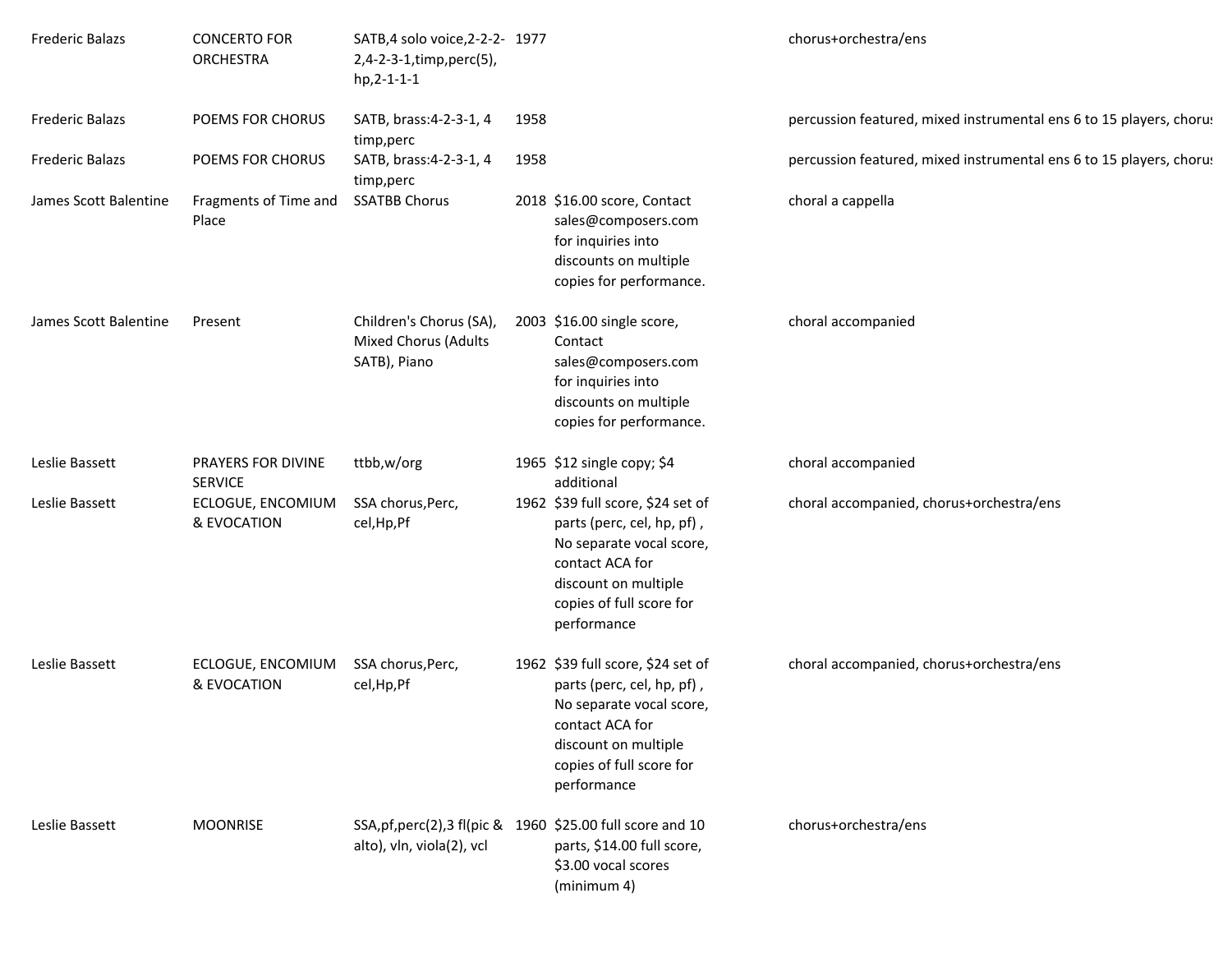| <b>Frederic Balazs</b> | <b>CONCERTO FOR</b><br><b>ORCHESTRA</b> | SATB, 4 solo voice, 2-2-2- 1977<br>2,4-2-3-1,timp,perc(5),<br>$hp, 2-1-1-1$              |      |                                                                                                                                                                                   | chorus+orchestra/ens                                                |
|------------------------|-----------------------------------------|------------------------------------------------------------------------------------------|------|-----------------------------------------------------------------------------------------------------------------------------------------------------------------------------------|---------------------------------------------------------------------|
| <b>Frederic Balazs</b> | POEMS FOR CHORUS                        | SATB, brass: 4-2-3-1, 4<br>timp, perc                                                    | 1958 |                                                                                                                                                                                   | percussion featured, mixed instrumental ens 6 to 15 players, chorus |
| <b>Frederic Balazs</b> | POEMS FOR CHORUS                        | SATB, brass: 4-2-3-1, 4<br>timp,perc                                                     | 1958 |                                                                                                                                                                                   | percussion featured, mixed instrumental ens 6 to 15 players, chorus |
| James Scott Balentine  | Fragments of Time and<br>Place          | <b>SSATBB Chorus</b>                                                                     |      | 2018 \$16.00 score, Contact<br>sales@composers.com<br>for inquiries into<br>discounts on multiple<br>copies for performance.                                                      | choral a cappella                                                   |
| James Scott Balentine  | Present                                 | Children's Chorus (SA),<br><b>Mixed Chorus (Adults</b><br>SATB), Piano                   |      | 2003 \$16.00 single score,<br>Contact<br>sales@composers.com<br>for inquiries into<br>discounts on multiple<br>copies for performance.                                            | choral accompanied                                                  |
| Leslie Bassett         | PRAYERS FOR DIVINE<br><b>SERVICE</b>    | ttbb,w/org                                                                               |      | 1965 \$12 single copy; \$4<br>additional                                                                                                                                          | choral accompanied                                                  |
| Leslie Bassett         | ECLOGUE, ENCOMIUM<br>& EVOCATION        | SSA chorus, Perc,<br>cel, Hp, Pf                                                         |      | 1962 \$39 full score, \$24 set of<br>parts (perc, cel, hp, pf),<br>No separate vocal score,<br>contact ACA for<br>discount on multiple<br>copies of full score for<br>performance | choral accompanied, chorus+orchestra/ens                            |
| Leslie Bassett         | ECLOGUE, ENCOMIUM<br>& EVOCATION        | SSA chorus, Perc,<br>cel, Hp, Pf                                                         |      | 1962 \$39 full score, \$24 set of<br>parts (perc, cel, hp, pf),<br>No separate vocal score,<br>contact ACA for<br>discount on multiple<br>copies of full score for<br>performance | choral accompanied, chorus+orchestra/ens                            |
| Leslie Bassett         | <b>MOONRISE</b>                         | SSA, pf, perc(2), 3 fl(pic & 1960 \$25.00 full score and 10<br>alto), vln, viola(2), vcl |      | parts, \$14.00 full score,<br>\$3.00 vocal scores<br>(minimum 4)                                                                                                                  | chorus+orchestra/ens                                                |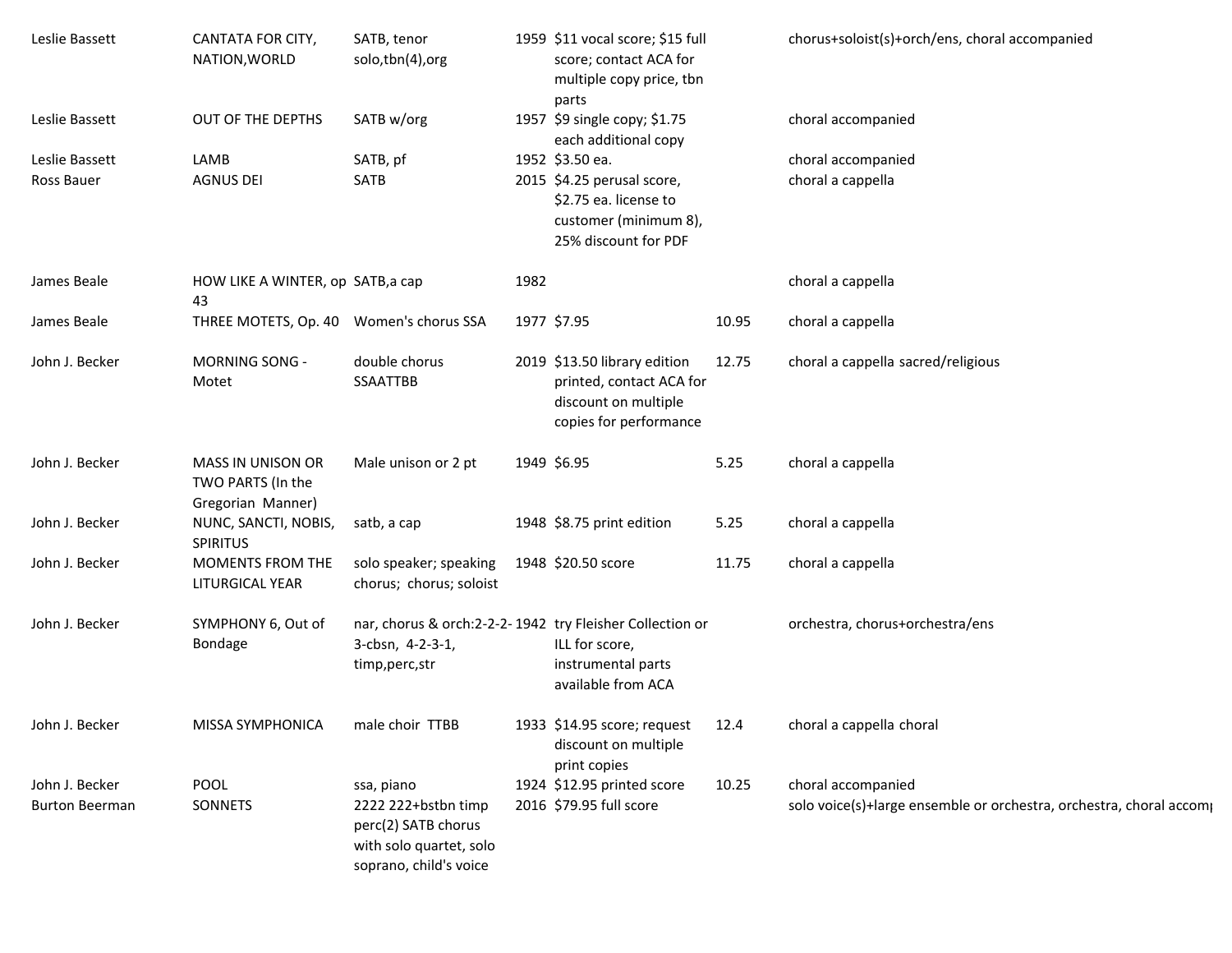| Leslie Bassett                          | CANTATA FOR CITY,<br>NATION, WORLD                          | SATB, tenor<br>solo,tbn(4),org                                                                                |      | 1959 \$11 vocal score; \$15 full<br>score; contact ACA for<br>multiple copy price, tbn<br>parts                        |       | chorus+soloist(s)+orch/ens, choral accompanied                                            |
|-----------------------------------------|-------------------------------------------------------------|---------------------------------------------------------------------------------------------------------------|------|------------------------------------------------------------------------------------------------------------------------|-------|-------------------------------------------------------------------------------------------|
| Leslie Bassett                          | OUT OF THE DEPTHS                                           | SATB w/org                                                                                                    |      | 1957 \$9 single copy; \$1.75<br>each additional copy                                                                   |       | choral accompanied                                                                        |
| Leslie Bassett                          | LAMB                                                        | SATB, pf                                                                                                      |      | 1952 \$3.50 ea.                                                                                                        |       | choral accompanied                                                                        |
| Ross Bauer                              | <b>AGNUS DEI</b>                                            | SATB                                                                                                          |      | 2015 \$4.25 perusal score,<br>\$2.75 ea. license to<br>customer (minimum 8),<br>25% discount for PDF                   |       | choral a cappella                                                                         |
| James Beale                             | HOW LIKE A WINTER, op SATB, a cap<br>43                     |                                                                                                               | 1982 |                                                                                                                        |       | choral a cappella                                                                         |
| James Beale                             | THREE MOTETS, Op. 40 Women's chorus SSA                     |                                                                                                               |      | 1977 \$7.95                                                                                                            | 10.95 | choral a cappella                                                                         |
| John J. Becker                          | <b>MORNING SONG -</b><br>Motet                              | double chorus<br><b>SSAATTBB</b>                                                                              |      | 2019 \$13.50 library edition<br>printed, contact ACA for<br>discount on multiple<br>copies for performance             | 12.75 | choral a cappella sacred/religious                                                        |
| John J. Becker                          | MASS IN UNISON OR<br>TWO PARTS (In the<br>Gregorian Manner) | Male unison or 2 pt                                                                                           |      | 1949 \$6.95                                                                                                            | 5.25  | choral a cappella                                                                         |
| John J. Becker                          | NUNC, SANCTI, NOBIS,<br><b>SPIRITUS</b>                     | satb, a cap                                                                                                   |      | 1948 \$8.75 print edition                                                                                              | 5.25  | choral a cappella                                                                         |
| John J. Becker                          | <b>MOMENTS FROM THE</b><br>LITURGICAL YEAR                  | solo speaker; speaking<br>chorus; chorus; soloist                                                             |      | 1948 \$20.50 score                                                                                                     | 11.75 | choral a cappella                                                                         |
| John J. Becker                          | SYMPHONY 6, Out of<br>Bondage                               | 3-cbsn, 4-2-3-1,<br>timp,perc,str                                                                             |      | nar, chorus & orch:2-2-2-1942 try Fleisher Collection or<br>ILL for score,<br>instrumental parts<br>available from ACA |       | orchestra, chorus+orchestra/ens                                                           |
| John J. Becker                          | MISSA SYMPHONICA                                            | male choir TTBB                                                                                               |      | 1933 \$14.95 score; request<br>discount on multiple<br>print copies                                                    | 12.4  | choral a cappella choral                                                                  |
| John J. Becker<br><b>Burton Beerman</b> | POOL<br>SONNETS                                             | ssa, piano<br>2222 222+bstbn timp<br>perc(2) SATB chorus<br>with solo quartet, solo<br>soprano, child's voice |      | 1924 \$12.95 printed score<br>2016 \$79.95 full score                                                                  | 10.25 | choral accompanied<br>solo voice(s)+large ensemble or orchestra, orchestra, choral accomp |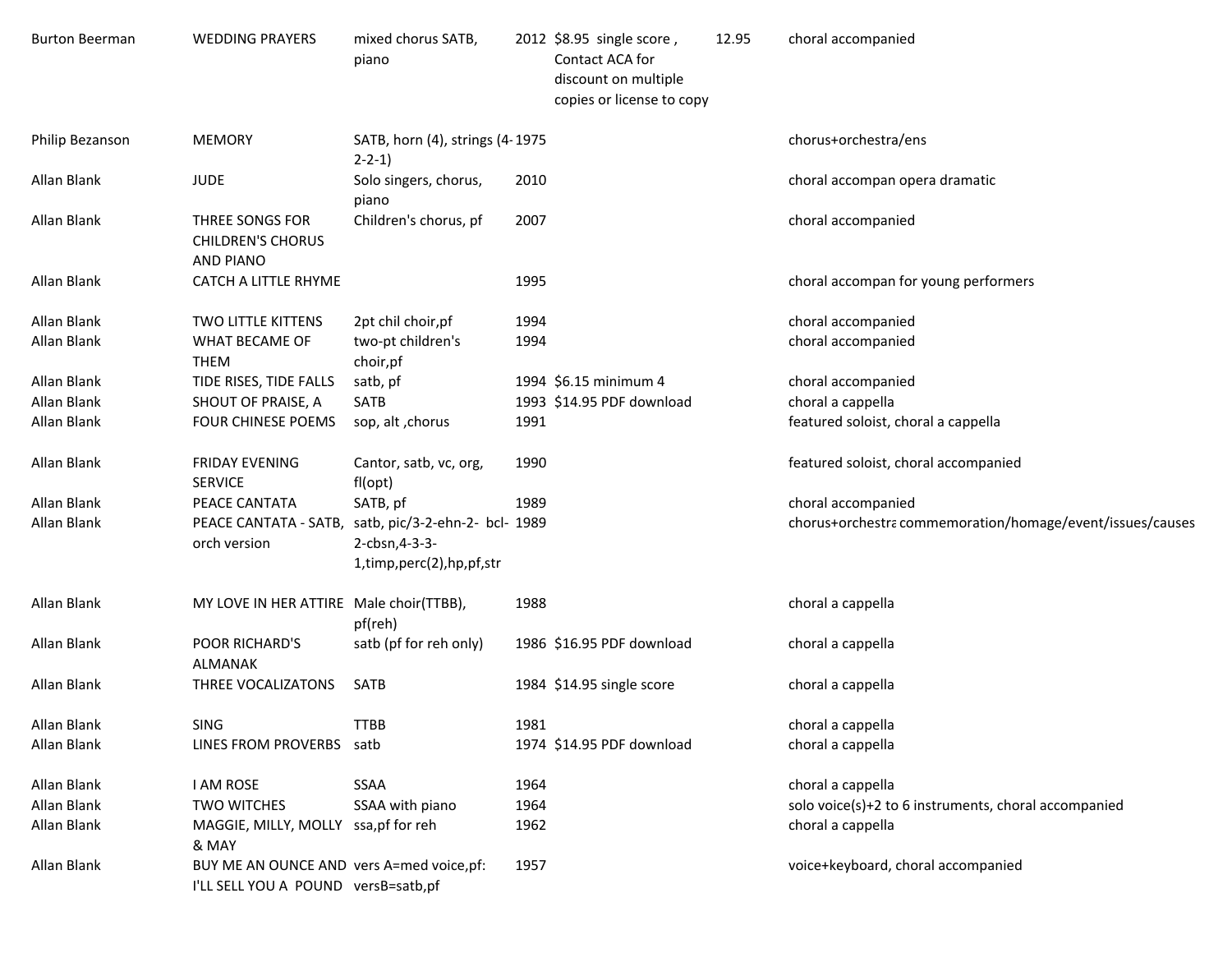| <b>Burton Beerman</b> | <b>WEDDING PRAYERS</b>                                                           | mixed chorus SATB,<br>piano                                                  |      | 2012 \$8.95 single score,<br>Contact ACA for<br>discount on multiple<br>copies or license to copy | 12.95 | choral accompanied                                        |
|-----------------------|----------------------------------------------------------------------------------|------------------------------------------------------------------------------|------|---------------------------------------------------------------------------------------------------|-------|-----------------------------------------------------------|
| Philip Bezanson       | <b>MEMORY</b>                                                                    | SATB, horn (4), strings (4-1975<br>$2 - 2 - 1$                               |      |                                                                                                   |       | chorus+orchestra/ens                                      |
| Allan Blank           | <b>JUDE</b>                                                                      | Solo singers, chorus,<br>piano                                               | 2010 |                                                                                                   |       | choral accompan opera dramatic                            |
| Allan Blank           | THREE SONGS FOR<br><b>CHILDREN'S CHORUS</b><br><b>AND PIANO</b>                  | Children's chorus, pf                                                        | 2007 |                                                                                                   |       | choral accompanied                                        |
| Allan Blank           | CATCH A LITTLE RHYME                                                             |                                                                              | 1995 |                                                                                                   |       | choral accompan for young performers                      |
| Allan Blank           | TWO LITTLE KITTENS                                                               | 2pt chil choir, pf                                                           | 1994 |                                                                                                   |       | choral accompanied                                        |
| Allan Blank           | WHAT BECAME OF<br><b>THEM</b>                                                    | two-pt children's<br>choir, pf                                               | 1994 |                                                                                                   |       | choral accompanied                                        |
| Allan Blank           | TIDE RISES, TIDE FALLS                                                           | satb, pf                                                                     |      | 1994 \$6.15 minimum 4                                                                             |       | choral accompanied                                        |
| Allan Blank           | SHOUT OF PRAISE, A                                                               | SATB                                                                         |      | 1993 \$14.95 PDF download                                                                         |       | choral a cappella                                         |
| Allan Blank           | <b>FOUR CHINESE POEMS</b>                                                        | sop, alt, chorus                                                             | 1991 |                                                                                                   |       | featured soloist, choral a cappella                       |
| Allan Blank           | <b>FRIDAY EVENING</b><br><b>SERVICE</b>                                          | Cantor, satb, vc, org,<br>fl(opt)                                            | 1990 |                                                                                                   |       | featured soloist, choral accompanied                      |
| Allan Blank           | PEACE CANTATA                                                                    | SATB, pf                                                                     | 1989 |                                                                                                   |       | choral accompanied                                        |
| Allan Blank           | PEACE CANTATA - SATB,<br>orch version                                            | satb, pic/3-2-ehn-2- bcl- 1989<br>2-cbsn, 4-3-3-<br>1,timp,perc(2),hp,pf,str |      |                                                                                                   |       | chorus+orchestra commemoration/homage/event/issues/causes |
| Allan Blank           | MY LOVE IN HER ATTIRE Male choir(TTBB),                                          | pf(reh)                                                                      | 1988 |                                                                                                   |       | choral a cappella                                         |
| Allan Blank           | POOR RICHARD'S<br><b>ALMANAK</b>                                                 | satb (pf for reh only)                                                       |      | 1986 \$16.95 PDF download                                                                         |       | choral a cappella                                         |
| Allan Blank           | THREE VOCALIZATONS                                                               | SATB                                                                         |      | 1984 \$14.95 single score                                                                         |       | choral a cappella                                         |
| Allan Blank           | <b>SING</b>                                                                      | <b>TTBB</b>                                                                  | 1981 |                                                                                                   |       | choral a cappella                                         |
| Allan Blank           | LINES FROM PROVERBS satb                                                         |                                                                              |      | 1974 \$14.95 PDF download                                                                         |       | choral a cappella                                         |
| Allan Blank           | <b>I AM ROSE</b>                                                                 | <b>SSAA</b>                                                                  | 1964 |                                                                                                   |       | choral a cappella                                         |
| Allan Blank           | <b>TWO WITCHES</b>                                                               | SSAA with piano                                                              | 1964 |                                                                                                   |       | solo voice(s)+2 to 6 instruments, choral accompanied      |
| Allan Blank           | MAGGIE, MILLY, MOLLY ssa, pf for reh<br>& MAY                                    |                                                                              | 1962 |                                                                                                   |       | choral a cappella                                         |
| Allan Blank           | BUY ME AN OUNCE AND vers A=med voice, pf:<br>I'LL SELL YOU A POUND versB=satb,pf |                                                                              | 1957 |                                                                                                   |       | voice+keyboard, choral accompanied                        |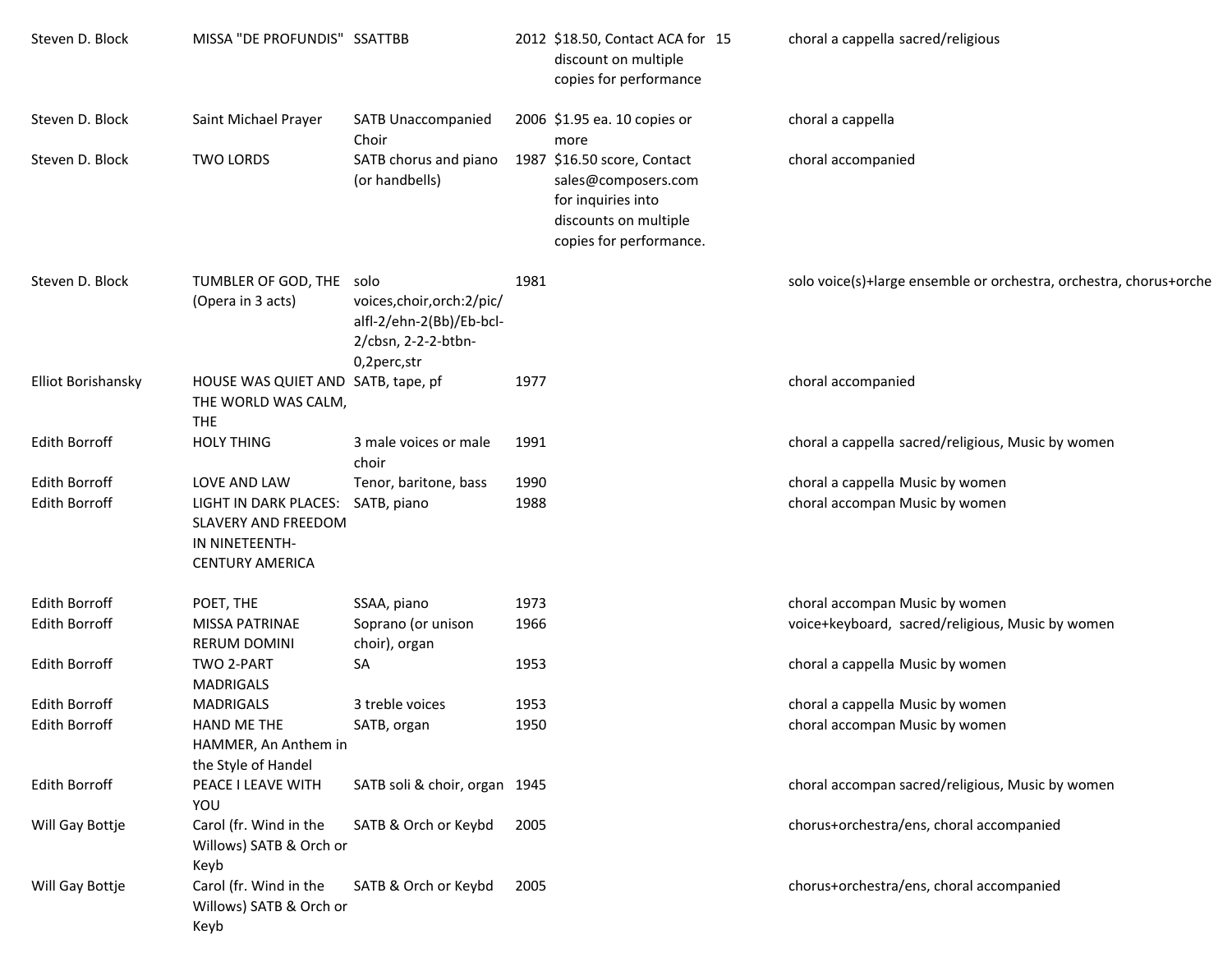| Steven D. Block                              | MISSA "DE PROFUNDIS" SSATTBB                                                                                    |                                                                                               |              | 2012 \$18.50, Contact ACA for 15<br>discount on multiple<br>copies for performance                                           | choral a cappella sacred/religious                                 |
|----------------------------------------------|-----------------------------------------------------------------------------------------------------------------|-----------------------------------------------------------------------------------------------|--------------|------------------------------------------------------------------------------------------------------------------------------|--------------------------------------------------------------------|
| Steven D. Block                              | Saint Michael Prayer                                                                                            | <b>SATB Unaccompanied</b><br>Choir                                                            |              | 2006 \$1.95 ea. 10 copies or<br>more                                                                                         | choral a cappella                                                  |
| Steven D. Block                              | <b>TWO LORDS</b>                                                                                                | SATB chorus and piano<br>(or handbells)                                                       |              | 1987 \$16.50 score, Contact<br>sales@composers.com<br>for inquiries into<br>discounts on multiple<br>copies for performance. | choral accompanied                                                 |
| Steven D. Block                              | TUMBLER OF GOD, THE solo<br>(Opera in 3 acts)                                                                   | voices, choir, orch: 2/pic/<br>alfl-2/ehn-2(Bb)/Eb-bcl-<br>2/cbsn, 2-2-2-btbn-<br>0,2perc,str | 1981         |                                                                                                                              | solo voice(s)+large ensemble or orchestra, orchestra, chorus+orche |
| <b>Elliot Borishansky</b>                    | HOUSE WAS QUIET AND SATB, tape, pf<br>THE WORLD WAS CALM,<br><b>THE</b>                                         |                                                                                               | 1977         |                                                                                                                              | choral accompanied                                                 |
| <b>Edith Borroff</b>                         | <b>HOLY THING</b>                                                                                               | 3 male voices or male<br>choir                                                                | 1991         |                                                                                                                              | choral a cappella sacred/religious, Music by women                 |
| <b>Edith Borroff</b><br><b>Edith Borroff</b> | LOVE AND LAW<br>LIGHT IN DARK PLACES:<br><b>SLAVERY AND FREEDOM</b><br>IN NINETEENTH-<br><b>CENTURY AMERICA</b> | Tenor, baritone, bass<br>SATB, piano                                                          | 1990<br>1988 |                                                                                                                              | choral a cappella Music by women<br>choral accompan Music by women |
| <b>Edith Borroff</b>                         | POET, THE                                                                                                       | SSAA, piano                                                                                   | 1973         |                                                                                                                              | choral accompan Music by women                                     |
| <b>Edith Borroff</b>                         | MISSA PATRINAE<br><b>RERUM DOMINI</b>                                                                           | Soprano (or unison<br>choir), organ                                                           | 1966         |                                                                                                                              | voice+keyboard, sacred/religious, Music by women                   |
| <b>Edith Borroff</b>                         | <b>TWO 2-PART</b><br><b>MADRIGALS</b>                                                                           | SA                                                                                            | 1953         |                                                                                                                              | choral a cappella Music by women                                   |
| Edith Borroff                                | <b>MADRIGALS</b>                                                                                                | 3 treble voices                                                                               | 1953         |                                                                                                                              | choral a cappella Music by women                                   |
| <b>Edith Borroff</b>                         | HAND ME THE<br>HAMMER, An Anthem in<br>the Style of Handel                                                      | SATB, organ                                                                                   | 1950         |                                                                                                                              | choral accompan Music by women                                     |
| <b>Edith Borroff</b>                         | PEACE I LEAVE WITH<br>YOU                                                                                       | SATB soli & choir, organ 1945                                                                 |              |                                                                                                                              | choral accompan sacred/religious, Music by women                   |
| Will Gay Bottje                              | Carol (fr. Wind in the<br>Willows) SATB & Orch or<br>Keyb                                                       | SATB & Orch or Keybd                                                                          | 2005         |                                                                                                                              | chorus+orchestra/ens, choral accompanied                           |
| Will Gay Bottje                              | Carol (fr. Wind in the<br>Willows) SATB & Orch or<br>Keyb                                                       | SATB & Orch or Keybd                                                                          | 2005         |                                                                                                                              | chorus+orchestra/ens, choral accompanied                           |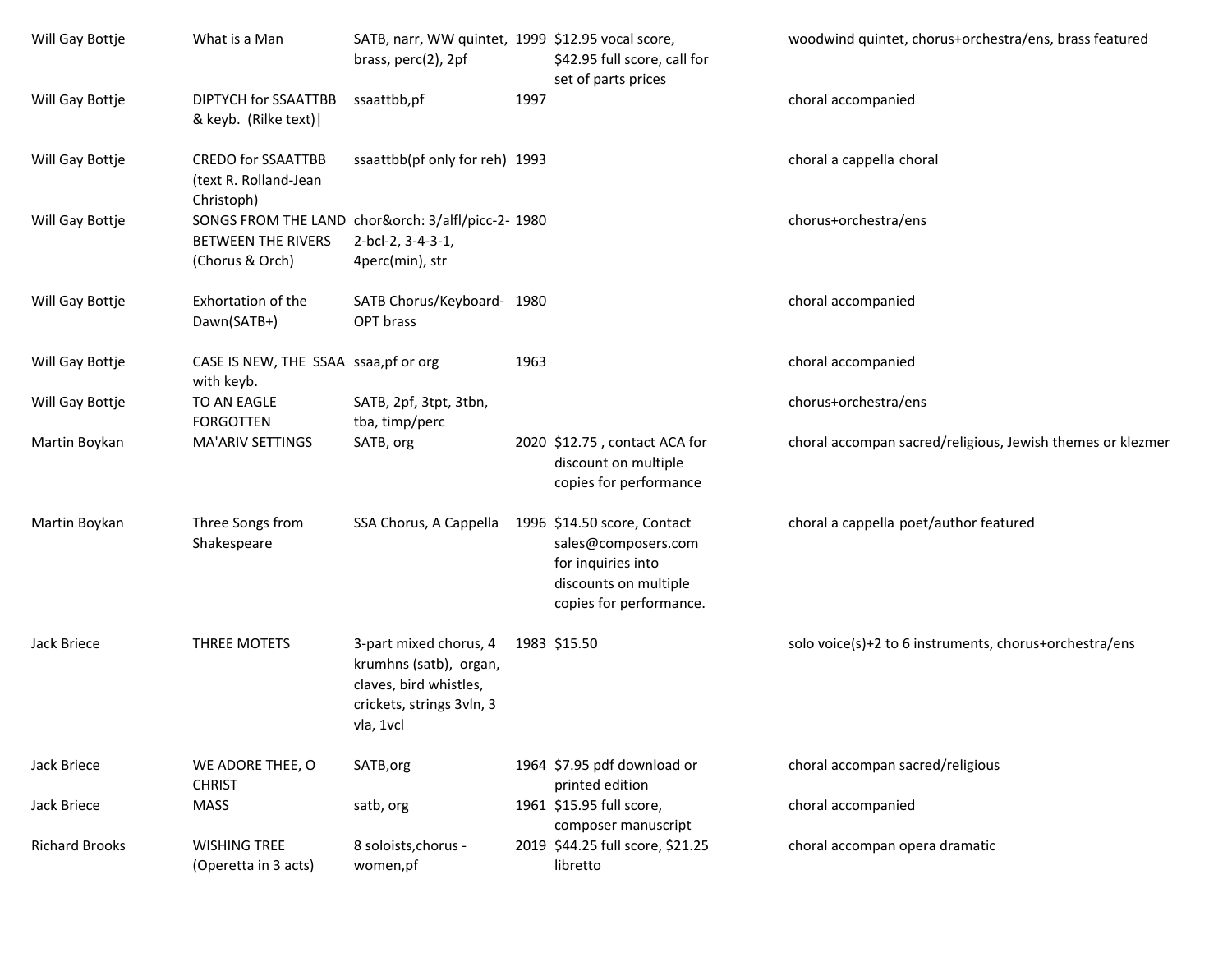| Will Gay Bottje       | What is a Man                                                    | SATB, narr, WW quintet, 1999 \$12.95 vocal score,<br>brass, perc(2), 2pf                                             |      | \$42.95 full score, call for<br>set of parts prices                                           | woodwind quintet, chorus+orchestra/ens, brass featured     |
|-----------------------|------------------------------------------------------------------|----------------------------------------------------------------------------------------------------------------------|------|-----------------------------------------------------------------------------------------------|------------------------------------------------------------|
| Will Gay Bottje       | DIPTYCH for SSAATTBB<br>& keyb. (Rilke text)                     | ssaattbb,pf                                                                                                          | 1997 |                                                                                               | choral accompanied                                         |
| Will Gay Bottje       | <b>CREDO for SSAATTBB</b><br>(text R. Rolland-Jean<br>Christoph) | ssaattbb(pf only for reh) 1993                                                                                       |      |                                                                                               | choral a cappella choral                                   |
| Will Gay Bottje       | <b>BETWEEN THE RIVERS</b><br>(Chorus & Orch)                     | SONGS FROM THE LAND chor&orch: 3/alfl/picc-2- 1980<br>2-bcl-2, 3-4-3-1,<br>4perc(min), str                           |      |                                                                                               | chorus+orchestra/ens                                       |
| Will Gay Bottje       | Exhortation of the<br>Dawn(SATB+)                                | SATB Chorus/Keyboard- 1980<br>OPT brass                                                                              |      |                                                                                               | choral accompanied                                         |
| Will Gay Bottje       | CASE IS NEW, THE SSAA ssaa, pf or org<br>with keyb.              |                                                                                                                      | 1963 |                                                                                               | choral accompanied                                         |
| Will Gay Bottje       | TO AN EAGLE<br><b>FORGOTTEN</b>                                  | SATB, 2pf, 3tpt, 3tbn,<br>tba, timp/perc                                                                             |      |                                                                                               | chorus+orchestra/ens                                       |
| Martin Boykan         | MA'ARIV SETTINGS                                                 | SATB, org                                                                                                            |      | 2020 \$12.75, contact ACA for<br>discount on multiple<br>copies for performance               | choral accompan sacred/religious, Jewish themes or klezmer |
| Martin Boykan         | Three Songs from<br>Shakespeare                                  | SSA Chorus, A Cappella 1996 \$14.50 score, Contact                                                                   |      | sales@composers.com<br>for inquiries into<br>discounts on multiple<br>copies for performance. | choral a cappella poet/author featured                     |
| Jack Briece           | THREE MOTETS                                                     | 3-part mixed chorus, 4<br>krumhns (satb), organ,<br>claves, bird whistles,<br>crickets, strings 3vln, 3<br>vla, 1vcl |      | 1983 \$15.50                                                                                  | solo voice(s)+2 to 6 instruments, chorus+orchestra/ens     |
| Jack Briece           | WE ADORE THEE, O<br><b>CHRIST</b>                                | SATB, org                                                                                                            |      | 1964 \$7.95 pdf download or<br>printed edition                                                | choral accompan sacred/religious                           |
| Jack Briece           | <b>MASS</b>                                                      | satb, org                                                                                                            |      | 1961 \$15.95 full score,<br>composer manuscript                                               | choral accompanied                                         |
| <b>Richard Brooks</b> | <b>WISHING TREE</b><br>(Operetta in 3 acts)                      | 8 soloists, chorus -<br>women,pf                                                                                     |      | 2019 \$44.25 full score, \$21.25<br>libretto                                                  | choral accompan opera dramatic                             |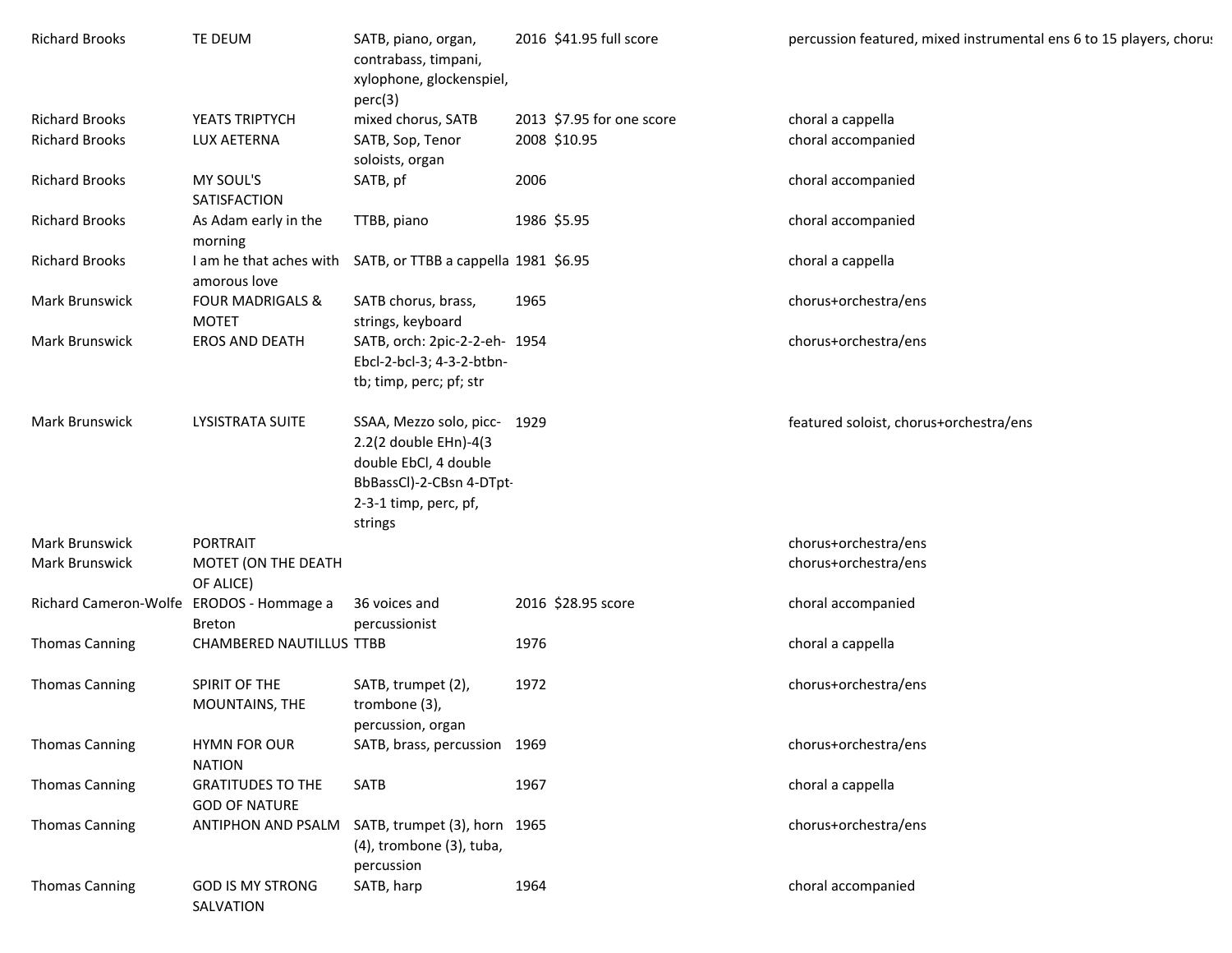| <b>Richard Brooks</b>                    | TE DEUM                                          | SATB, piano, organ,<br>contrabass, timpani,<br>xylophone, glockenspiel,<br>perc(3)                                                             |      | 2016 \$41.95 full score   | percussion featured, mixed instrumental ens 6 to 15 players, chorus |
|------------------------------------------|--------------------------------------------------|------------------------------------------------------------------------------------------------------------------------------------------------|------|---------------------------|---------------------------------------------------------------------|
| <b>Richard Brooks</b>                    | YEATS TRIPTYCH                                   | mixed chorus, SATB                                                                                                                             |      | 2013 \$7.95 for one score | choral a cappella                                                   |
| <b>Richard Brooks</b>                    | LUX AETERNA                                      | SATB, Sop, Tenor<br>soloists, organ                                                                                                            |      | 2008 \$10.95              | choral accompanied                                                  |
| <b>Richard Brooks</b>                    | MY SOUL'S<br>SATISFACTION                        | SATB, pf                                                                                                                                       | 2006 |                           | choral accompanied                                                  |
| <b>Richard Brooks</b>                    | As Adam early in the<br>morning                  | TTBB, piano                                                                                                                                    |      | 1986 \$5.95               | choral accompanied                                                  |
| <b>Richard Brooks</b>                    | amorous love                                     | I am he that aches with SATB, or TTBB a cappella 1981 \$6.95                                                                                   |      |                           | choral a cappella                                                   |
| <b>Mark Brunswick</b>                    | <b>FOUR MADRIGALS &amp;</b><br><b>MOTET</b>      | SATB chorus, brass,<br>strings, keyboard                                                                                                       | 1965 |                           | chorus+orchestra/ens                                                |
| <b>Mark Brunswick</b>                    | <b>EROS AND DEATH</b>                            | SATB, orch: 2pic-2-2-eh- 1954<br>Ebcl-2-bcl-3; 4-3-2-btbn-<br>tb; timp, perc; pf; str                                                          |      |                           | chorus+orchestra/ens                                                |
| Mark Brunswick                           | <b>LYSISTRATA SUITE</b>                          | SSAA, Mezzo solo, picc- 1929<br>2.2(2 double EHn)-4(3<br>double EbCl, 4 double<br>BbBassCl)-2-CBsn 4-DTpt-<br>2-3-1 timp, perc, pf,<br>strings |      |                           | featured soloist, chorus+orchestra/ens                              |
| Mark Brunswick                           | PORTRAIT                                         |                                                                                                                                                |      |                           | chorus+orchestra/ens                                                |
| Mark Brunswick                           | MOTET (ON THE DEATH<br>OF ALICE)                 |                                                                                                                                                |      |                           | chorus+orchestra/ens                                                |
| Richard Cameron-Wolfe ERODOS - Hommage a | <b>Breton</b>                                    | 36 voices and<br>percussionist                                                                                                                 |      | 2016 \$28.95 score        | choral accompanied                                                  |
| <b>Thomas Canning</b>                    | <b>CHAMBERED NAUTILLUS TTBB</b>                  |                                                                                                                                                | 1976 |                           | choral a cappella                                                   |
| <b>Thomas Canning</b>                    | SPIRIT OF THE<br><b>MOUNTAINS, THE</b>           | SATB, trumpet (2),<br>trombone (3),<br>percussion, organ                                                                                       | 1972 |                           | chorus+orchestra/ens                                                |
| <b>Thomas Canning</b>                    | <b>HYMN FOR OUR</b><br><b>NATION</b>             | SATB, brass, percussion 1969                                                                                                                   |      |                           | chorus+orchestra/ens                                                |
| <b>Thomas Canning</b>                    | <b>GRATITUDES TO THE</b><br><b>GOD OF NATURE</b> | SATB                                                                                                                                           | 1967 |                           | choral a cappella                                                   |
| <b>Thomas Canning</b>                    | ANTIPHON AND PSALM                               | SATB, trumpet (3), horn 1965<br>(4), trombone (3), tuba,<br>percussion                                                                         |      |                           | chorus+orchestra/ens                                                |
| <b>Thomas Canning</b>                    | <b>GOD IS MY STRONG</b><br>SALVATION             | SATB, harp                                                                                                                                     | 1964 |                           | choral accompanied                                                  |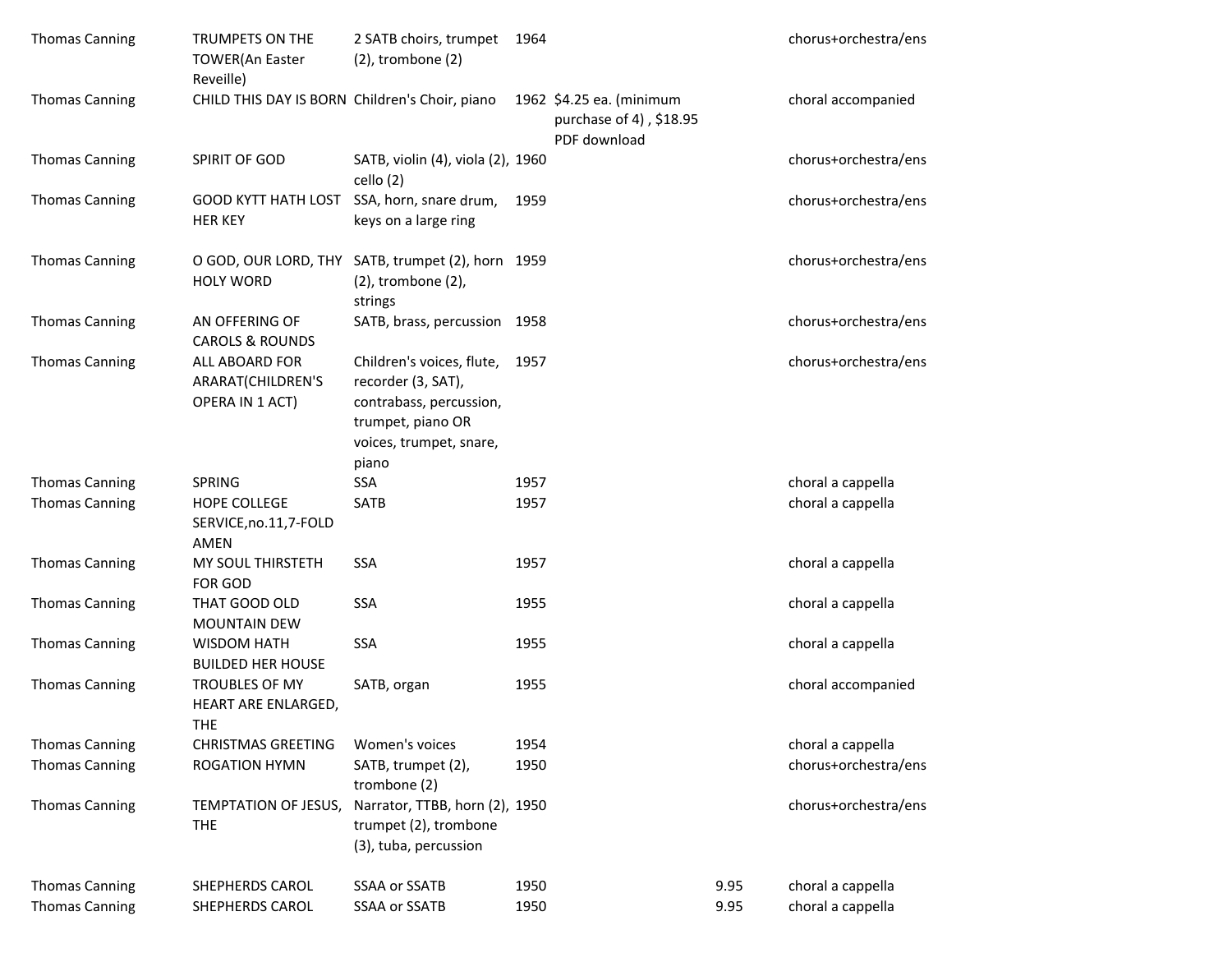| <b>Thomas Canning</b> | TRUMPETS ON THE<br><b>TOWER(An Easter</b><br>Reveille) | 2 SATB choirs, trumpet<br>$(2)$ , trombone $(2)$                                                                                         | 1964 |                                                                     |      | chorus+orchestra/ens |
|-----------------------|--------------------------------------------------------|------------------------------------------------------------------------------------------------------------------------------------------|------|---------------------------------------------------------------------|------|----------------------|
| <b>Thomas Canning</b> | CHILD THIS DAY IS BORN Children's Choir, piano         |                                                                                                                                          |      | 1962 \$4.25 ea. (minimum<br>purchase of 4), \$18.95<br>PDF download |      | choral accompanied   |
| <b>Thomas Canning</b> | SPIRIT OF GOD                                          | SATB, violin (4), viola (2), 1960<br>cello (2)                                                                                           |      |                                                                     |      | chorus+orchestra/ens |
| <b>Thomas Canning</b> | <b>GOOD KYTT HATH LOST</b><br><b>HER KEY</b>           | SSA, horn, snare drum,<br>keys on a large ring                                                                                           | 1959 |                                                                     |      | chorus+orchestra/ens |
| <b>Thomas Canning</b> | O GOD, OUR LORD, THY<br><b>HOLY WORD</b>               | SATB, trumpet (2), horn 1959<br>(2), trombone (2),<br>strings                                                                            |      |                                                                     |      | chorus+orchestra/ens |
| <b>Thomas Canning</b> | AN OFFERING OF<br><b>CAROLS &amp; ROUNDS</b>           | SATB, brass, percussion 1958                                                                                                             |      |                                                                     |      | chorus+orchestra/ens |
| <b>Thomas Canning</b> | ALL ABOARD FOR<br>ARARAT(CHILDREN'S<br>OPERA IN 1 ACT) | Children's voices, flute, 1957<br>recorder (3, SAT),<br>contrabass, percussion,<br>trumpet, piano OR<br>voices, trumpet, snare,<br>piano |      |                                                                     |      | chorus+orchestra/ens |
| <b>Thomas Canning</b> | <b>SPRING</b>                                          | SSA                                                                                                                                      | 1957 |                                                                     |      | choral a cappella    |
| <b>Thomas Canning</b> | HOPE COLLEGE<br>SERVICE, no.11, 7-FOLD<br>AMEN         | SATB                                                                                                                                     | 1957 |                                                                     |      | choral a cappella    |
| <b>Thomas Canning</b> | MY SOUL THIRSTETH<br>FOR GOD                           | <b>SSA</b>                                                                                                                               | 1957 |                                                                     |      | choral a cappella    |
| <b>Thomas Canning</b> | THAT GOOD OLD<br><b>MOUNTAIN DEW</b>                   | <b>SSA</b>                                                                                                                               | 1955 |                                                                     |      | choral a cappella    |
| <b>Thomas Canning</b> | <b>WISDOM HATH</b><br><b>BUILDED HER HOUSE</b>         | <b>SSA</b>                                                                                                                               | 1955 |                                                                     |      | choral a cappella    |
| <b>Thomas Canning</b> | TROUBLES OF MY<br>HEART ARE ENLARGED,<br><b>THE</b>    | SATB, organ                                                                                                                              | 1955 |                                                                     |      | choral accompanied   |
| <b>Thomas Canning</b> | <b>CHRISTMAS GREETING</b>                              | Women's voices                                                                                                                           | 1954 |                                                                     |      | choral a cappella    |
| <b>Thomas Canning</b> | <b>ROGATION HYMN</b>                                   | SATB, trumpet (2),<br>trombone (2)                                                                                                       | 1950 |                                                                     |      | chorus+orchestra/ens |
| <b>Thomas Canning</b> | TEMPTATION OF JESUS,<br><b>THE</b>                     | Narrator, TTBB, horn (2), 1950<br>trumpet (2), trombone<br>(3), tuba, percussion                                                         |      |                                                                     |      | chorus+orchestra/ens |
| <b>Thomas Canning</b> | SHEPHERDS CAROL                                        | SSAA or SSATB                                                                                                                            | 1950 |                                                                     | 9.95 | choral a cappella    |
| <b>Thomas Canning</b> | SHEPHERDS CAROL                                        | SSAA or SSATB                                                                                                                            | 1950 |                                                                     | 9.95 | choral a cappella    |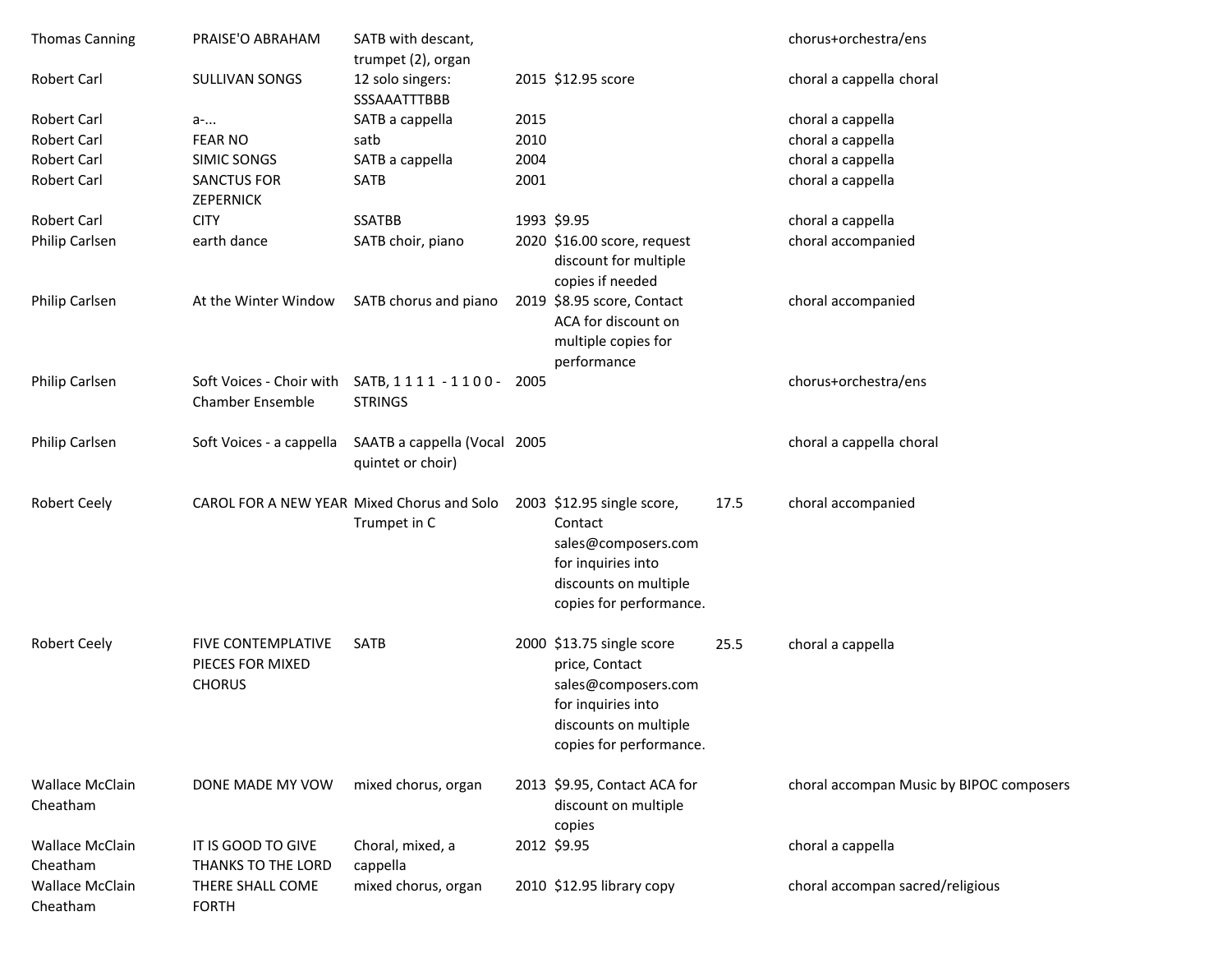| <b>Thomas Canning</b>              | PRAISE'O ABRAHAM                                               | SATB with descant,<br>trumpet (2), organ          |      |                                                                                                                                              |      | chorus+orchestra/ens                     |
|------------------------------------|----------------------------------------------------------------|---------------------------------------------------|------|----------------------------------------------------------------------------------------------------------------------------------------------|------|------------------------------------------|
| <b>Robert Carl</b>                 | SULLIVAN SONGS                                                 | 12 solo singers:<br>SSSAAATTTBBB                  |      | 2015 \$12.95 score                                                                                                                           |      | choral a cappella choral                 |
| <b>Robert Carl</b>                 | a-                                                             | SATB a cappella                                   | 2015 |                                                                                                                                              |      | choral a cappella                        |
| <b>Robert Carl</b>                 | <b>FEAR NO</b>                                                 | satb                                              | 2010 |                                                                                                                                              |      | choral a cappella                        |
| <b>Robert Carl</b>                 | SIMIC SONGS                                                    | SATB a cappella                                   | 2004 |                                                                                                                                              |      | choral a cappella                        |
| <b>Robert Carl</b>                 | <b>SANCTUS FOR</b><br>ZEPERNICK                                | <b>SATB</b>                                       | 2001 |                                                                                                                                              |      | choral a cappella                        |
| <b>Robert Carl</b>                 | <b>CITY</b>                                                    | <b>SSATBB</b>                                     |      | 1993 \$9.95                                                                                                                                  |      | choral a cappella                        |
| Philip Carlsen                     | earth dance                                                    | SATB choir, piano                                 |      | 2020 \$16.00 score, request<br>discount for multiple<br>copies if needed                                                                     |      | choral accompanied                       |
| Philip Carlsen                     | At the Winter Window                                           | SATB chorus and piano                             |      | 2019 \$8.95 score, Contact<br>ACA for discount on<br>multiple copies for<br>performance                                                      |      | choral accompanied                       |
| Philip Carlsen                     | Soft Voices - Choir with<br><b>Chamber Ensemble</b>            | SATB, 1111 - 1100 - 2005<br><b>STRINGS</b>        |      |                                                                                                                                              |      | chorus+orchestra/ens                     |
| Philip Carlsen                     | Soft Voices - a cappella                                       | SAATB a cappella (Vocal 2005<br>quintet or choir) |      |                                                                                                                                              |      | choral a cappella choral                 |
| <b>Robert Ceely</b>                | CAROL FOR A NEW YEAR Mixed Chorus and Solo                     | Trumpet in C                                      |      | 2003 \$12.95 single score,<br>Contact<br>sales@composers.com<br>for inquiries into<br>discounts on multiple<br>copies for performance.       | 17.5 | choral accompanied                       |
| <b>Robert Ceely</b>                | <b>FIVE CONTEMPLATIVE</b><br>PIECES FOR MIXED<br><b>CHORUS</b> | <b>SATB</b>                                       |      | 2000 \$13.75 single score<br>price, Contact<br>sales@composers.com<br>for inquiries into<br>discounts on multiple<br>copies for performance. | 25.5 | choral a cappella                        |
| <b>Wallace McClain</b><br>Cheatham | DONE MADE MY VOW                                               | mixed chorus, organ                               |      | 2013 \$9.95, Contact ACA for<br>discount on multiple<br>copies                                                                               |      | choral accompan Music by BIPOC composers |
| <b>Wallace McClain</b><br>Cheatham | IT IS GOOD TO GIVE<br>THANKS TO THE LORD                       | Choral, mixed, a<br>cappella                      |      | 2012 \$9.95                                                                                                                                  |      | choral a cappella                        |
| <b>Wallace McClain</b><br>Cheatham | THERE SHALL COME<br><b>FORTH</b>                               | mixed chorus, organ                               |      | 2010 \$12.95 library copy                                                                                                                    |      | choral accompan sacred/religious         |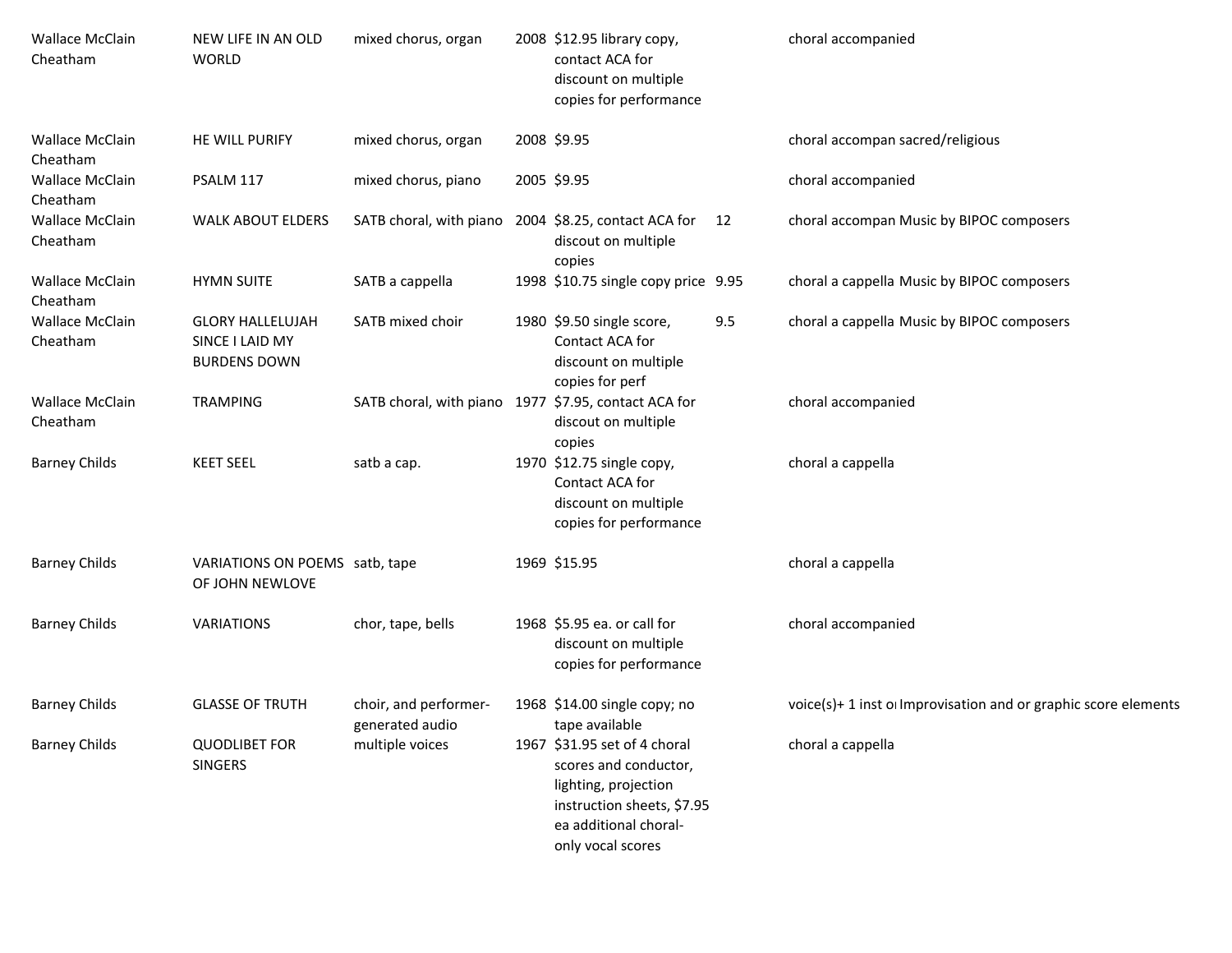| Wallace McClain<br>Cheatham        | NEW LIFE IN AN OLD<br><b>WORLD</b>                                | mixed chorus, organ                                  | 2008 \$12.95 library copy,<br>contact ACA for<br>discount on multiple<br>copies for performance                                                           |     | choral accompanied                                             |
|------------------------------------|-------------------------------------------------------------------|------------------------------------------------------|-----------------------------------------------------------------------------------------------------------------------------------------------------------|-----|----------------------------------------------------------------|
| <b>Wallace McClain</b><br>Cheatham | HE WILL PURIFY                                                    | mixed chorus, organ                                  | 2008 \$9.95                                                                                                                                               |     | choral accompan sacred/religious                               |
| <b>Wallace McClain</b><br>Cheatham | PSALM 117                                                         | mixed chorus, piano                                  | 2005 \$9.95                                                                                                                                               |     | choral accompanied                                             |
| <b>Wallace McClain</b><br>Cheatham | <b>WALK ABOUT ELDERS</b>                                          | SATB choral, with piano 2004 \$8.25, contact ACA for | discout on multiple<br>copies                                                                                                                             | 12  | choral accompan Music by BIPOC composers                       |
| <b>Wallace McClain</b><br>Cheatham | <b>HYMN SUITE</b>                                                 | SATB a cappella                                      | 1998 \$10.75 single copy price 9.95                                                                                                                       |     | choral a cappella Music by BIPOC composers                     |
| <b>Wallace McClain</b><br>Cheatham | <b>GLORY HALLELUJAH</b><br>SINCE I LAID MY<br><b>BURDENS DOWN</b> | SATB mixed choir                                     | 1980 \$9.50 single score,<br>Contact ACA for<br>discount on multiple<br>copies for perf                                                                   | 9.5 | choral a cappella Music by BIPOC composers                     |
| <b>Wallace McClain</b><br>Cheatham | <b>TRAMPING</b>                                                   | SATB choral, with piano 1977 \$7.95, contact ACA for | discout on multiple<br>copies                                                                                                                             |     | choral accompanied                                             |
| <b>Barney Childs</b>               | <b>KEET SEEL</b>                                                  | satb a cap.                                          | 1970 \$12.75 single copy,<br>Contact ACA for<br>discount on multiple<br>copies for performance                                                            |     | choral a cappella                                              |
| <b>Barney Childs</b>               | VARIATIONS ON POEMS satb, tape<br>OF JOHN NEWLOVE                 |                                                      | 1969 \$15.95                                                                                                                                              |     | choral a cappella                                              |
| <b>Barney Childs</b>               | <b>VARIATIONS</b>                                                 | chor, tape, bells                                    | 1968 \$5.95 ea. or call for<br>discount on multiple<br>copies for performance                                                                             |     | choral accompanied                                             |
| <b>Barney Childs</b>               | <b>GLASSE OF TRUTH</b>                                            | choir, and performer-<br>generated audio             | 1968 \$14.00 single copy; no<br>tape available                                                                                                            |     | voice(s)+ 1 inst o Improvisation and or graphic score elements |
| <b>Barney Childs</b>               | <b>QUODLIBET FOR</b><br>SINGERS                                   | multiple voices                                      | 1967 \$31.95 set of 4 choral<br>scores and conductor,<br>lighting, projection<br>instruction sheets, \$7.95<br>ea additional choral-<br>only vocal scores |     | choral a cappella                                              |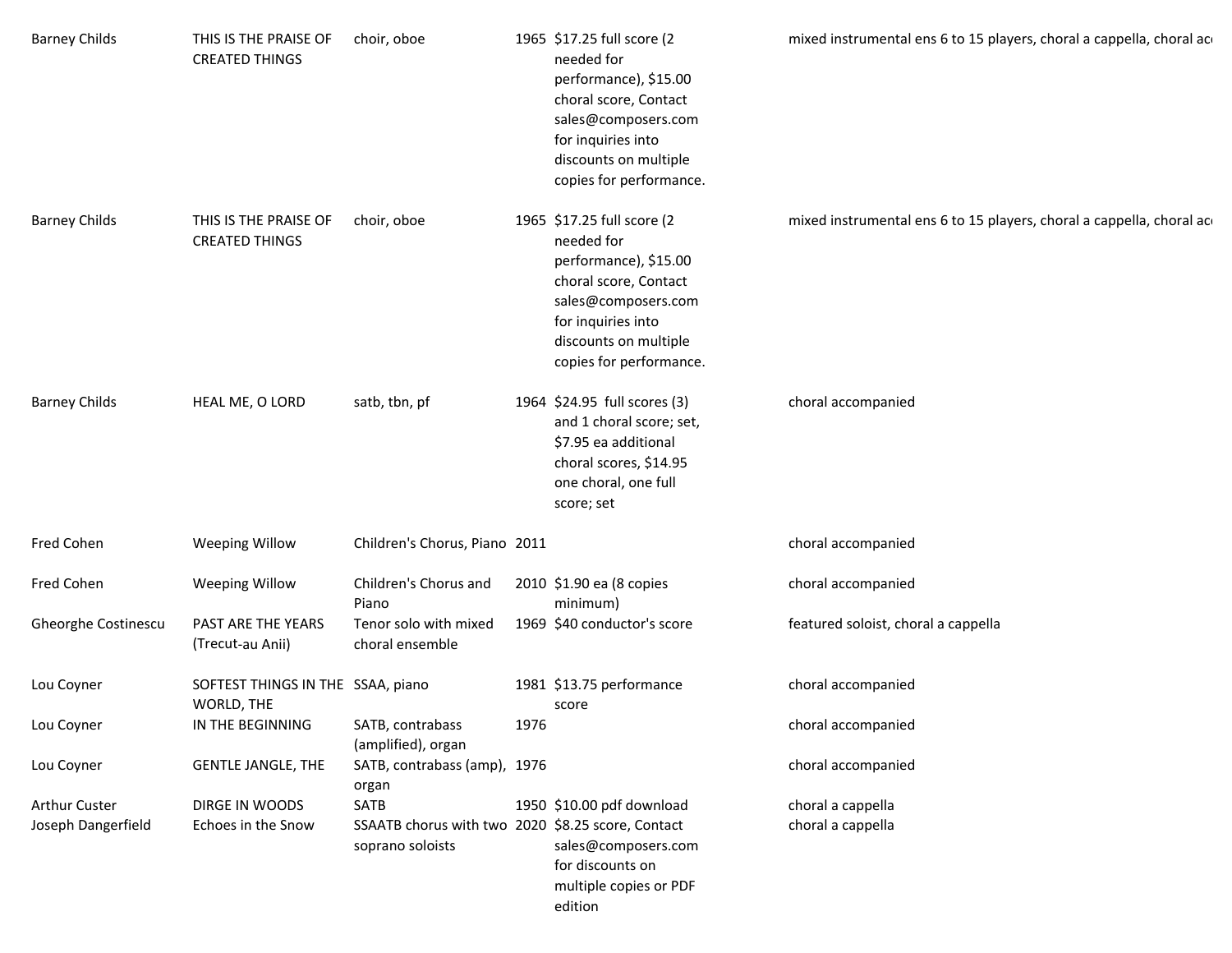| <b>Barney Childs</b> | THIS IS THE PRAISE OF<br><b>CREATED THINGS</b>  | choir, oboe                                                           |      | 1965 \$17.25 full score (2<br>needed for<br>performance), \$15.00<br>choral score, Contact<br>sales@composers.com<br>for inquiries into<br>discounts on multiple<br>copies for performance. | mixed instrumental ens 6 to 15 players, choral a cappella, choral ac |
|----------------------|-------------------------------------------------|-----------------------------------------------------------------------|------|---------------------------------------------------------------------------------------------------------------------------------------------------------------------------------------------|----------------------------------------------------------------------|
| <b>Barney Childs</b> | THIS IS THE PRAISE OF<br><b>CREATED THINGS</b>  | choir, oboe                                                           |      | 1965 \$17.25 full score (2<br>needed for<br>performance), \$15.00<br>choral score, Contact<br>sales@composers.com<br>for inquiries into<br>discounts on multiple<br>copies for performance. | mixed instrumental ens 6 to 15 players, choral a cappella, choral ac |
| <b>Barney Childs</b> | HEAL ME, O LORD                                 | satb, tbn, pf                                                         |      | 1964 \$24.95 full scores (3)<br>and 1 choral score; set,<br>\$7.95 ea additional<br>choral scores, \$14.95<br>one choral, one full<br>score; set                                            | choral accompanied                                                   |
| Fred Cohen           | <b>Weeping Willow</b>                           | Children's Chorus, Piano 2011                                         |      |                                                                                                                                                                                             | choral accompanied                                                   |
| Fred Cohen           | <b>Weeping Willow</b>                           | Children's Chorus and<br>Piano                                        |      | 2010 \$1.90 ea (8 copies<br>minimum)                                                                                                                                                        | choral accompanied                                                   |
| Gheorghe Costinescu  | PAST ARE THE YEARS<br>(Trecut-au Anii)          | Tenor solo with mixed<br>choral ensemble                              |      | 1969 \$40 conductor's score                                                                                                                                                                 | featured soloist, choral a cappella                                  |
| Lou Coyner           | SOFTEST THINGS IN THE SSAA, piano<br>WORLD, THE |                                                                       |      | 1981 \$13.75 performance<br>score                                                                                                                                                           | choral accompanied                                                   |
| Lou Coyner           | IN THE BEGINNING                                | SATB, contrabass<br>(amplified), organ                                | 1976 |                                                                                                                                                                                             | choral accompanied                                                   |
| Lou Coyner           | <b>GENTLE JANGLE, THE</b>                       | SATB, contrabass (amp), 1976<br>organ                                 |      |                                                                                                                                                                                             | choral accompanied                                                   |
| <b>Arthur Custer</b> | DIRGE IN WOODS                                  | <b>SATB</b>                                                           |      | 1950 \$10.00 pdf download                                                                                                                                                                   | choral a cappella                                                    |
| Joseph Dangerfield   | Echoes in the Snow                              | SSAATB chorus with two 2020 \$8.25 score, Contact<br>soprano soloists |      | sales@composers.com<br>for discounts on<br>multiple copies or PDF<br>edition                                                                                                                | choral a cappella                                                    |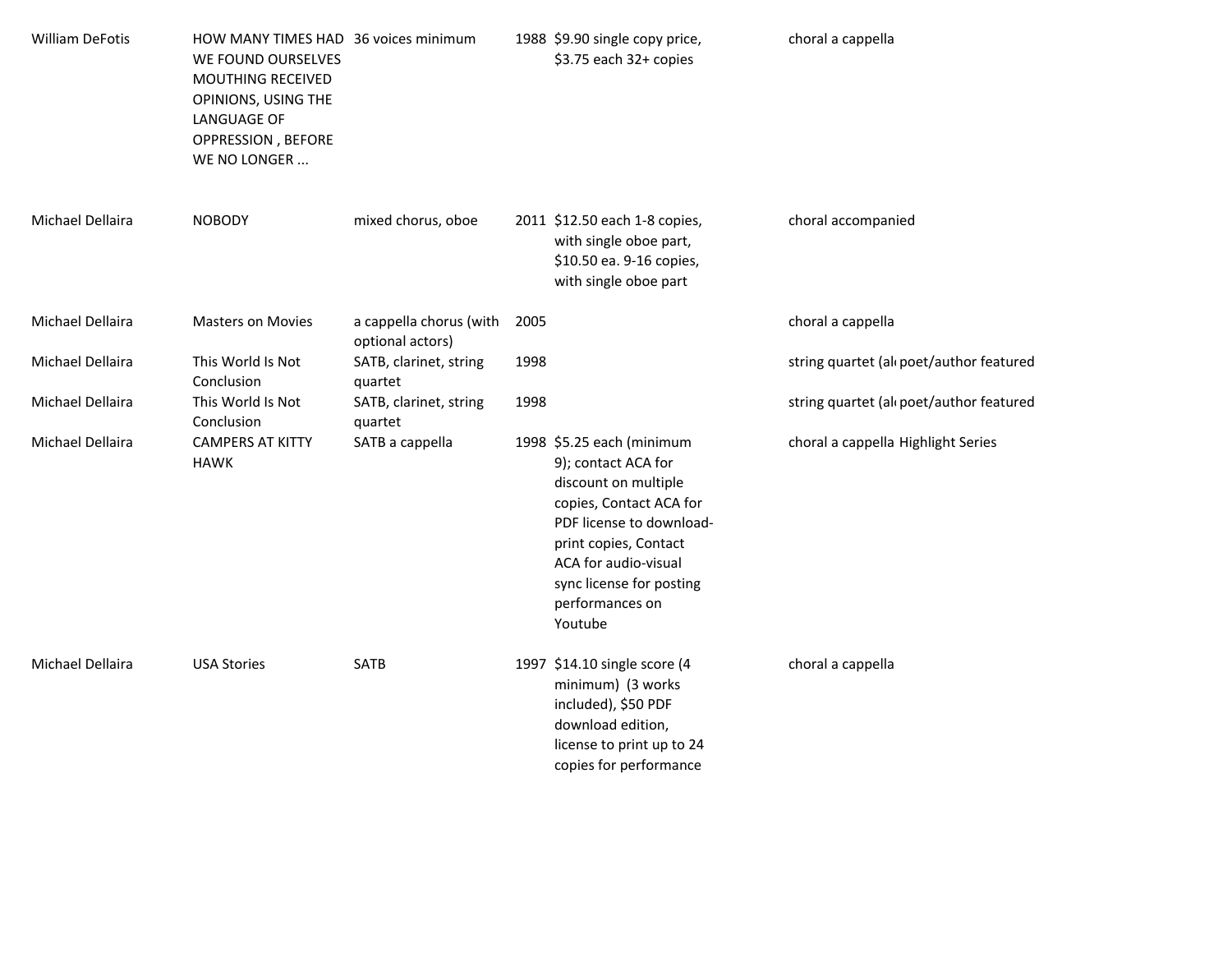| <b>William DeFotis</b> | HOW MANY TIMES HAD 36 voices minimum<br>WE FOUND OURSELVES<br>MOUTHING RECEIVED<br>OPINIONS, USING THE<br>LANGUAGE OF<br>OPPRESSION, BEFORE<br>WE NO LONGER |                                             |      | 1988 \$9.90 single copy price,<br>\$3.75 each 32+ copies                                                                                                                                                                                   | choral a cappella                        |
|------------------------|-------------------------------------------------------------------------------------------------------------------------------------------------------------|---------------------------------------------|------|--------------------------------------------------------------------------------------------------------------------------------------------------------------------------------------------------------------------------------------------|------------------------------------------|
| Michael Dellaira       | <b>NOBODY</b>                                                                                                                                               | mixed chorus, oboe                          |      | 2011 \$12.50 each 1-8 copies,<br>with single oboe part,<br>\$10.50 ea. 9-16 copies,<br>with single oboe part                                                                                                                               | choral accompanied                       |
| Michael Dellaira       | <b>Masters on Movies</b>                                                                                                                                    | a cappella chorus (with<br>optional actors) | 2005 |                                                                                                                                                                                                                                            | choral a cappella                        |
| Michael Dellaira       | This World Is Not<br>Conclusion                                                                                                                             | SATB, clarinet, string<br>quartet           | 1998 |                                                                                                                                                                                                                                            | string quartet (all poet/author featured |
| Michael Dellaira       | This World Is Not<br>Conclusion                                                                                                                             | SATB, clarinet, string<br>quartet           | 1998 |                                                                                                                                                                                                                                            | string quartet (all poet/author featured |
| Michael Dellaira       | <b>CAMPERS AT KITTY</b><br><b>HAWK</b>                                                                                                                      | SATB a cappella                             |      | 1998 \$5.25 each (minimum<br>9); contact ACA for<br>discount on multiple<br>copies, Contact ACA for<br>PDF license to download-<br>print copies, Contact<br>ACA for audio-visual<br>sync license for posting<br>performances on<br>Youtube | choral a cappella Highlight Series       |
| Michael Dellaira       | <b>USA Stories</b>                                                                                                                                          | SATB                                        |      | 1997 \$14.10 single score (4<br>minimum) (3 works<br>included), \$50 PDF<br>download edition,<br>license to print up to 24<br>copies for performance                                                                                       | choral a cappella                        |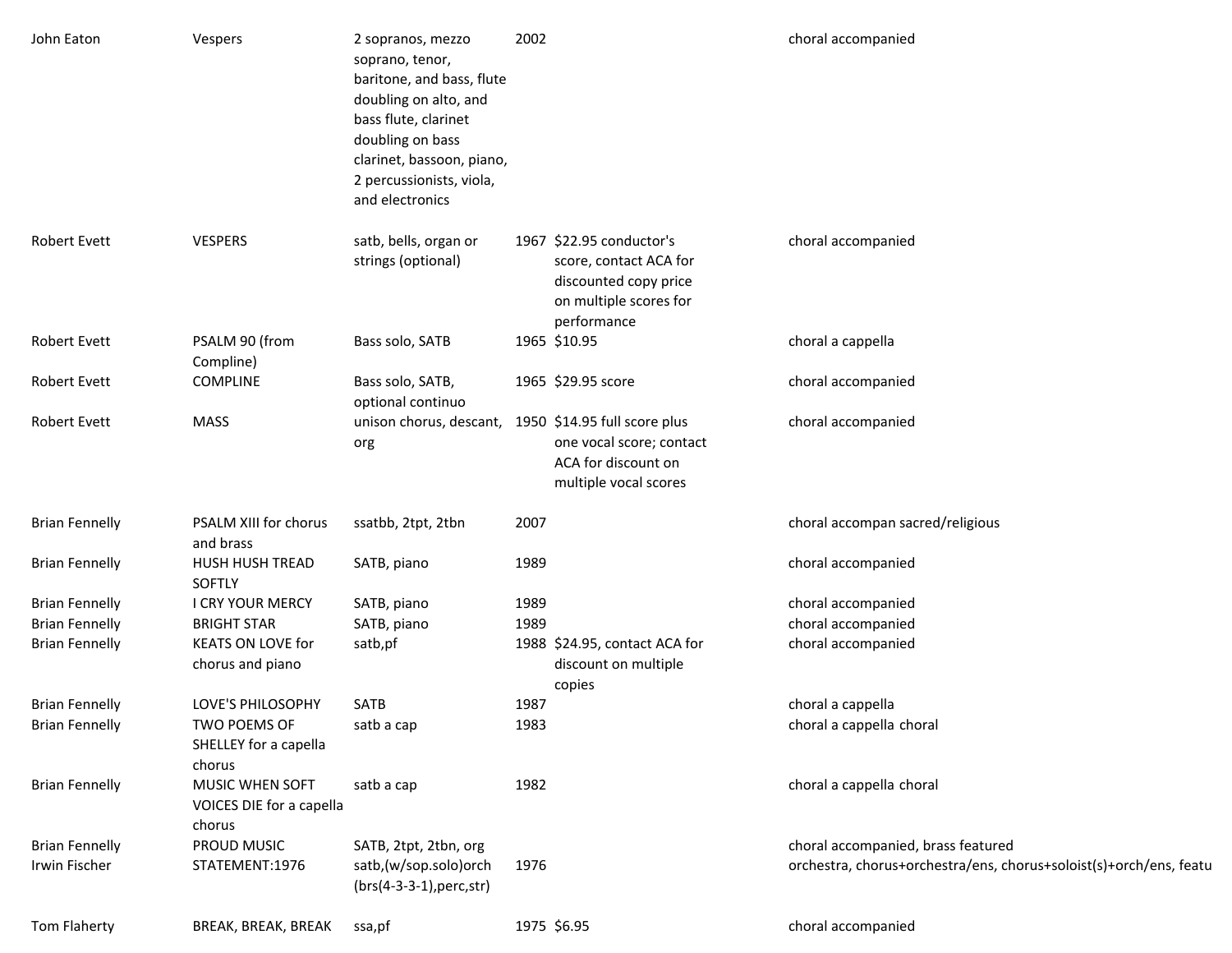| John Eaton            | Vespers                                               | 2 sopranos, mezzo<br>soprano, tenor,<br>baritone, and bass, flute<br>doubling on alto, and<br>bass flute, clarinet<br>doubling on bass<br>clarinet, bassoon, piano,<br>2 percussionists, viola,<br>and electronics | 2002 |                                                                                                                      | choral accompanied                                                 |
|-----------------------|-------------------------------------------------------|--------------------------------------------------------------------------------------------------------------------------------------------------------------------------------------------------------------------|------|----------------------------------------------------------------------------------------------------------------------|--------------------------------------------------------------------|
| <b>Robert Evett</b>   | <b>VESPERS</b>                                        | satb, bells, organ or<br>strings (optional)                                                                                                                                                                        |      | 1967 \$22.95 conductor's<br>score, contact ACA for<br>discounted copy price<br>on multiple scores for<br>performance | choral accompanied                                                 |
| <b>Robert Evett</b>   | PSALM 90 (from<br>Compline)                           | Bass solo, SATB                                                                                                                                                                                                    |      | 1965 \$10.95                                                                                                         | choral a cappella                                                  |
| <b>Robert Evett</b>   | <b>COMPLINE</b>                                       | Bass solo, SATB,<br>optional continuo                                                                                                                                                                              |      | 1965 \$29.95 score                                                                                                   | choral accompanied                                                 |
| <b>Robert Evett</b>   | <b>MASS</b>                                           | unison chorus, descant, 1950 \$14.95 full score plus<br>org                                                                                                                                                        |      | one vocal score; contact<br>ACA for discount on<br>multiple vocal scores                                             | choral accompanied                                                 |
| <b>Brian Fennelly</b> | PSALM XIII for chorus<br>and brass                    | ssatbb, 2tpt, 2tbn                                                                                                                                                                                                 | 2007 |                                                                                                                      | choral accompan sacred/religious                                   |
| <b>Brian Fennelly</b> | HUSH HUSH TREAD<br>SOFTLY                             | SATB, piano                                                                                                                                                                                                        | 1989 |                                                                                                                      | choral accompanied                                                 |
| <b>Brian Fennelly</b> | I CRY YOUR MERCY                                      | SATB, piano                                                                                                                                                                                                        | 1989 |                                                                                                                      | choral accompanied                                                 |
| <b>Brian Fennelly</b> | <b>BRIGHT STAR</b>                                    | SATB, piano                                                                                                                                                                                                        | 1989 |                                                                                                                      | choral accompanied                                                 |
| <b>Brian Fennelly</b> | <b>KEATS ON LOVE for</b><br>chorus and piano          | satb,pf                                                                                                                                                                                                            |      | 1988 \$24.95, contact ACA for<br>discount on multiple<br>copies                                                      | choral accompanied                                                 |
| <b>Brian Fennelly</b> | LOVE'S PHILOSOPHY                                     | <b>SATB</b>                                                                                                                                                                                                        | 1987 |                                                                                                                      | choral a cappella                                                  |
| <b>Brian Fennelly</b> | TWO POEMS OF<br>SHELLEY for a capella<br>chorus       | satb a cap                                                                                                                                                                                                         | 1983 |                                                                                                                      | choral a cappella choral                                           |
| <b>Brian Fennelly</b> | MUSIC WHEN SOFT<br>VOICES DIE for a capella<br>chorus | satb a cap                                                                                                                                                                                                         | 1982 |                                                                                                                      | choral a cappella choral                                           |
| <b>Brian Fennelly</b> | PROUD MUSIC                                           | SATB, 2tpt, 2tbn, org                                                                                                                                                                                              |      |                                                                                                                      | choral accompanied, brass featured                                 |
| Irwin Fischer         | STATEMENT:1976                                        | satb,(w/sop.solo)orch<br>$(brs(4-3-3-1), perc, str)$                                                                                                                                                               | 1976 |                                                                                                                      | orchestra, chorus+orchestra/ens, chorus+soloist(s)+orch/ens, featu |
| Tom Flaherty          | BREAK, BREAK, BREAK                                   | ssa,pf                                                                                                                                                                                                             |      | 1975 \$6.95                                                                                                          | choral accompanied                                                 |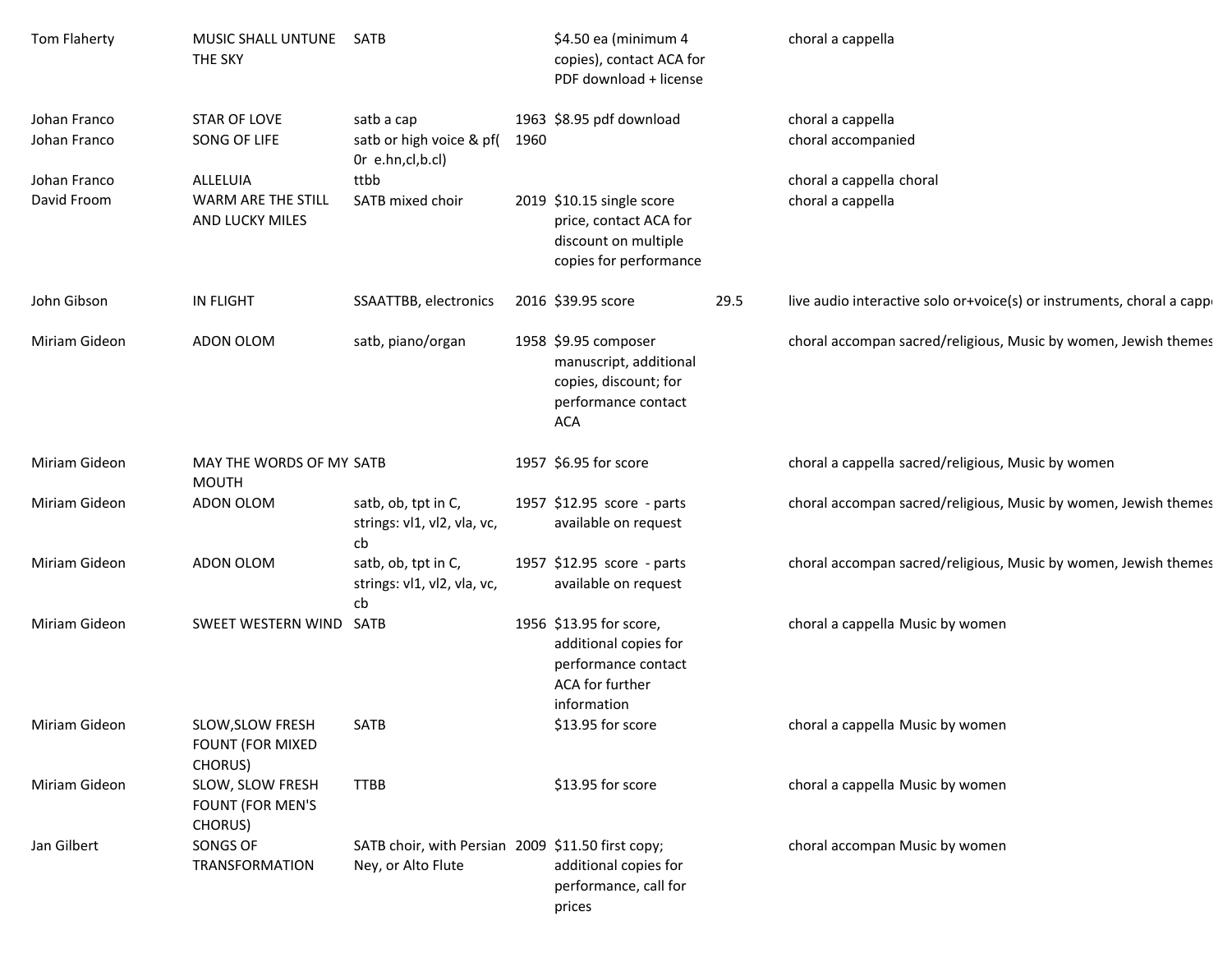| Tom Flaherty                 | MUSIC SHALL UNTUNE SATB<br>THE SKY                     |                                                                         |      | \$4.50 ea (minimum 4<br>copies), contact ACA for<br>PDF download + license                                   |      | choral a cappella                                                     |
|------------------------------|--------------------------------------------------------|-------------------------------------------------------------------------|------|--------------------------------------------------------------------------------------------------------------|------|-----------------------------------------------------------------------|
| Johan Franco<br>Johan Franco | <b>STAR OF LOVE</b><br>SONG OF LIFE                    | satb a cap<br>satb or high voice & pf(<br>Or e.hn,cl,b.cl)              | 1960 | 1963 \$8.95 pdf download                                                                                     |      | choral a cappella<br>choral accompanied                               |
| Johan Franco<br>David Froom  | ALLELUIA<br>WARM ARE THE STILL<br>AND LUCKY MILES      | ttbb<br>SATB mixed choir                                                |      | 2019 \$10.15 single score<br>price, contact ACA for<br>discount on multiple<br>copies for performance        |      | choral a cappella choral<br>choral a cappella                         |
| John Gibson                  | <b>IN FLIGHT</b>                                       | SSAATTBB, electronics                                                   |      | 2016 \$39.95 score                                                                                           | 29.5 | live audio interactive solo or+voice(s) or instruments, choral a capp |
| Miriam Gideon                | ADON OLOM                                              | satb, piano/organ                                                       |      | 1958 \$9.95 composer<br>manuscript, additional<br>copies, discount; for<br>performance contact<br><b>ACA</b> |      | choral accompan sacred/religious, Music by women, Jewish themes       |
| Miriam Gideon                | MAY THE WORDS OF MY SATB<br><b>MOUTH</b>               |                                                                         |      | 1957 \$6.95 for score                                                                                        |      | choral a cappella sacred/religious, Music by women                    |
| Miriam Gideon                | ADON OLOM                                              | satb, ob, tpt in C,<br>strings: vl1, vl2, vla, vc,<br>cb                |      | 1957 \$12.95 score - parts<br>available on request                                                           |      | choral accompan sacred/religious, Music by women, Jewish themes       |
| Miriam Gideon                | ADON OLOM                                              | satb, ob, tpt in C,<br>strings: vl1, vl2, vla, vc,<br>cb                |      | 1957 \$12.95 score - parts<br>available on request                                                           |      | choral accompan sacred/religious, Music by women, Jewish themes       |
| Miriam Gideon                | SWEET WESTERN WIND SATB                                |                                                                         |      | 1956 \$13.95 for score,<br>additional copies for<br>performance contact<br>ACA for further<br>information    |      | choral a cappella Music by women                                      |
| Miriam Gideon                | SLOW, SLOW FRESH<br><b>FOUNT (FOR MIXED</b><br>CHORUS) | SATB                                                                    |      | \$13.95 for score                                                                                            |      | choral a cappella Music by women                                      |
| Miriam Gideon                | SLOW, SLOW FRESH<br>FOUNT (FOR MEN'S<br>CHORUS)        | <b>TTBB</b>                                                             |      | \$13.95 for score                                                                                            |      | choral a cappella Music by women                                      |
| Jan Gilbert                  | SONGS OF<br><b>TRANSFORMATION</b>                      | SATB choir, with Persian 2009 \$11.50 first copy;<br>Ney, or Alto Flute |      | additional copies for<br>performance, call for<br>prices                                                     |      | choral accompan Music by women                                        |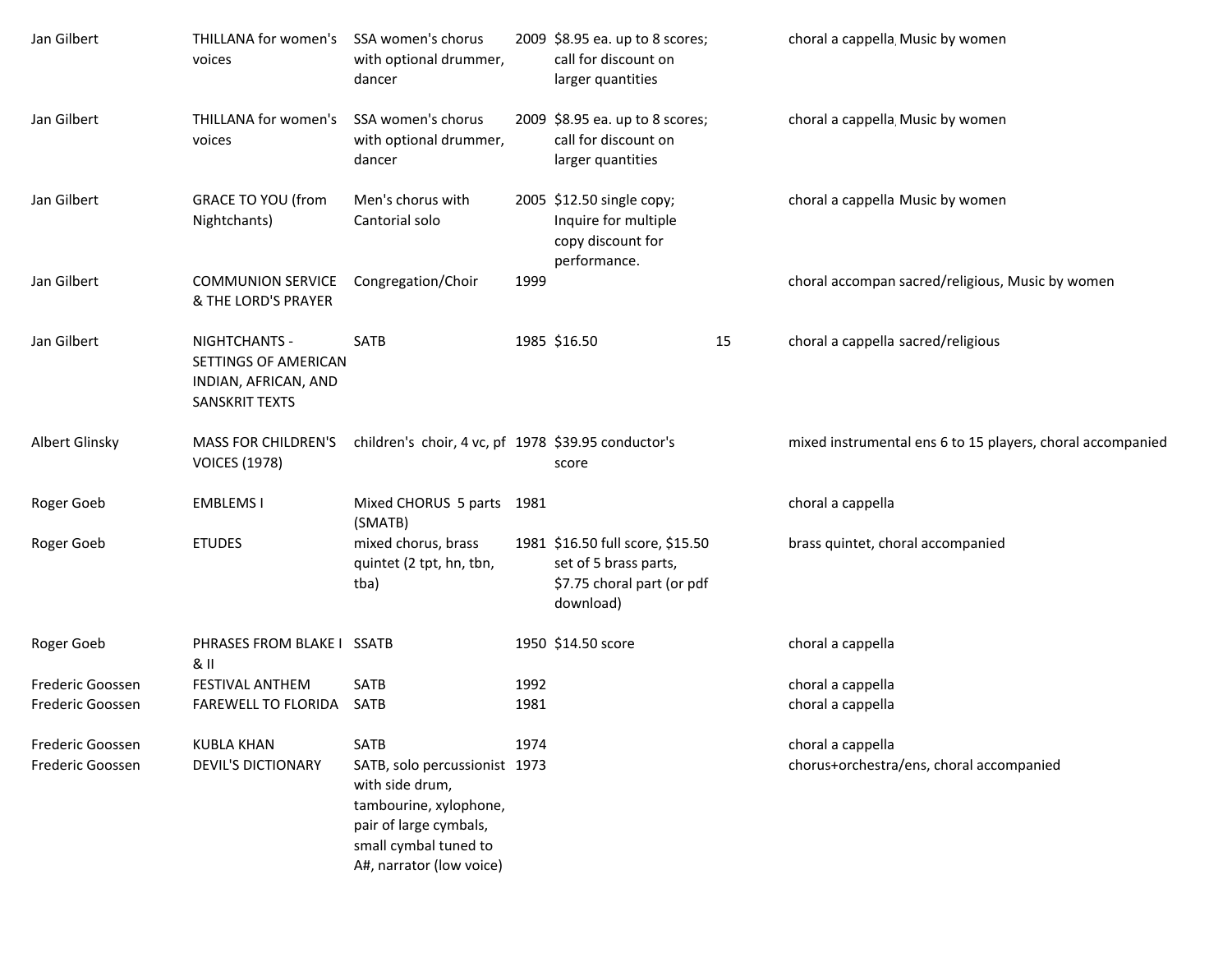| Jan Gilbert      | THILLANA for women's<br>voices                                                  | SSA women's chorus<br>with optional drummer,<br>dancer                                                                                                    |      | 2009 \$8.95 ea. up to 8 scores;<br>call for discount on<br>larger quantities                         |    | choral a cappella, Music by women                          |
|------------------|---------------------------------------------------------------------------------|-----------------------------------------------------------------------------------------------------------------------------------------------------------|------|------------------------------------------------------------------------------------------------------|----|------------------------------------------------------------|
| Jan Gilbert      | THILLANA for women's<br>voices                                                  | SSA women's chorus<br>with optional drummer,<br>dancer                                                                                                    |      | 2009 \$8.95 ea. up to 8 scores;<br>call for discount on<br>larger quantities                         |    | choral a cappella, Music by women                          |
| Jan Gilbert      | <b>GRACE TO YOU (from</b><br>Nightchants)                                       | Men's chorus with<br>Cantorial solo                                                                                                                       |      | 2005 \$12.50 single copy;<br>Inquire for multiple<br>copy discount for<br>performance.               |    | choral a cappella Music by women                           |
| Jan Gilbert      | <b>COMMUNION SERVICE</b><br>& THE LORD'S PRAYER                                 | Congregation/Choir                                                                                                                                        | 1999 |                                                                                                      |    | choral accompan sacred/religious, Music by women           |
| Jan Gilbert      | NIGHTCHANTS -<br>SETTINGS OF AMERICAN<br>INDIAN, AFRICAN, AND<br>SANSKRIT TEXTS | <b>SATB</b>                                                                                                                                               |      | 1985 \$16.50                                                                                         | 15 | choral a cappella sacred/religious                         |
| Albert Glinsky   | MASS FOR CHILDREN'S<br><b>VOICES (1978)</b>                                     | children's choir, 4 vc, pf 1978 \$39.95 conductor's                                                                                                       |      | score                                                                                                |    | mixed instrumental ens 6 to 15 players, choral accompanied |
| Roger Goeb       | <b>EMBLEMS1</b>                                                                 | Mixed CHORUS 5 parts 1981<br>(SMATB)                                                                                                                      |      |                                                                                                      |    | choral a cappella                                          |
| Roger Goeb       | <b>ETUDES</b>                                                                   | mixed chorus, brass<br>quintet (2 tpt, hn, tbn,<br>tba)                                                                                                   |      | 1981 \$16.50 full score, \$15.50<br>set of 5 brass parts,<br>\$7.75 choral part (or pdf<br>download) |    | brass quintet, choral accompanied                          |
| Roger Goeb       | PHRASES FROM BLAKE I SSATB<br>& II                                              |                                                                                                                                                           |      | 1950 \$14.50 score                                                                                   |    | choral a cappella                                          |
| Frederic Goossen | FESTIVAL ANTHEM                                                                 | SATB                                                                                                                                                      | 1992 |                                                                                                      |    | choral a cappella                                          |
| Frederic Goossen | FAREWELL TO FLORIDA                                                             | SATB                                                                                                                                                      | 1981 |                                                                                                      |    | choral a cappella                                          |
| Frederic Goossen | <b>KUBLA KHAN</b>                                                               | SATB                                                                                                                                                      | 1974 |                                                                                                      |    | choral a cappella                                          |
| Frederic Goossen | <b>DEVIL'S DICTIONARY</b>                                                       | SATB, solo percussionist 1973<br>with side drum,<br>tambourine, xylophone,<br>pair of large cymbals,<br>small cymbal tuned to<br>A#, narrator (low voice) |      |                                                                                                      |    | chorus+orchestra/ens, choral accompanied                   |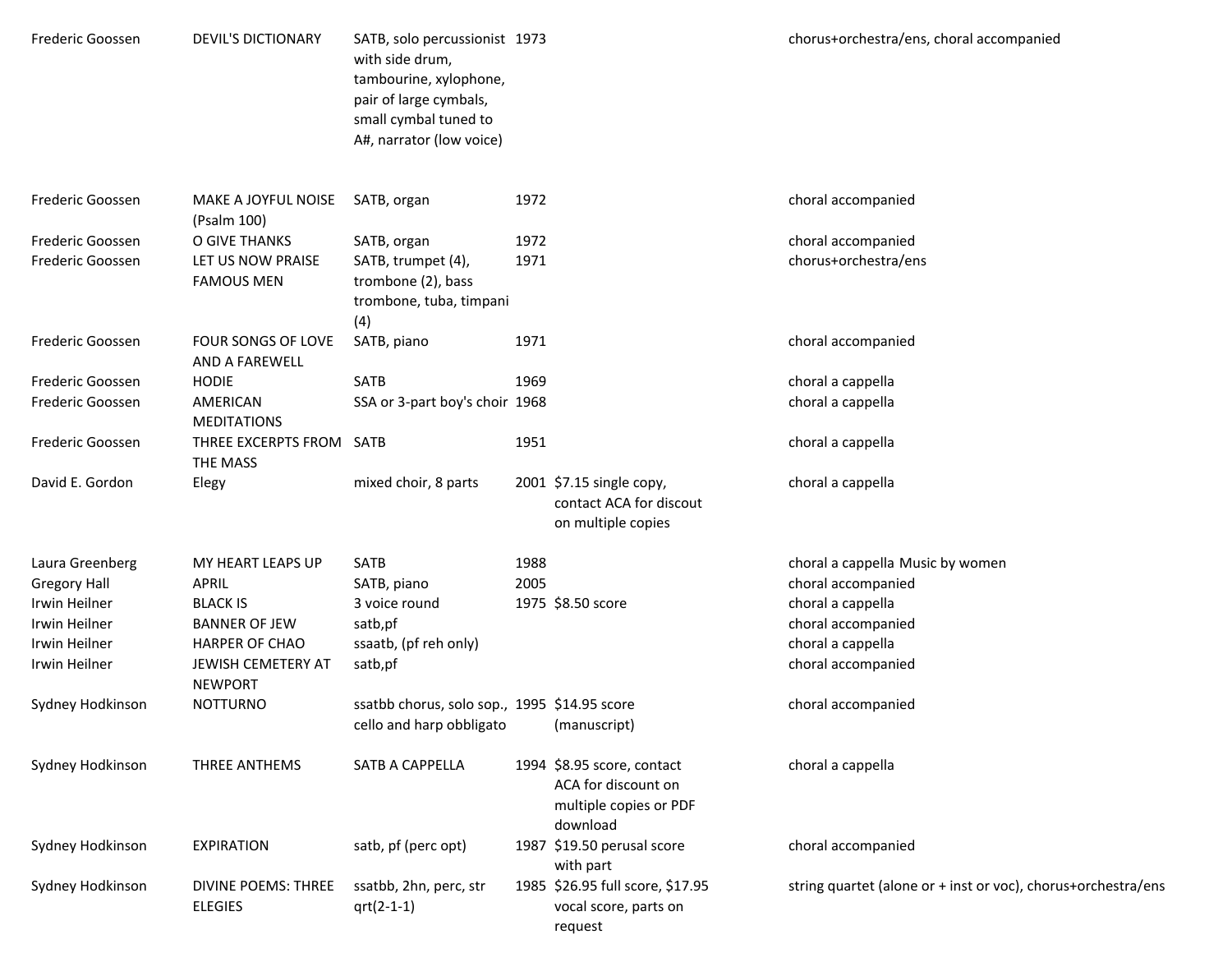| Frederic Goossen                                                                                           | <b>DEVIL'S DICTIONARY</b>                                                                                                       | SATB, solo percussionist 1973<br>with side drum,<br>tambourine, xylophone,<br>pair of large cymbals,<br>small cymbal tuned to<br>A#, narrator (low voice) |              |                                                                                         | chorus+orchestra/ens, choral accompanied                                                                                                     |
|------------------------------------------------------------------------------------------------------------|---------------------------------------------------------------------------------------------------------------------------------|-----------------------------------------------------------------------------------------------------------------------------------------------------------|--------------|-----------------------------------------------------------------------------------------|----------------------------------------------------------------------------------------------------------------------------------------------|
| Frederic Goossen                                                                                           | MAKE A JOYFUL NOISE<br>(Psalm 100)                                                                                              | SATB, organ                                                                                                                                               | 1972         |                                                                                         | choral accompanied                                                                                                                           |
| Frederic Goossen<br>Frederic Goossen                                                                       | O GIVE THANKS<br>LET US NOW PRAISE<br><b>FAMOUS MEN</b>                                                                         | SATB, organ<br>SATB, trumpet (4),<br>trombone (2), bass<br>trombone, tuba, timpani<br>(4)                                                                 | 1972<br>1971 |                                                                                         | choral accompanied<br>chorus+orchestra/ens                                                                                                   |
| Frederic Goossen                                                                                           | FOUR SONGS OF LOVE<br>AND A FAREWELL                                                                                            | SATB, piano                                                                                                                                               | 1971         |                                                                                         | choral accompanied                                                                                                                           |
| Frederic Goossen<br>Frederic Goossen                                                                       | <b>HODIE</b><br>AMERICAN<br><b>MEDITATIONS</b>                                                                                  | SATB<br>SSA or 3-part boy's choir 1968                                                                                                                    | 1969         |                                                                                         | choral a cappella<br>choral a cappella                                                                                                       |
| Frederic Goossen                                                                                           | THREE EXCERPTS FROM SATB<br>THE MASS                                                                                            |                                                                                                                                                           | 1951         |                                                                                         | choral a cappella                                                                                                                            |
| David E. Gordon                                                                                            | Elegy                                                                                                                           | mixed choir, 8 parts                                                                                                                                      |              | 2001 \$7.15 single copy,<br>contact ACA for discout<br>on multiple copies               | choral a cappella                                                                                                                            |
| Laura Greenberg<br><b>Gregory Hall</b><br>Irwin Heilner<br>Irwin Heilner<br>Irwin Heilner<br>Irwin Heilner | MY HEART LEAPS UP<br>APRIL<br><b>BLACK IS</b><br><b>BANNER OF JEW</b><br>HARPER OF CHAO<br>JEWISH CEMETERY AT<br><b>NEWPORT</b> | SATB<br>SATB, piano<br>3 voice round<br>satb,pf<br>ssaatb, (pf reh only)<br>satb,pf                                                                       | 1988<br>2005 | 1975 \$8.50 score                                                                       | choral a cappella Music by women<br>choral accompanied<br>choral a cappella<br>choral accompanied<br>choral a cappella<br>choral accompanied |
| Sydney Hodkinson                                                                                           | <b>NOTTURNO</b>                                                                                                                 | ssatbb chorus, solo sop., 1995 \$14.95 score<br>cello and harp obbligato (manuscript)                                                                     |              |                                                                                         | choral accompanied                                                                                                                           |
| Sydney Hodkinson                                                                                           | THREE ANTHEMS                                                                                                                   | SATB A CAPPELLA                                                                                                                                           |              | 1994 \$8.95 score, contact<br>ACA for discount on<br>multiple copies or PDF<br>download | choral a cappella                                                                                                                            |
| Sydney Hodkinson                                                                                           | <b>EXPIRATION</b>                                                                                                               | satb, pf (perc opt)                                                                                                                                       |              | 1987 \$19.50 perusal score<br>with part                                                 | choral accompanied                                                                                                                           |
| Sydney Hodkinson                                                                                           | DIVINE POEMS: THREE<br><b>ELEGIES</b>                                                                                           | ssatbb, 2hn, perc, str<br>$qrt(2-1-1)$                                                                                                                    |              | 1985 \$26.95 full score, \$17.95<br>vocal score, parts on<br>request                    | string quartet (alone or + inst or voc), chorus+orchestra/ens                                                                                |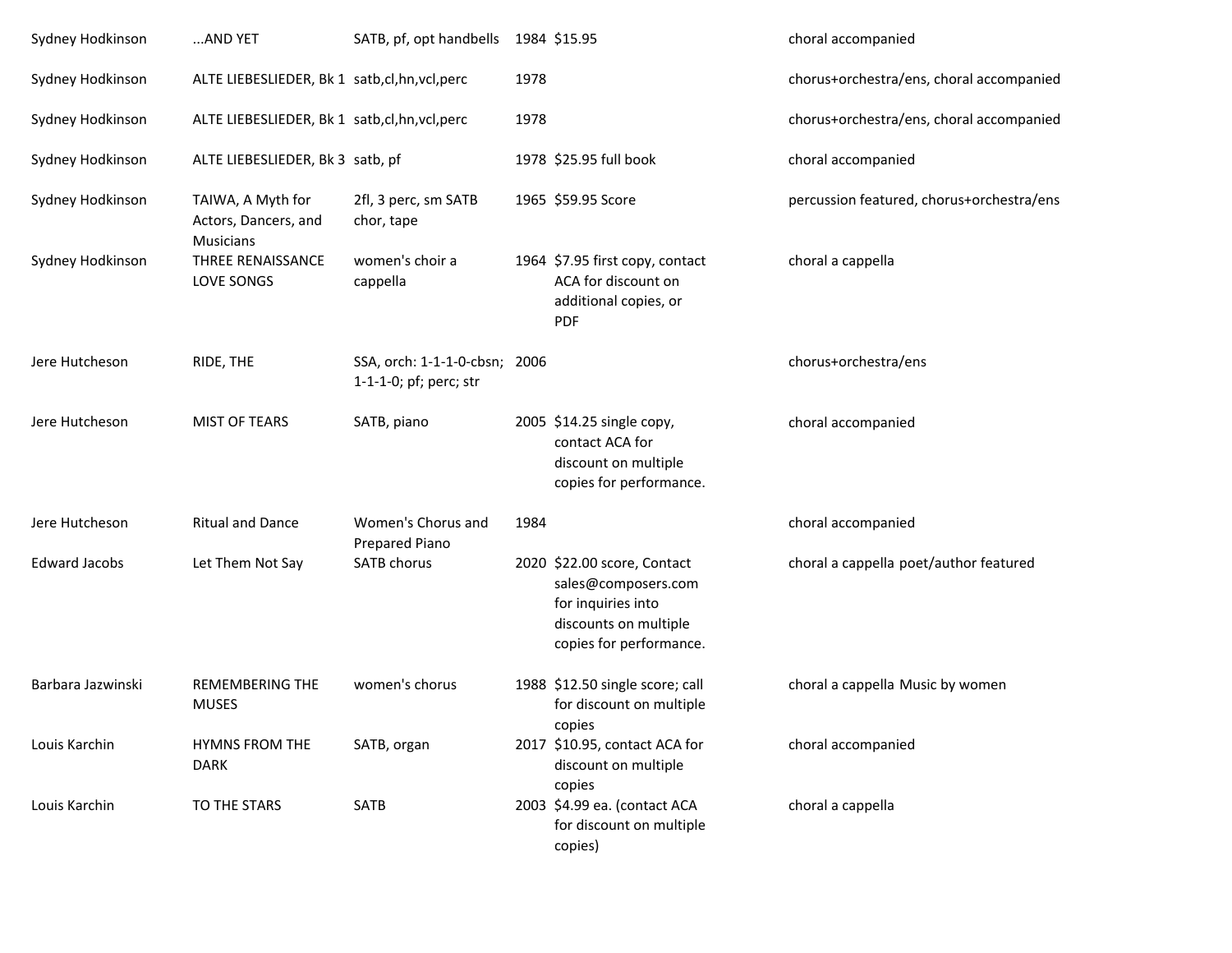| Sydney Hodkinson     | AND YET                                                | SATB, pf, opt handbells                                 |      | 1984 \$15.95                                                                                                                 | choral accompanied                        |
|----------------------|--------------------------------------------------------|---------------------------------------------------------|------|------------------------------------------------------------------------------------------------------------------------------|-------------------------------------------|
| Sydney Hodkinson     | ALTE LIEBESLIEDER, Bk 1 satb,cl,hn,vcl,perc            |                                                         | 1978 |                                                                                                                              | chorus+orchestra/ens, choral accompanied  |
| Sydney Hodkinson     | ALTE LIEBESLIEDER, Bk 1 satb, cl, hn, vcl, perc        |                                                         | 1978 |                                                                                                                              | chorus+orchestra/ens, choral accompanied  |
| Sydney Hodkinson     | ALTE LIEBESLIEDER, Bk 3 satb, pf                       |                                                         |      | 1978 \$25.95 full book                                                                                                       | choral accompanied                        |
| Sydney Hodkinson     | TAIWA, A Myth for<br>Actors, Dancers, and<br>Musicians | 2fl, 3 perc, sm SATB<br>chor, tape                      |      | 1965 \$59.95 Score                                                                                                           | percussion featured, chorus+orchestra/ens |
| Sydney Hodkinson     | THREE RENAISSANCE<br>LOVE SONGS                        | women's choir a<br>cappella                             |      | 1964 \$7.95 first copy, contact<br>ACA for discount on<br>additional copies, or<br><b>PDF</b>                                | choral a cappella                         |
| Jere Hutcheson       | RIDE, THE                                              | SSA, orch: 1-1-1-0-cbsn; 2006<br>1-1-1-0; pf; perc; str |      |                                                                                                                              | chorus+orchestra/ens                      |
| Jere Hutcheson       | <b>MIST OF TEARS</b>                                   | SATB, piano                                             |      | 2005 \$14.25 single copy,<br>contact ACA for<br>discount on multiple<br>copies for performance.                              | choral accompanied                        |
| Jere Hutcheson       | <b>Ritual and Dance</b>                                | Women's Chorus and<br>Prepared Piano                    | 1984 |                                                                                                                              | choral accompanied                        |
| <b>Edward Jacobs</b> | Let Them Not Say                                       | SATB chorus                                             |      | 2020 \$22.00 score, Contact<br>sales@composers.com<br>for inquiries into<br>discounts on multiple<br>copies for performance. | choral a cappella poet/author featured    |
| Barbara Jazwinski    | <b>REMEMBERING THE</b><br><b>MUSES</b>                 | women's chorus                                          |      | 1988 \$12.50 single score; call<br>for discount on multiple<br>copies                                                        | choral a cappella Music by women          |
| Louis Karchin        | <b>HYMNS FROM THE</b><br><b>DARK</b>                   | SATB, organ                                             |      | 2017 \$10.95, contact ACA for<br>discount on multiple<br>copies                                                              | choral accompanied                        |
| Louis Karchin        | TO THE STARS                                           | SATB                                                    |      | 2003 \$4.99 ea. (contact ACA<br>for discount on multiple<br>copies)                                                          | choral a cappella                         |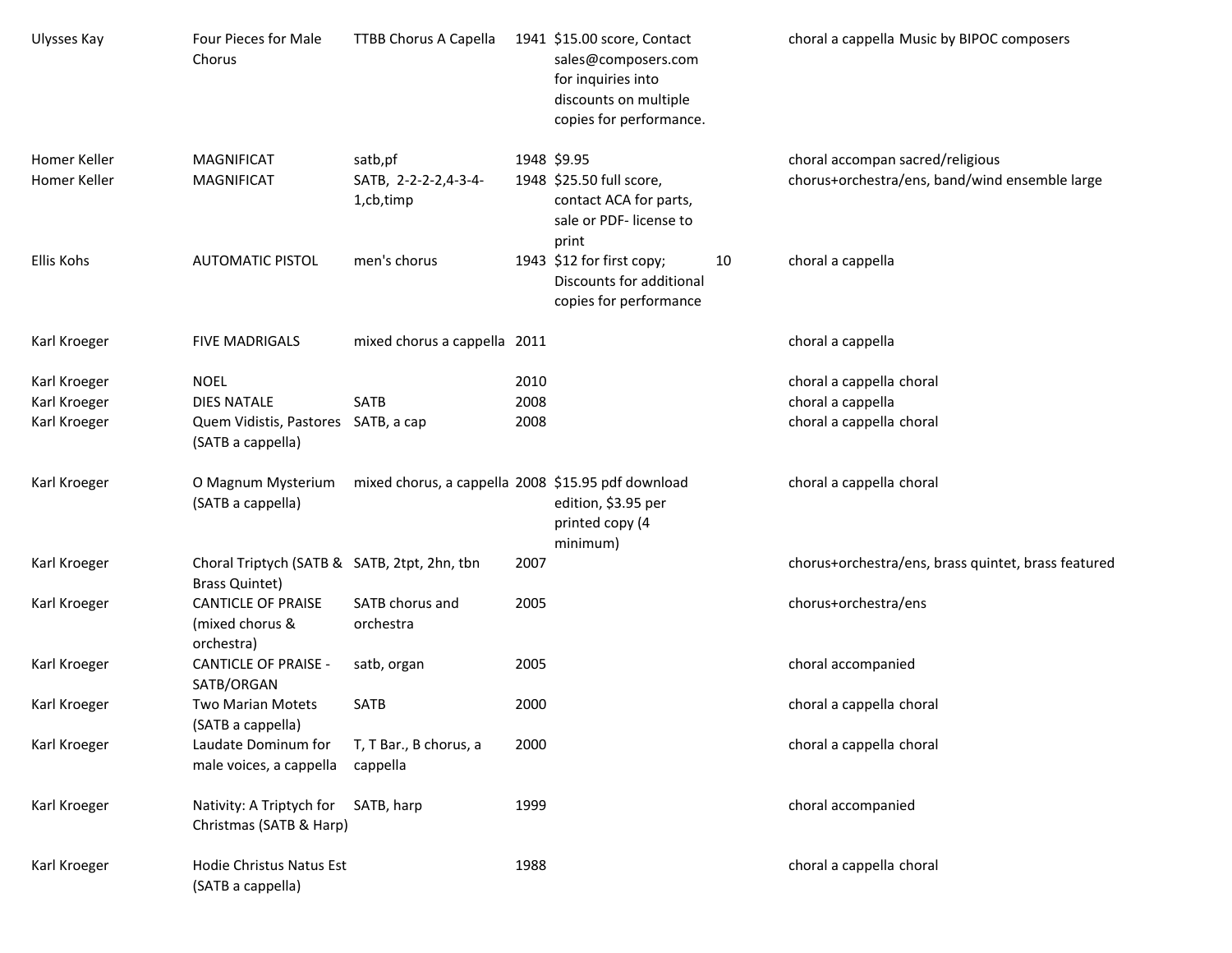| Ulysses Kay                                  | Four Pieces for Male<br>Chorus                                                                | TTBB Chorus A Capella                              |                      | 1941 \$15.00 score, Contact<br>sales@composers.com<br>for inquiries into<br>discounts on multiple<br>copies for performance. |    | choral a cappella Music by BIPOC composers                                         |
|----------------------------------------------|-----------------------------------------------------------------------------------------------|----------------------------------------------------|----------------------|------------------------------------------------------------------------------------------------------------------------------|----|------------------------------------------------------------------------------------|
| Homer Keller<br>Homer Keller                 | <b>MAGNIFICAT</b><br><b>MAGNIFICAT</b>                                                        | satb,pf<br>SATB, 2-2-2-2,4-3-4-<br>1,cb,timp       |                      | 1948 \$9.95<br>1948 \$25.50 full score,<br>contact ACA for parts,<br>sale or PDF- license to<br>print                        |    | choral accompan sacred/religious<br>chorus+orchestra/ens, band/wind ensemble large |
| Ellis Kohs                                   | <b>AUTOMATIC PISTOL</b>                                                                       | men's chorus                                       |                      | 1943 \$12 for first copy;<br>Discounts for additional<br>copies for performance                                              | 10 | choral a cappella                                                                  |
| Karl Kroeger                                 | <b>FIVE MADRIGALS</b>                                                                         | mixed chorus a cappella 2011                       |                      |                                                                                                                              |    | choral a cappella                                                                  |
| Karl Kroeger<br>Karl Kroeger<br>Karl Kroeger | <b>NOEL</b><br><b>DIES NATALE</b><br>Quem Vidistis, Pastores SATB, a cap<br>(SATB a cappella) | <b>SATB</b>                                        | 2010<br>2008<br>2008 |                                                                                                                              |    | choral a cappella choral<br>choral a cappella<br>choral a cappella choral          |
| Karl Kroeger                                 | O Magnum Mysterium<br>(SATB a cappella)                                                       | mixed chorus, a cappella 2008 \$15.95 pdf download |                      | edition, \$3.95 per<br>printed copy (4<br>minimum)                                                                           |    | choral a cappella choral                                                           |
| Karl Kroeger                                 | Choral Triptych (SATB & SATB, 2tpt, 2hn, tbn<br><b>Brass Quintet)</b>                         |                                                    | 2007                 |                                                                                                                              |    | chorus+orchestra/ens, brass quintet, brass featured                                |
| Karl Kroeger                                 | <b>CANTICLE OF PRAISE</b><br>(mixed chorus &<br>orchestra)                                    | SATB chorus and<br>orchestra                       | 2005                 |                                                                                                                              |    | chorus+orchestra/ens                                                               |
| Karl Kroeger                                 | <b>CANTICLE OF PRAISE -</b><br>SATB/ORGAN                                                     | satb, organ                                        | 2005                 |                                                                                                                              |    | choral accompanied                                                                 |
| Karl Kroeger                                 | Two Marian Motets<br>(SATB a cappella)                                                        | <b>SATB</b>                                        | 2000                 |                                                                                                                              |    | choral a cappella choral                                                           |
| Karl Kroeger                                 | Laudate Dominum for<br>male voices, a cappella                                                | T, T Bar., B chorus, a<br>cappella                 | 2000                 |                                                                                                                              |    | choral a cappella choral                                                           |
| Karl Kroeger                                 | Nativity: A Triptych for<br>Christmas (SATB & Harp)                                           | SATB, harp                                         | 1999                 |                                                                                                                              |    | choral accompanied                                                                 |
| Karl Kroeger                                 | Hodie Christus Natus Est<br>(SATB a cappella)                                                 |                                                    | 1988                 |                                                                                                                              |    | choral a cappella choral                                                           |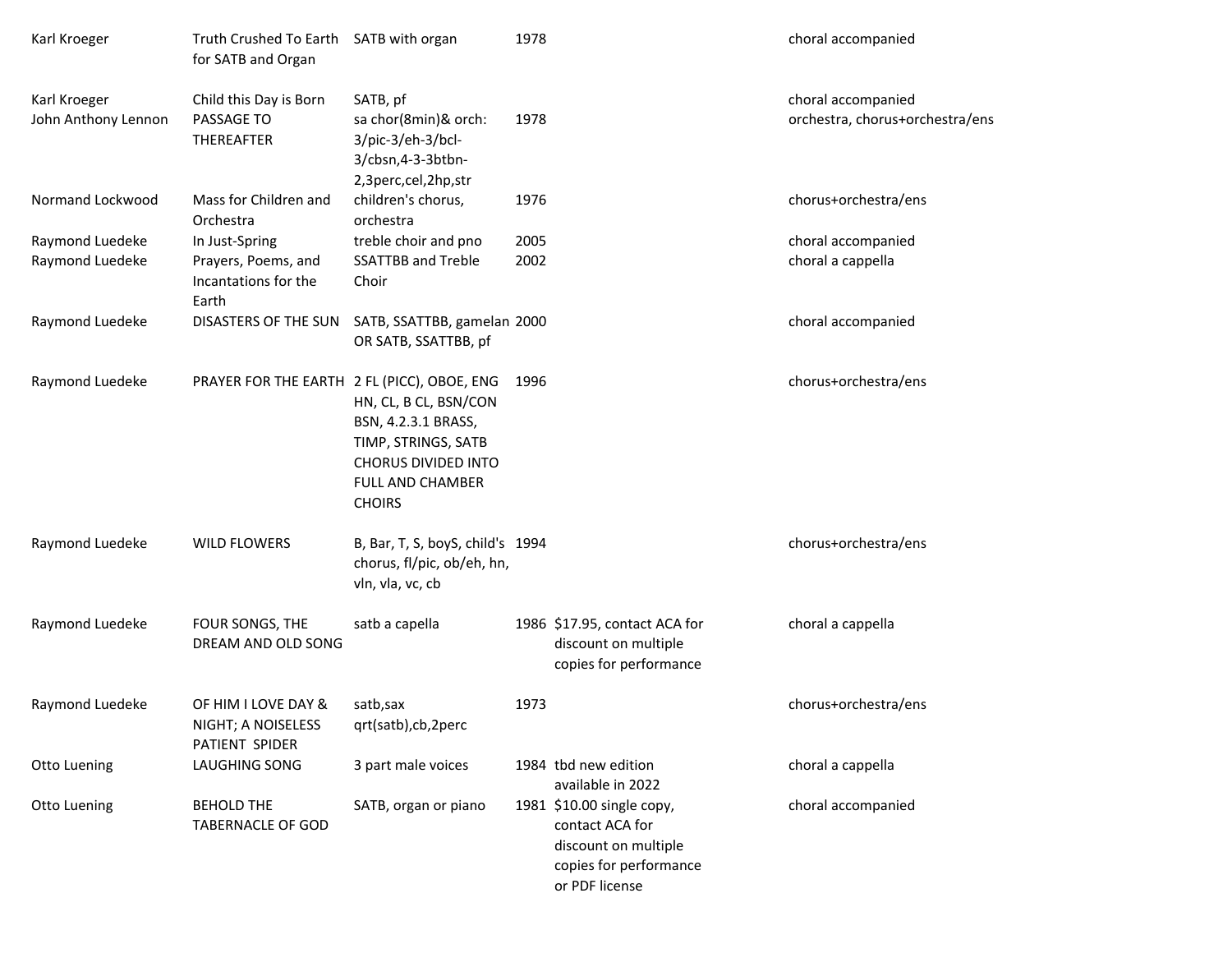| Karl Kroeger        | Truth Crushed To Earth SATB with organ<br>for SATB and Organ |                                                                                                                                        | 1978 |                                                                                                                  | choral accompanied              |
|---------------------|--------------------------------------------------------------|----------------------------------------------------------------------------------------------------------------------------------------|------|------------------------------------------------------------------------------------------------------------------|---------------------------------|
| Karl Kroeger        | Child this Day is Born                                       | SATB, pf                                                                                                                               |      |                                                                                                                  | choral accompanied              |
| John Anthony Lennon | PASSAGE TO<br>THEREAFTER                                     | sa chor(8min)& orch:<br>3/pic-3/eh-3/bcl-<br>3/cbsn, 4-3-3btbn-<br>2,3perc,cel,2hp,str                                                 | 1978 |                                                                                                                  | orchestra, chorus+orchestra/ens |
| Normand Lockwood    | Mass for Children and<br>Orchestra                           | children's chorus,<br>orchestra                                                                                                        | 1976 |                                                                                                                  | chorus+orchestra/ens            |
| Raymond Luedeke     | In Just-Spring                                               | treble choir and pno                                                                                                                   | 2005 |                                                                                                                  | choral accompanied              |
| Raymond Luedeke     | Prayers, Poems, and<br>Incantations for the<br>Earth         | <b>SSATTBB and Treble</b><br>Choir                                                                                                     | 2002 |                                                                                                                  | choral a cappella               |
| Raymond Luedeke     | DISASTERS OF THE SUN                                         | SATB, SSATTBB, gamelan 2000<br>OR SATB, SSATTBB, pf                                                                                    |      |                                                                                                                  | choral accompanied              |
| Raymond Luedeke     | PRAYER FOR THE EARTH 2 FL (PICC), OBOE, ENG                  | HN, CL, B CL, BSN/CON<br>BSN, 4.2.3.1 BRASS,<br>TIMP, STRINGS, SATB<br><b>CHORUS DIVIDED INTO</b><br>FULL AND CHAMBER<br><b>CHOIRS</b> | 1996 |                                                                                                                  | chorus+orchestra/ens            |
| Raymond Luedeke     | <b>WILD FLOWERS</b>                                          | B, Bar, T, S, boyS, child's 1994<br>chorus, fl/pic, ob/eh, hn,<br>vln, vla, vc, cb                                                     |      |                                                                                                                  | chorus+orchestra/ens            |
| Raymond Luedeke     | FOUR SONGS, THE<br>DREAM AND OLD SONG                        | satb a capella                                                                                                                         |      | 1986 \$17.95, contact ACA for<br>discount on multiple<br>copies for performance                                  | choral a cappella               |
| Raymond Luedeke     | OF HIM I LOVE DAY &<br>NIGHT; A NOISELESS<br>PATIENT SPIDER  | satb,sax<br>qrt(satb),cb,2perc                                                                                                         | 1973 |                                                                                                                  | chorus+orchestra/ens            |
| Otto Luening        | LAUGHING SONG                                                | 3 part male voices                                                                                                                     |      | 1984 tbd new edition<br>available in 2022                                                                        | choral a cappella               |
| Otto Luening        | <b>BEHOLD THE</b><br><b>TABERNACLE OF GOD</b>                | SATB, organ or piano                                                                                                                   |      | 1981 \$10.00 single copy,<br>contact ACA for<br>discount on multiple<br>copies for performance<br>or PDF license | choral accompanied              |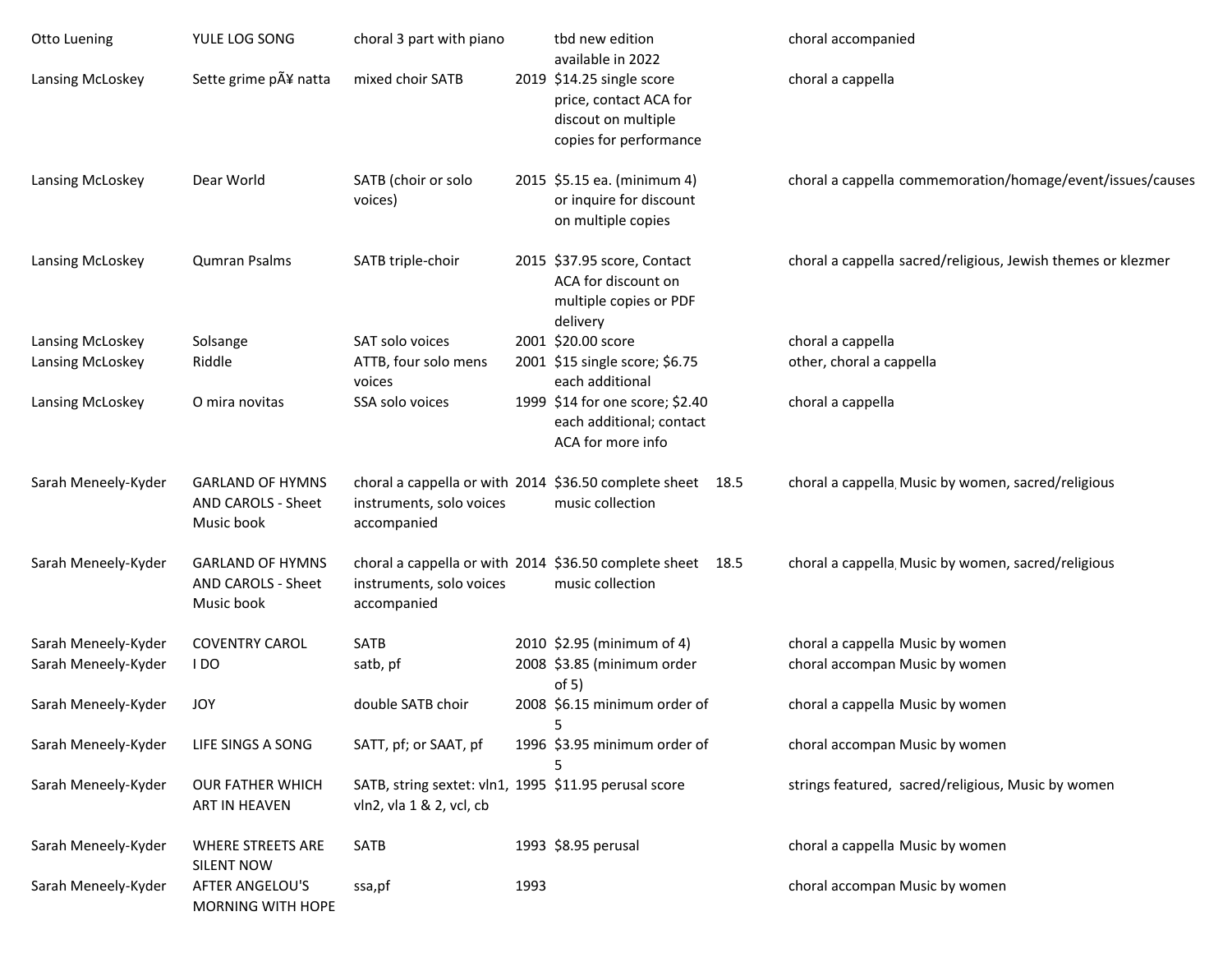| <b>Otto Luening</b> | YULE LOG SONG                                               | choral 3 part with piano                                                          |      | tbd new edition<br>available in 2022                                                                 | choral accompanied                                           |
|---------------------|-------------------------------------------------------------|-----------------------------------------------------------------------------------|------|------------------------------------------------------------------------------------------------------|--------------------------------------------------------------|
| Lansing McLoskey    | Sette grime p¥ natta                                        | mixed choir SATB                                                                  |      | 2019 \$14.25 single score<br>price, contact ACA for<br>discout on multiple<br>copies for performance | choral a cappella                                            |
| Lansing McLoskey    | Dear World                                                  | SATB (choir or solo<br>voices)                                                    |      | 2015 \$5.15 ea. (minimum 4)<br>or inquire for discount<br>on multiple copies                         | choral a cappella commemoration/homage/event/issues/causes   |
| Lansing McLoskey    | Qumran Psalms                                               | SATB triple-choir                                                                 |      | 2015 \$37.95 score, Contact<br>ACA for discount on<br>multiple copies or PDF<br>delivery             | choral a cappella sacred/religious, Jewish themes or klezmer |
| Lansing McLoskey    | Solsange                                                    | SAT solo voices                                                                   |      | 2001 \$20.00 score                                                                                   | choral a cappella                                            |
| Lansing McLoskey    | Riddle                                                      | ATTB, four solo mens<br>voices                                                    |      | 2001 \$15 single score; \$6.75<br>each additional                                                    | other, choral a cappella                                     |
| Lansing McLoskey    | O mira novitas                                              | SSA solo voices                                                                   |      | 1999 \$14 for one score; \$2.40<br>each additional; contact<br>ACA for more info                     | choral a cappella                                            |
| Sarah Meneely-Kyder | <b>GARLAND OF HYMNS</b><br>AND CAROLS - Sheet<br>Music book | instruments, solo voices<br>accompanied                                           |      | choral a cappella or with 2014 \$36.50 complete sheet 18.5<br>music collection                       | choral a cappella Music by women, sacred/religious           |
| Sarah Meneely-Kyder | <b>GARLAND OF HYMNS</b><br>AND CAROLS - Sheet<br>Music book | instruments, solo voices<br>accompanied                                           |      | choral a cappella or with 2014 \$36.50 complete sheet 18.5<br>music collection                       | choral a cappella Music by women, sacred/religious           |
| Sarah Meneely-Kyder | <b>COVENTRY CAROL</b>                                       | <b>SATB</b>                                                                       |      | 2010 \$2.95 (minimum of 4)                                                                           | choral a cappella Music by women                             |
| Sarah Meneely-Kyder | I DO                                                        | satb, pf                                                                          |      | 2008 \$3.85 (minimum order<br>of 5)                                                                  | choral accompan Music by women                               |
| Sarah Meneely-Kyder | JOY                                                         | double SATB choir                                                                 |      | 2008 \$6.15 minimum order of                                                                         | choral a cappella Music by women                             |
| Sarah Meneely-Kyder | LIFE SINGS A SONG                                           | SATT, pf; or SAAT, pf                                                             |      | 1996 \$3.95 minimum order of                                                                         | choral accompan Music by women                               |
| Sarah Meneely-Kyder | OUR FATHER WHICH<br>ART IN HEAVEN                           | SATB, string sextet: vln1, 1995 \$11.95 perusal score<br>vln2, vla 1 & 2, vcl, cb |      |                                                                                                      | strings featured, sacred/religious, Music by women           |
| Sarah Meneely-Kyder | <b>WHERE STREETS ARE</b><br><b>SILENT NOW</b>               | SATB                                                                              |      | 1993 \$8.95 perusal                                                                                  | choral a cappella Music by women                             |
| Sarah Meneely-Kyder | <b>AFTER ANGELOU'S</b><br>MORNING WITH HOPE                 | ssa,pf                                                                            | 1993 |                                                                                                      | choral accompan Music by women                               |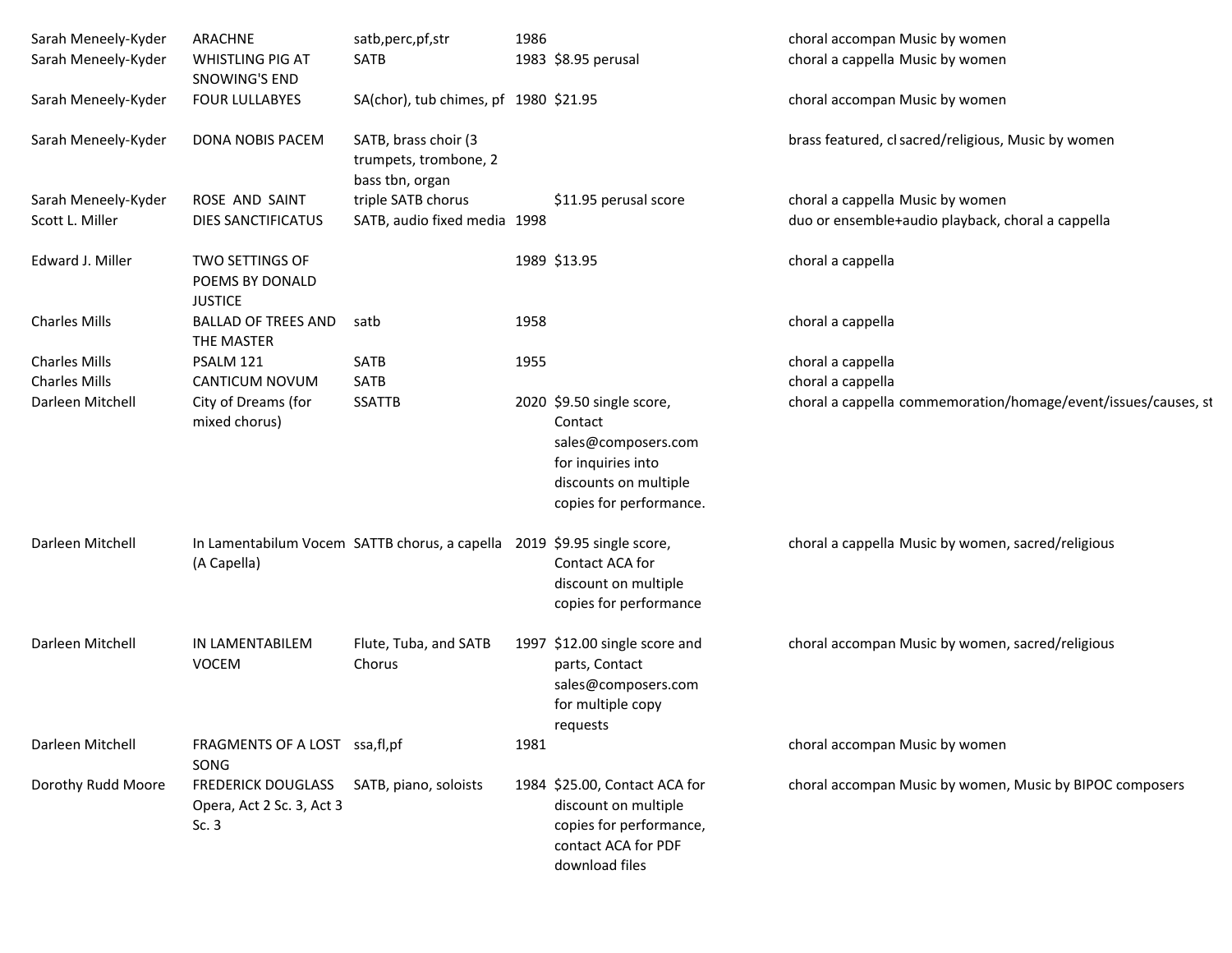| Sarah Meneely-Kyder<br>Sarah Meneely-Kyder | ARACHNE<br>WHISTLING PIG AT                                     | satb, perc, pf, str<br>SATB                                             | 1986 | 1983 \$8.95 perusal                                                                                                                   | choral accompan Music by women<br>choral a cappella Music by women |
|--------------------------------------------|-----------------------------------------------------------------|-------------------------------------------------------------------------|------|---------------------------------------------------------------------------------------------------------------------------------------|--------------------------------------------------------------------|
|                                            | SNOWING'S END                                                   |                                                                         |      |                                                                                                                                       |                                                                    |
| Sarah Meneely-Kyder                        | <b>FOUR LULLABYES</b>                                           | SA(chor), tub chimes, pf 1980 \$21.95                                   |      |                                                                                                                                       | choral accompan Music by women                                     |
| Sarah Meneely-Kyder                        | DONA NOBIS PACEM                                                | SATB, brass choir (3<br>trumpets, trombone, 2<br>bass tbn, organ        |      |                                                                                                                                       | brass featured, cl sacred/religious, Music by women                |
| Sarah Meneely-Kyder                        | ROSE AND SAINT                                                  | triple SATB chorus                                                      |      | \$11.95 perusal score                                                                                                                 | choral a cappella Music by women                                   |
| Scott L. Miller                            | DIES SANCTIFICATUS                                              | SATB, audio fixed media 1998                                            |      |                                                                                                                                       | duo or ensemble+audio playback, choral a cappella                  |
| Edward J. Miller                           | <b>TWO SETTINGS OF</b><br>POEMS BY DONALD<br><b>JUSTICE</b>     |                                                                         |      | 1989 \$13.95                                                                                                                          | choral a cappella                                                  |
| <b>Charles Mills</b>                       | <b>BALLAD OF TREES AND</b><br>THE MASTER                        | satb                                                                    | 1958 |                                                                                                                                       | choral a cappella                                                  |
| <b>Charles Mills</b>                       | PSALM 121                                                       | <b>SATB</b>                                                             | 1955 |                                                                                                                                       | choral a cappella                                                  |
| <b>Charles Mills</b>                       | CANTICUM NOVUM                                                  | SATB                                                                    |      |                                                                                                                                       | choral a cappella                                                  |
| Darleen Mitchell                           | City of Dreams (for<br>mixed chorus)                            | <b>SSATTB</b>                                                           |      | 2020 \$9.50 single score,<br>Contact<br>sales@composers.com<br>for inquiries into<br>discounts on multiple<br>copies for performance. | choral a cappella commemoration/homage/event/issues/causes, st     |
| Darleen Mitchell                           | (A Capella)                                                     | In Lamentabilum Vocem SATTB chorus, a capella 2019 \$9.95 single score, |      | Contact ACA for<br>discount on multiple<br>copies for performance                                                                     | choral a cappella Music by women, sacred/religious                 |
| Darleen Mitchell                           | IN LAMENTABILEM<br>VOCEM                                        | Flute, Tuba, and SATB<br>Chorus                                         |      | 1997 \$12.00 single score and<br>parts, Contact<br>sales@composers.com<br>for multiple copy<br>requests                               | choral accompan Music by women, sacred/religious                   |
| Darleen Mitchell                           | FRAGMENTS OF A LOST ssa, fl, pf<br>SONG                         |                                                                         | 1981 |                                                                                                                                       | choral accompan Music by women                                     |
| Dorothy Rudd Moore                         | <b>FREDERICK DOUGLASS</b><br>Opera, Act 2 Sc. 3, Act 3<br>Sc. 3 | SATB, piano, soloists                                                   |      | 1984 \$25.00, Contact ACA for<br>discount on multiple<br>copies for performance,<br>contact ACA for PDF<br>download files             | choral accompan Music by women, Music by BIPOC composers           |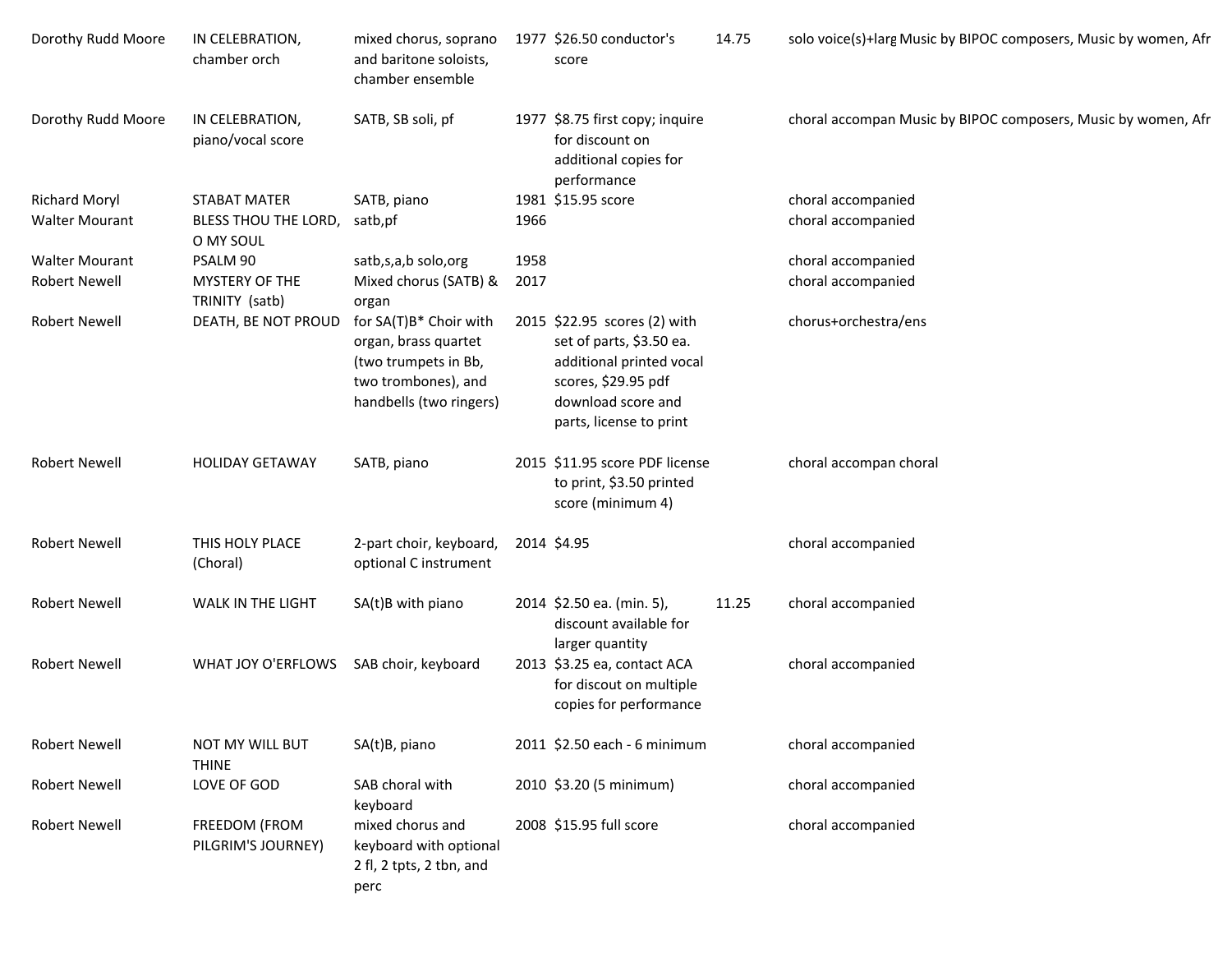| Dorothy Rudd Moore    | IN CELEBRATION,<br>chamber orch      | mixed chorus, soprano<br>and baritone soloists,<br>chamber ensemble                                                      |      | 1977 \$26.50 conductor's<br>score                                                                                                                            | 14.75 | solo voice(s)+larg Music by BIPOC composers, Music by women, Afr |
|-----------------------|--------------------------------------|--------------------------------------------------------------------------------------------------------------------------|------|--------------------------------------------------------------------------------------------------------------------------------------------------------------|-------|------------------------------------------------------------------|
| Dorothy Rudd Moore    | IN CELEBRATION,<br>piano/vocal score | SATB, SB soli, pf                                                                                                        |      | 1977 \$8.75 first copy; inquire<br>for discount on<br>additional copies for<br>performance                                                                   |       | choral accompan Music by BIPOC composers, Music by women, Afr    |
| <b>Richard Moryl</b>  | <b>STABAT MATER</b>                  | SATB, piano                                                                                                              |      | 1981 \$15.95 score                                                                                                                                           |       | choral accompanied                                               |
| <b>Walter Mourant</b> | BLESS THOU THE LORD,<br>O MY SOUL    | satb,pf                                                                                                                  | 1966 |                                                                                                                                                              |       | choral accompanied                                               |
| <b>Walter Mourant</b> | PSALM 90                             | satb,s,a,b solo,org                                                                                                      | 1958 |                                                                                                                                                              |       | choral accompanied                                               |
| <b>Robert Newell</b>  | MYSTERY OF THE<br>TRINITY (satb)     | Mixed chorus (SATB) &<br>organ                                                                                           | 2017 |                                                                                                                                                              |       | choral accompanied                                               |
| <b>Robert Newell</b>  | DEATH, BE NOT PROUD                  | for SA(T)B* Choir with<br>organ, brass quartet<br>(two trumpets in Bb,<br>two trombones), and<br>handbells (two ringers) |      | 2015 \$22.95 scores (2) with<br>set of parts, \$3.50 ea.<br>additional printed vocal<br>scores, \$29.95 pdf<br>download score and<br>parts, license to print |       | chorus+orchestra/ens                                             |
| <b>Robert Newell</b>  | <b>HOLIDAY GETAWAY</b>               | SATB, piano                                                                                                              |      | 2015 \$11.95 score PDF license<br>to print, \$3.50 printed<br>score (minimum 4)                                                                              |       | choral accompan choral                                           |
| <b>Robert Newell</b>  | THIS HOLY PLACE<br>(Choral)          | 2-part choir, keyboard,<br>optional C instrument                                                                         |      | 2014 \$4.95                                                                                                                                                  |       | choral accompanied                                               |
| <b>Robert Newell</b>  | WALK IN THE LIGHT                    | SA(t)B with piano                                                                                                        |      | 2014 \$2.50 ea. (min. 5),<br>discount available for<br>larger quantity                                                                                       | 11.25 | choral accompanied                                               |
| <b>Robert Newell</b>  | WHAT JOY O'ERFLOWS                   | SAB choir, keyboard                                                                                                      |      | 2013 \$3.25 ea, contact ACA<br>for discout on multiple<br>copies for performance                                                                             |       | choral accompanied                                               |
| Robert Newell         | NOT MY WILL BUT<br><b>THINE</b>      | SA(t)B, piano                                                                                                            |      | 2011 \$2.50 each - 6 minimum                                                                                                                                 |       | choral accompanied                                               |
| <b>Robert Newell</b>  | LOVE OF GOD                          | SAB choral with<br>keyboard                                                                                              |      | 2010 \$3.20 (5 minimum)                                                                                                                                      |       | choral accompanied                                               |
| Robert Newell         | FREEDOM (FROM<br>PILGRIM'S JOURNEY)  | mixed chorus and<br>keyboard with optional<br>2 fl, 2 tpts, 2 tbn, and<br>perc                                           |      | 2008 \$15.95 full score                                                                                                                                      |       | choral accompanied                                               |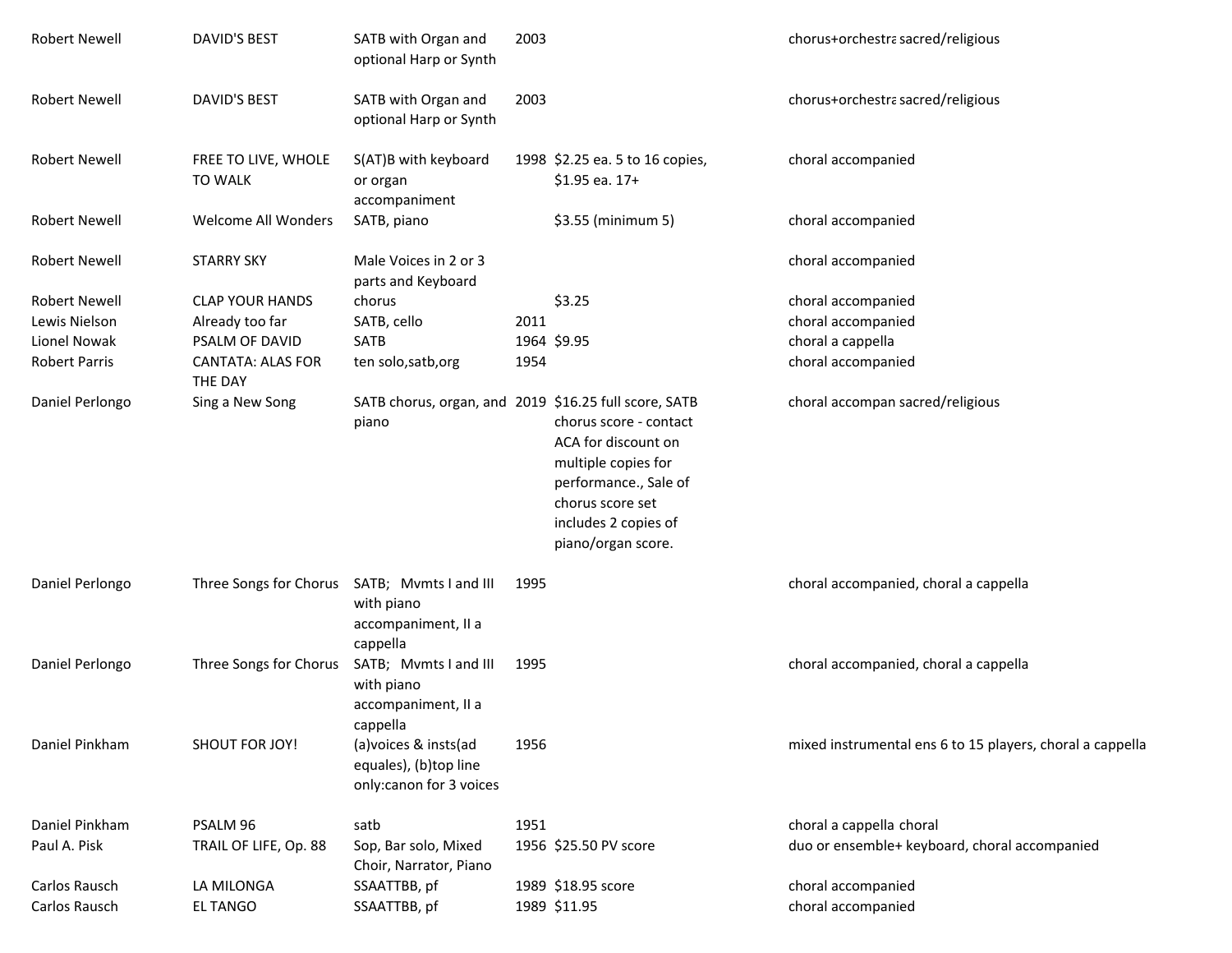| <b>Robert Newell</b>           | DAVID'S BEST                                 | SATB with Organ and<br>optional Harp or Synth                              | 2003 |                                                                                                                                                                 | chorus+orchestra sacred/religious                         |
|--------------------------------|----------------------------------------------|----------------------------------------------------------------------------|------|-----------------------------------------------------------------------------------------------------------------------------------------------------------------|-----------------------------------------------------------|
| <b>Robert Newell</b>           | DAVID'S BEST                                 | SATB with Organ and<br>optional Harp or Synth                              | 2003 |                                                                                                                                                                 | chorus+orchestra sacred/religious                         |
| <b>Robert Newell</b>           | FREE TO LIVE, WHOLE<br><b>TO WALK</b>        | S(AT)B with keyboard<br>or organ<br>accompaniment                          |      | 1998 \$2.25 ea. 5 to 16 copies,<br>\$1.95 ea. 17+                                                                                                               | choral accompanied                                        |
| <b>Robert Newell</b>           | <b>Welcome All Wonders</b>                   | SATB, piano                                                                |      | \$3.55 (minimum 5)                                                                                                                                              | choral accompanied                                        |
| Robert Newell                  | <b>STARRY SKY</b>                            | Male Voices in 2 or 3<br>parts and Keyboard                                |      |                                                                                                                                                                 | choral accompanied                                        |
| <b>Robert Newell</b>           | <b>CLAP YOUR HANDS</b>                       | chorus                                                                     |      | \$3.25                                                                                                                                                          | choral accompanied                                        |
| Lewis Nielson                  | Already too far                              | SATB, cello                                                                | 2011 |                                                                                                                                                                 | choral accompanied                                        |
| Lionel Nowak                   | PSALM OF DAVID                               | SATB                                                                       |      | 1964 \$9.95                                                                                                                                                     | choral a cappella                                         |
| <b>Robert Parris</b>           | <b>CANTATA: ALAS FOR</b><br>THE DAY          | ten solo, satb, org                                                        | 1954 |                                                                                                                                                                 | choral accompanied                                        |
| Daniel Perlongo                | Sing a New Song                              | SATB chorus, organ, and 2019 \$16.25 full score, SATB<br>piano             |      | chorus score - contact<br>ACA for discount on<br>multiple copies for<br>performance., Sale of<br>chorus score set<br>includes 2 copies of<br>piano/organ score. | choral accompan sacred/religious                          |
| Daniel Perlongo                | Three Songs for Chorus SATB; Mvmts I and III | with piano<br>accompaniment, II a<br>cappella                              | 1995 |                                                                                                                                                                 | choral accompanied, choral a cappella                     |
| Daniel Perlongo                | Three Songs for Chorus                       | SATB; Mvmts I and III<br>with piano<br>accompaniment, II a<br>cappella     | 1995 |                                                                                                                                                                 | choral accompanied, choral a cappella                     |
| Daniel Pinkham                 | <b>SHOUT FOR JOY!</b>                        | (a) voices & insts (ad<br>equales), (b)top line<br>only:canon for 3 voices | 1956 |                                                                                                                                                                 | mixed instrumental ens 6 to 15 players, choral a cappella |
| Daniel Pinkham                 | PSALM 96                                     | satb                                                                       | 1951 |                                                                                                                                                                 | choral a cappella choral                                  |
| Paul A. Pisk                   | TRAIL OF LIFE, Op. 88                        | Sop, Bar solo, Mixed<br>Choir, Narrator, Piano                             |      | 1956 \$25.50 PV score                                                                                                                                           | duo or ensemble+ keyboard, choral accompanied             |
| Carlos Rausch<br>Carlos Rausch | LA MILONGA<br><b>EL TANGO</b>                | SSAATTBB, pf<br>SSAATTBB, pf                                               |      | 1989 \$18.95 score<br>1989 \$11.95                                                                                                                              | choral accompanied<br>choral accompanied                  |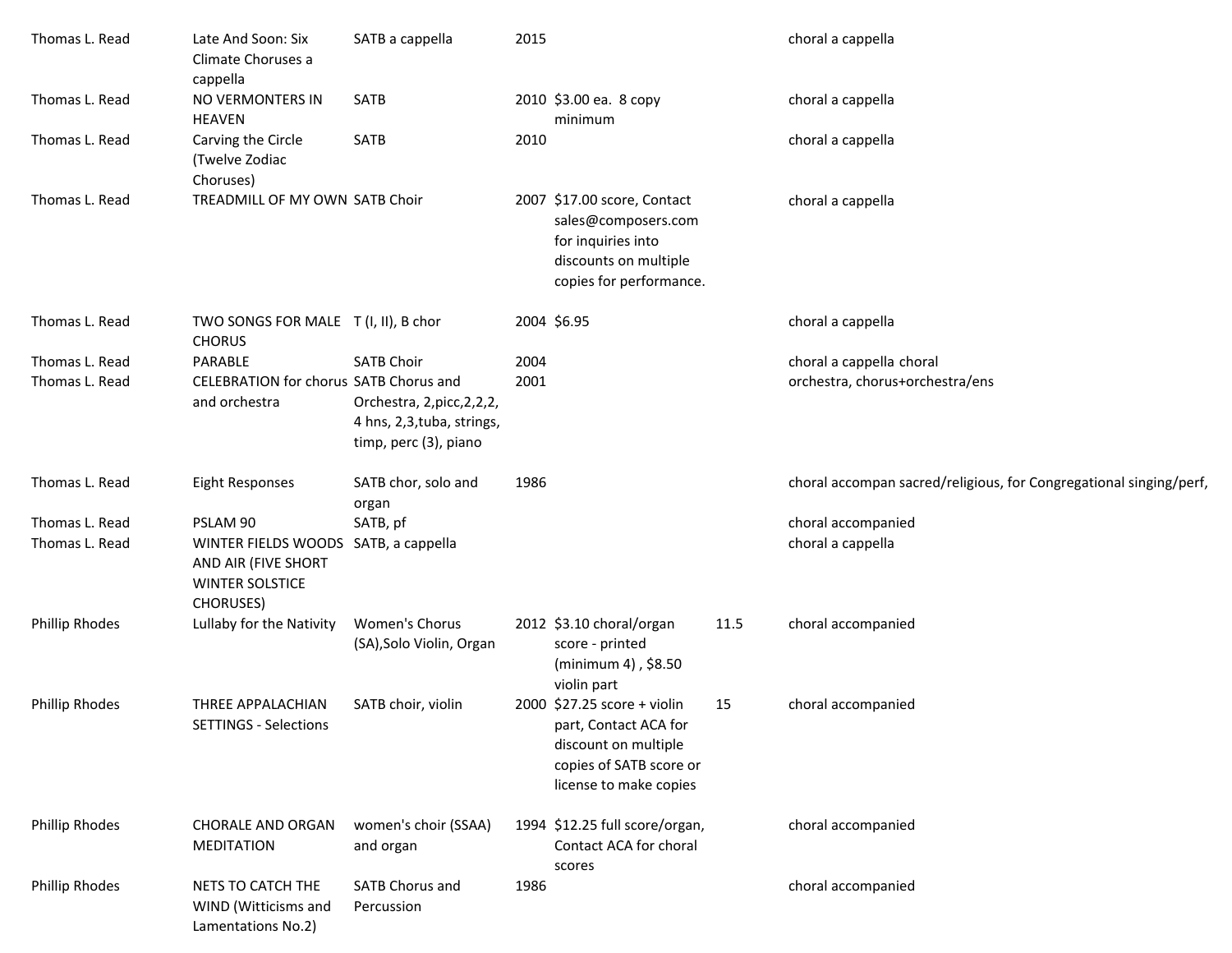| Thomas L. Read        | Late And Soon: Six<br>Climate Choruses a<br>cappella                                                      | SATB a cappella                                                                     | 2015 |                                                                                                                                   |      | choral a cappella                                                  |
|-----------------------|-----------------------------------------------------------------------------------------------------------|-------------------------------------------------------------------------------------|------|-----------------------------------------------------------------------------------------------------------------------------------|------|--------------------------------------------------------------------|
| Thomas L. Read        | NO VERMONTERS IN<br><b>HEAVEN</b>                                                                         | SATB                                                                                |      | 2010 \$3.00 еа. 8 сору<br>minimum                                                                                                 |      | choral a cappella                                                  |
| Thomas L. Read        | Carving the Circle<br>(Twelve Zodiac<br>Choruses)                                                         | SATB                                                                                | 2010 |                                                                                                                                   |      | choral a cappella                                                  |
| Thomas L. Read        | TREADMILL OF MY OWN SATB Choir                                                                            |                                                                                     |      | 2007 \$17.00 score, Contact<br>sales@composers.com<br>for inquiries into<br>discounts on multiple<br>copies for performance.      |      | choral a cappella                                                  |
| Thomas L. Read        | TWO SONGS FOR MALE T (I, II), B chor<br><b>CHORUS</b>                                                     |                                                                                     |      | 2004 \$6.95                                                                                                                       |      | choral a cappella                                                  |
| Thomas L. Read        | PARABLE                                                                                                   | <b>SATB Choir</b>                                                                   | 2004 |                                                                                                                                   |      | choral a cappella choral                                           |
| Thomas L. Read        | CELEBRATION for chorus SATB Chorus and<br>and orchestra                                                   | Orchestra, 2, picc, 2, 2, 2,<br>4 hns, 2,3, tuba, strings,<br>timp, perc (3), piano | 2001 |                                                                                                                                   |      | orchestra, chorus+orchestra/ens                                    |
| Thomas L. Read        | Eight Responses                                                                                           | SATB chor, solo and<br>organ                                                        | 1986 |                                                                                                                                   |      | choral accompan sacred/religious, for Congregational singing/perf, |
| Thomas L. Read        | PSLAM 90                                                                                                  | SATB, pf                                                                            |      |                                                                                                                                   |      | choral accompanied                                                 |
| Thomas L. Read        | WINTER FIELDS WOODS SATB, a cappella<br>AND AIR (FIVE SHORT<br><b>WINTER SOLSTICE</b><br><b>CHORUSES)</b> |                                                                                     |      |                                                                                                                                   |      | choral a cappella                                                  |
| <b>Phillip Rhodes</b> | Lullaby for the Nativity                                                                                  | Women's Chorus<br>(SA), Solo Violin, Organ                                          |      | 2012 \$3.10 choral/organ<br>score - printed<br>(minimum 4), \$8.50<br>violin part                                                 | 11.5 | choral accompanied                                                 |
| <b>Phillip Rhodes</b> | THREE APPALACHIAN<br><b>SETTINGS - Selections</b>                                                         | SATB choir, violin                                                                  |      | 2000 \$27.25 score + violin<br>part, Contact ACA for<br>discount on multiple<br>copies of SATB score or<br>license to make copies | 15   | choral accompanied                                                 |
| <b>Phillip Rhodes</b> | <b>CHORALE AND ORGAN</b><br>MEDITATION                                                                    | women's choir (SSAA)<br>and organ                                                   |      | 1994 \$12.25 full score/organ,<br>Contact ACA for choral<br>scores                                                                |      | choral accompanied                                                 |
| <b>Phillip Rhodes</b> | NETS TO CATCH THE<br>WIND (Witticisms and<br>Lamentations No.2)                                           | SATB Chorus and<br>Percussion                                                       | 1986 |                                                                                                                                   |      | choral accompanied                                                 |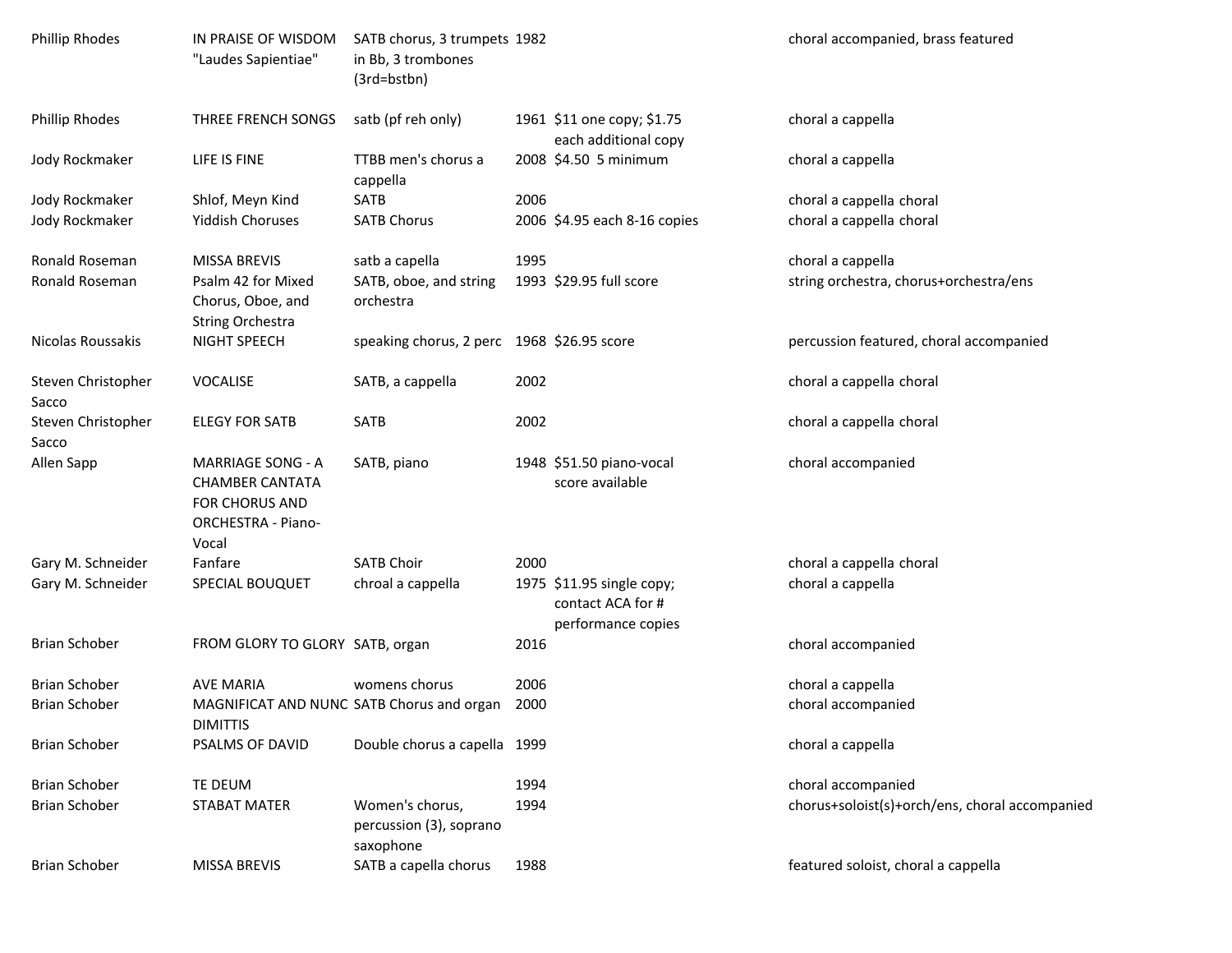| <b>Phillip Rhodes</b>       | IN PRAISE OF WISDOM<br>"Laudes Sapientiae"                                                          | SATB chorus, 3 trumpets 1982<br>in Bb, 3 trombones<br>(3rd=bstbn) |      |                                                                      | choral accompanied, brass featured             |
|-----------------------------|-----------------------------------------------------------------------------------------------------|-------------------------------------------------------------------|------|----------------------------------------------------------------------|------------------------------------------------|
| <b>Phillip Rhodes</b>       | THREE FRENCH SONGS                                                                                  | satb (pf reh only)                                                |      | 1961 \$11 one copy; \$1.75<br>each additional copy                   | choral a cappella                              |
| Jody Rockmaker              | LIFE IS FINE                                                                                        | TTBB men's chorus a<br>cappella                                   |      | 2008 \$4.50 5 minimum                                                | choral a cappella                              |
| Jody Rockmaker              | Shlof, Meyn Kind                                                                                    | SATB                                                              | 2006 |                                                                      | choral a cappella choral                       |
| Jody Rockmaker              | <b>Yiddish Choruses</b>                                                                             | <b>SATB Chorus</b>                                                |      | 2006 \$4.95 each 8-16 copies                                         | choral a cappella choral                       |
| Ronald Roseman              | <b>MISSA BREVIS</b>                                                                                 | satb a capella                                                    | 1995 |                                                                      | choral a cappella                              |
| Ronald Roseman              | Psalm 42 for Mixed<br>Chorus, Oboe, and<br>String Orchestra                                         | SATB, oboe, and string<br>orchestra                               |      | 1993 \$29.95 full score                                              | string orchestra, chorus+orchestra/ens         |
| Nicolas Roussakis           | NIGHT SPEECH                                                                                        | speaking chorus, 2 perc 1968 \$26.95 score                        |      |                                                                      | percussion featured, choral accompanied        |
| Steven Christopher<br>Sacco | <b>VOCALISE</b>                                                                                     | SATB, a cappella                                                  | 2002 |                                                                      | choral a cappella choral                       |
| Steven Christopher<br>Sacco | <b>ELEGY FOR SATB</b>                                                                               | SATB                                                              | 2002 |                                                                      | choral a cappella choral                       |
| Allen Sapp                  | <b>MARRIAGE SONG - A</b><br><b>CHAMBER CANTATA</b><br>FOR CHORUS AND<br>ORCHESTRA - Piano-<br>Vocal | SATB, piano                                                       |      | 1948 \$51.50 piano-vocal<br>score available                          | choral accompanied                             |
| Gary M. Schneider           | Fanfare                                                                                             | <b>SATB Choir</b>                                                 | 2000 |                                                                      | choral a cappella choral                       |
| Gary M. Schneider           | SPECIAL BOUQUET                                                                                     | chroal a cappella                                                 |      | 1975 \$11.95 single copy;<br>contact ACA for #<br>performance copies | choral a cappella                              |
| <b>Brian Schober</b>        | FROM GLORY TO GLORY SATB, organ                                                                     |                                                                   | 2016 |                                                                      | choral accompanied                             |
| <b>Brian Schober</b>        | <b>AVE MARIA</b>                                                                                    | womens chorus                                                     | 2006 |                                                                      | choral a cappella                              |
| <b>Brian Schober</b>        | MAGNIFICAT AND NUNC SATB Chorus and organ<br><b>DIMITTIS</b>                                        |                                                                   | 2000 |                                                                      | choral accompanied                             |
| <b>Brian Schober</b>        | PSALMS OF DAVID                                                                                     | Double chorus a capella 1999                                      |      |                                                                      | choral a cappella                              |
| <b>Brian Schober</b>        | TE DEUM                                                                                             |                                                                   | 1994 |                                                                      | choral accompanied                             |
| <b>Brian Schober</b>        | STABAT MATER                                                                                        | Women's chorus,<br>percussion (3), soprano<br>saxophone           | 1994 |                                                                      | chorus+soloist(s)+orch/ens, choral accompanied |
| <b>Brian Schober</b>        | MISSA BREVIS                                                                                        | SATB a capella chorus                                             | 1988 |                                                                      | featured soloist, choral a cappella            |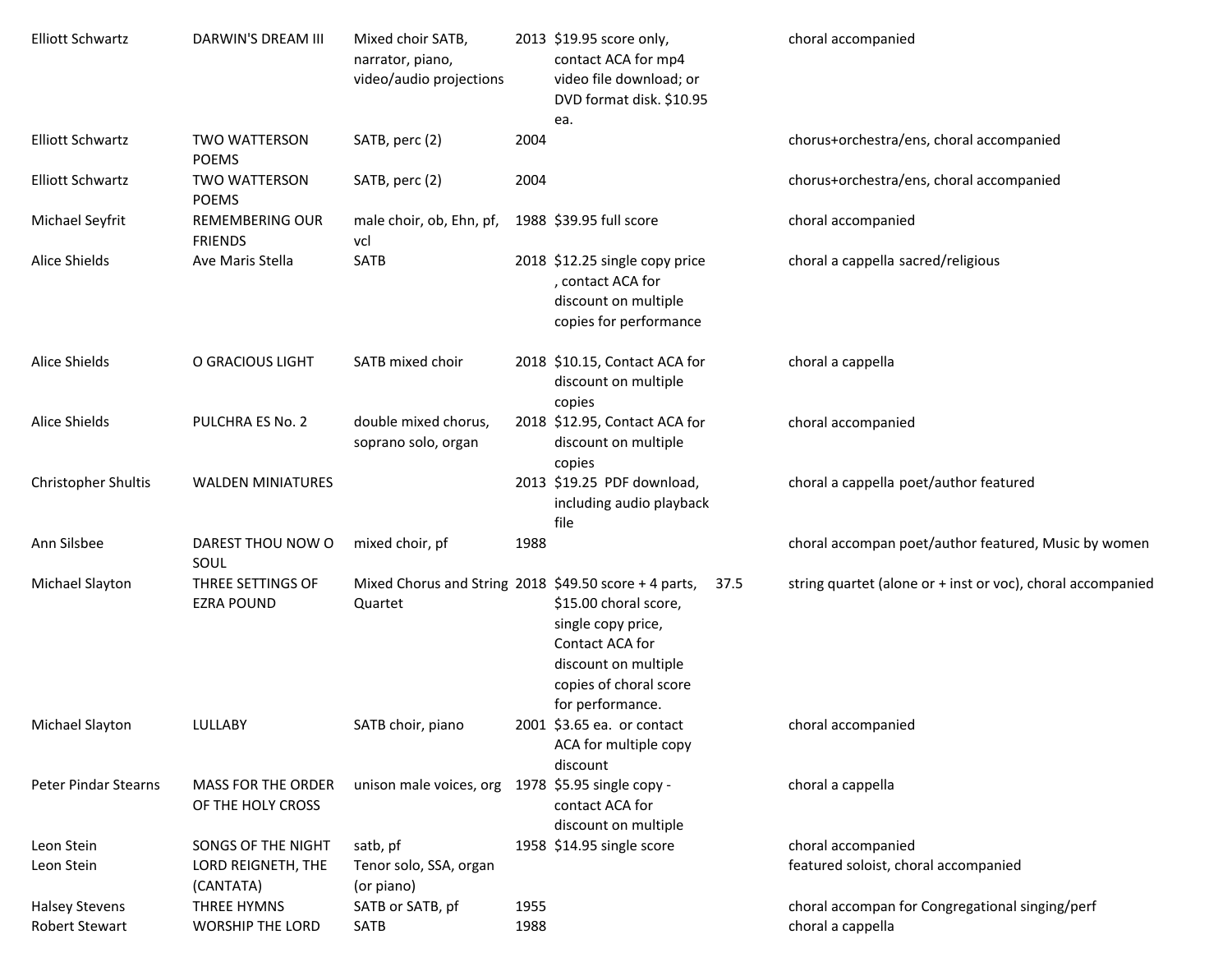| <b>Elliott Schwartz</b>     | DARWIN'S DREAM III                             | Mixed choir SATB,<br>narrator, piano,<br>video/audio projections |      | 2013 \$19.95 score only,<br>contact ACA for mp4<br>video file download; or<br>DVD format disk. \$10.95                                       | choral accompanied                                          |
|-----------------------------|------------------------------------------------|------------------------------------------------------------------|------|----------------------------------------------------------------------------------------------------------------------------------------------|-------------------------------------------------------------|
| <b>Elliott Schwartz</b>     | <b>TWO WATTERSON</b><br><b>POEMS</b>           | SATB, perc (2)                                                   | 2004 | ea.                                                                                                                                          | chorus+orchestra/ens, choral accompanied                    |
| <b>Elliott Schwartz</b>     | <b>TWO WATTERSON</b><br><b>POEMS</b>           | SATB, perc (2)                                                   | 2004 |                                                                                                                                              | chorus+orchestra/ens, choral accompanied                    |
| Michael Seyfrit             | <b>REMEMBERING OUR</b><br><b>FRIENDS</b>       | male choir, ob, Ehn, pf,<br>vcl                                  |      | 1988 \$39.95 full score                                                                                                                      | choral accompanied                                          |
| Alice Shields               | Ave Maris Stella                               | SATB                                                             |      | 2018 \$12.25 single copy price<br>, contact ACA for<br>discount on multiple<br>copies for performance                                        | choral a cappella sacred/religious                          |
| <b>Alice Shields</b>        | O GRACIOUS LIGHT                               | SATB mixed choir                                                 |      | 2018 \$10.15, Contact ACA for<br>discount on multiple<br>copies                                                                              | choral a cappella                                           |
| <b>Alice Shields</b>        | PULCHRA ES No. 2                               | double mixed chorus,<br>soprano solo, organ                      |      | 2018 \$12.95, Contact ACA for<br>discount on multiple<br>copies                                                                              | choral accompanied                                          |
| Christopher Shultis         | <b>WALDEN MINIATURES</b>                       |                                                                  |      | 2013 \$19.25 PDF download,<br>including audio playback<br>file                                                                               | choral a cappella poet/author featured                      |
| Ann Silsbee                 | DAREST THOU NOW O<br>SOUL                      | mixed choir, pf                                                  | 1988 |                                                                                                                                              | choral accompan poet/author featured, Music by women        |
| Michael Slayton             | THREE SETTINGS OF<br><b>EZRA POUND</b>         | Mixed Chorus and String 2018 \$49.50 score + 4 parts,<br>Quartet |      | 37.5<br>\$15.00 choral score,<br>single copy price,<br>Contact ACA for<br>discount on multiple<br>copies of choral score<br>for performance. | string quartet (alone or + inst or voc), choral accompanied |
| Michael Slayton             | LULLABY                                        | SATB choir, piano                                                |      | 2001 \$3.65 ea. or contact<br>ACA for multiple copy<br>discount                                                                              | choral accompanied                                          |
| <b>Peter Pindar Stearns</b> | <b>MASS FOR THE ORDER</b><br>OF THE HOLY CROSS | unison male voices, org                                          |      | 1978 \$5.95 single copy -<br>contact ACA for<br>discount on multiple                                                                         | choral a cappella                                           |
| Leon Stein                  | SONGS OF THE NIGHT                             | satb, pf                                                         |      | 1958 \$14.95 single score                                                                                                                    | choral accompanied                                          |
| Leon Stein                  | LORD REIGNETH, THE<br>(CANTATA)                | Tenor solo, SSA, organ<br>(or piano)                             |      |                                                                                                                                              | featured soloist, choral accompanied                        |
| <b>Halsey Stevens</b>       | THREE HYMNS                                    | SATB or SATB, pf                                                 | 1955 |                                                                                                                                              | choral accompan for Congregational singing/perf             |
| <b>Robert Stewart</b>       | <b>WORSHIP THE LORD</b>                        | SATB                                                             | 1988 |                                                                                                                                              | choral a cappella                                           |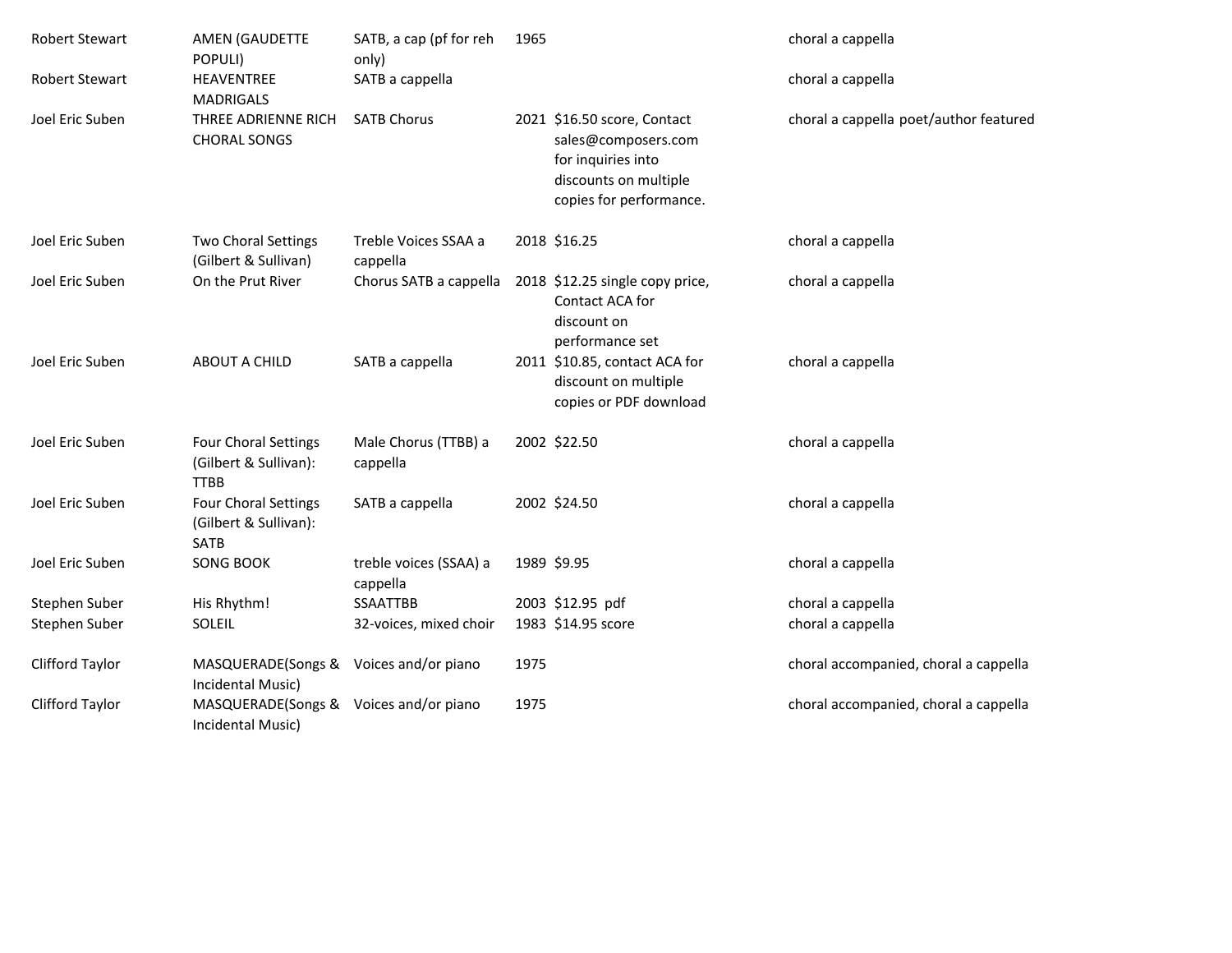| <b>Robert Stewart</b> | AMEN (GAUDETTE<br>POPULI)                                           | SATB, a cap (pf for reh<br>only)   | 1965 |                                                                                                                              | choral a cappella                      |
|-----------------------|---------------------------------------------------------------------|------------------------------------|------|------------------------------------------------------------------------------------------------------------------------------|----------------------------------------|
| <b>Robert Stewart</b> | <b>HEAVENTREE</b><br><b>MADRIGALS</b>                               | SATB a cappella                    |      |                                                                                                                              | choral a cappella                      |
| Joel Eric Suben       | THREE ADRIENNE RICH<br><b>CHORAL SONGS</b>                          | <b>SATB Chorus</b>                 |      | 2021 \$16.50 score, Contact<br>sales@composers.com<br>for inquiries into<br>discounts on multiple<br>copies for performance. | choral a cappella poet/author featured |
| Joel Eric Suben       | <b>Two Choral Settings</b><br>(Gilbert & Sullivan)                  | Treble Voices SSAA a<br>cappella   |      | 2018 \$16.25                                                                                                                 | choral a cappella                      |
| Joel Eric Suben       | On the Prut River                                                   | Chorus SATB a cappella             |      | 2018 \$12.25 single copy price,<br>Contact ACA for<br>discount on<br>performance set                                         | choral a cappella                      |
| Joel Eric Suben       | <b>ABOUT A CHILD</b>                                                | SATB a cappella                    |      | 2011 \$10.85, contact ACA for<br>discount on multiple<br>copies or PDF download                                              | choral a cappella                      |
| Joel Eric Suben       | Four Choral Settings<br>(Gilbert & Sullivan):<br><b>TTBB</b>        | Male Chorus (TTBB) a<br>cappella   |      | 2002 \$22.50                                                                                                                 | choral a cappella                      |
| Joel Eric Suben       | <b>Four Choral Settings</b><br>(Gilbert & Sullivan):<br><b>SATB</b> | SATB a cappella                    |      | 2002 \$24.50                                                                                                                 | choral a cappella                      |
| Joel Eric Suben       | <b>SONG BOOK</b>                                                    | treble voices (SSAA) a<br>cappella |      | 1989 \$9.95                                                                                                                  | choral a cappella                      |
| Stephen Suber         | His Rhythm!                                                         | SSAATTBB                           |      | 2003 \$12.95 pdf                                                                                                             | choral a cappella                      |
| Stephen Suber         | SOLEIL                                                              | 32-voices, mixed choir             |      | 1983 \$14.95 score                                                                                                           | choral a cappella                      |
| Clifford Taylor       | MASQUERADE(Songs &<br>Incidental Music)                             | Voices and/or piano                | 1975 |                                                                                                                              | choral accompanied, choral a cappella  |
| Clifford Taylor       | MASQUERADE(Songs & Voices and/or piano<br>Incidental Music)         |                                    | 1975 |                                                                                                                              | choral accompanied, choral a cappella  |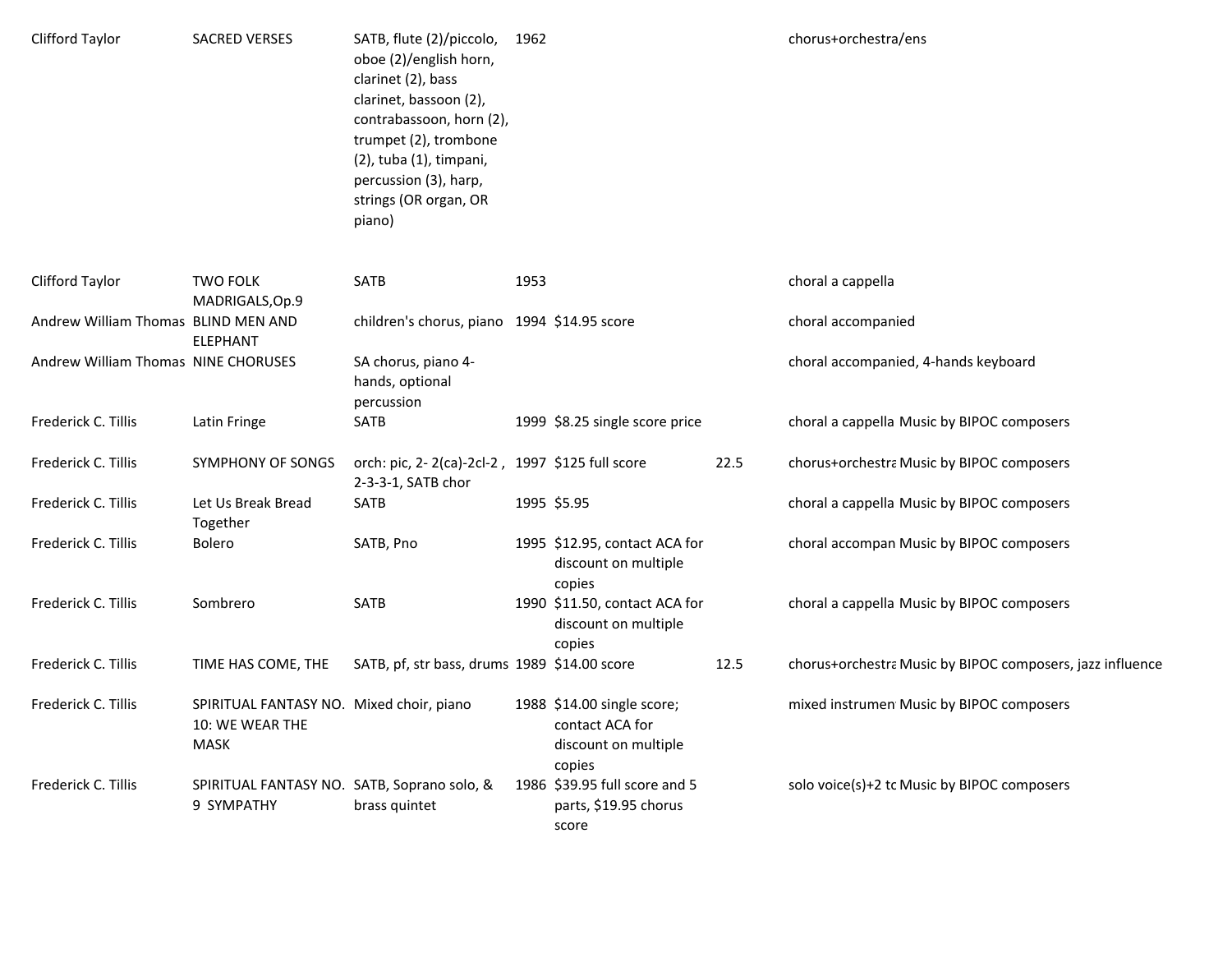| Clifford Taylor                     | <b>SACRED VERSES</b>                                                       | SATB, flute (2)/piccolo,<br>oboe (2)/english horn,<br>clarinet (2), bass<br>clarinet, bassoon (2),<br>contrabassoon, horn (2),<br>trumpet (2), trombone<br>(2), tuba (1), timpani,<br>percussion (3), harp,<br>strings (OR organ, OR<br>piano) | 1962 |                                                                                 |      | chorus+orchestra/ens                                      |
|-------------------------------------|----------------------------------------------------------------------------|------------------------------------------------------------------------------------------------------------------------------------------------------------------------------------------------------------------------------------------------|------|---------------------------------------------------------------------------------|------|-----------------------------------------------------------|
| Clifford Taylor                     | <b>TWO FOLK</b><br>MADRIGALS, Op.9                                         | <b>SATB</b>                                                                                                                                                                                                                                    | 1953 |                                                                                 |      | choral a cappella                                         |
| Andrew William Thomas BLIND MEN AND | <b>ELEPHANT</b>                                                            | children's chorus, piano 1994 \$14.95 score                                                                                                                                                                                                    |      |                                                                                 |      | choral accompanied                                        |
| Andrew William Thomas NINE CHORUSES |                                                                            | SA chorus, piano 4-<br>hands, optional<br>percussion                                                                                                                                                                                           |      |                                                                                 |      | choral accompanied, 4-hands keyboard                      |
| Frederick C. Tillis                 | Latin Fringe                                                               | SATB                                                                                                                                                                                                                                           |      | 1999 \$8.25 single score price                                                  |      | choral a cappella Music by BIPOC composers                |
| Frederick C. Tillis                 | SYMPHONY OF SONGS                                                          | orch: pic, 2-2(ca)-2cl-2, 1997 \$125 full score<br>2-3-3-1, SATB chor                                                                                                                                                                          |      |                                                                                 | 22.5 | chorus+orchestra Music by BIPOC composers                 |
| Frederick C. Tillis                 | Let Us Break Bread<br>Together                                             | SATB                                                                                                                                                                                                                                           |      | 1995 \$5.95                                                                     |      | choral a cappella Music by BIPOC composers                |
| Frederick C. Tillis                 | <b>Bolero</b>                                                              | SATB, Pno                                                                                                                                                                                                                                      |      | 1995 \$12.95, contact ACA for<br>discount on multiple<br>copies                 |      | choral accompan Music by BIPOC composers                  |
| Frederick C. Tillis                 | Sombrero                                                                   | <b>SATB</b>                                                                                                                                                                                                                                    |      | 1990 \$11.50, contact ACA for<br>discount on multiple<br>copies                 |      | choral a cappella Music by BIPOC composers                |
| Frederick C. Tillis                 | TIME HAS COME, THE                                                         | SATB, pf, str bass, drums 1989 \$14.00 score                                                                                                                                                                                                   |      |                                                                                 | 12.5 | chorus+orchestra Music by BIPOC composers, jazz influence |
| Frederick C. Tillis                 | SPIRITUAL FANTASY NO. Mixed choir, piano<br>10: WE WEAR THE<br><b>MASK</b> |                                                                                                                                                                                                                                                |      | 1988 \$14.00 single score;<br>contact ACA for<br>discount on multiple<br>copies |      | mixed instrumen Music by BIPOC composers                  |
| Frederick C. Tillis                 | SPIRITUAL FANTASY NO. SATB, Soprano solo, &<br>9 SYMPATHY                  | brass quintet                                                                                                                                                                                                                                  |      | 1986 \$39.95 full score and 5<br>parts, \$19.95 chorus<br>score                 |      | solo voice(s)+2 tc Music by BIPOC composers               |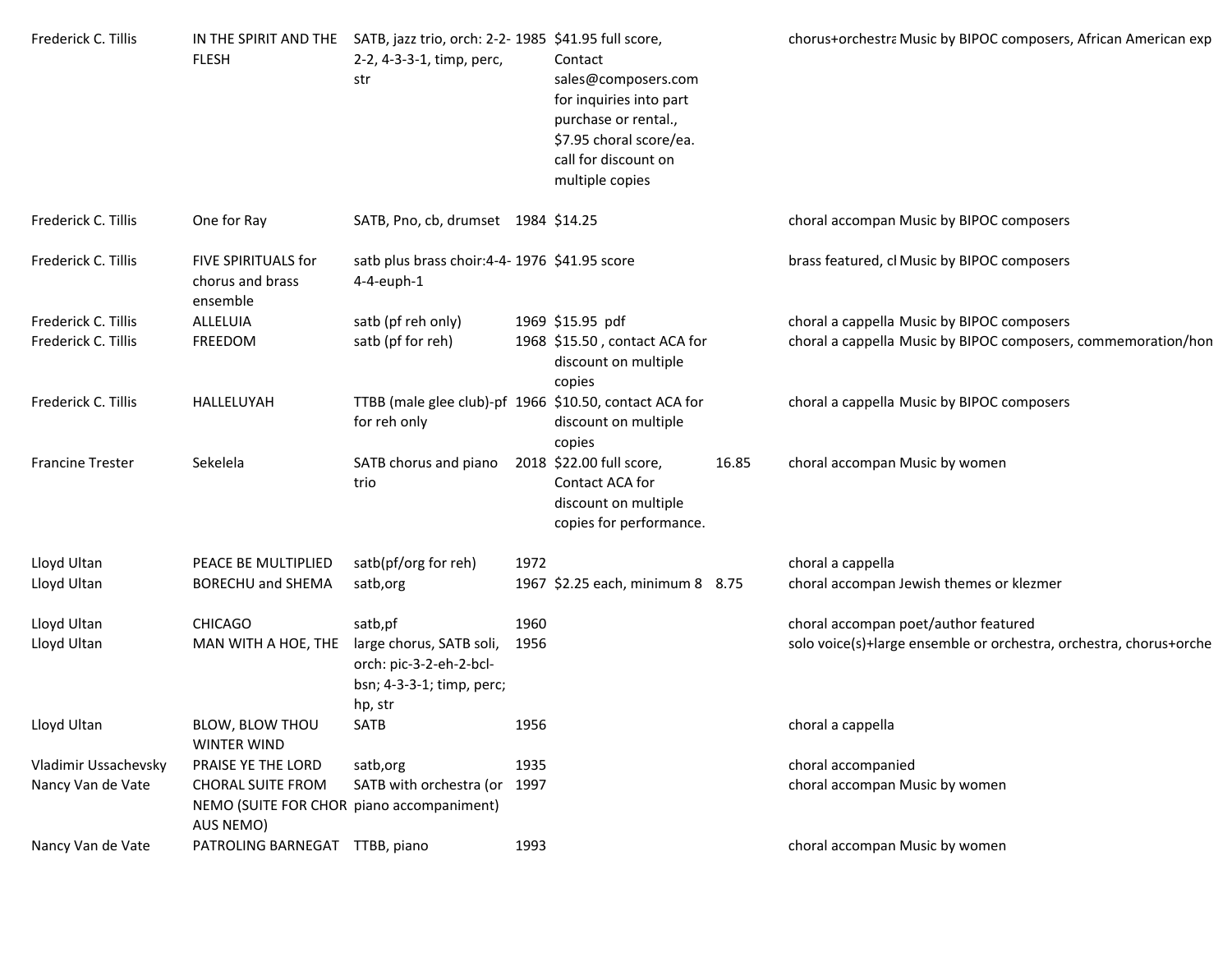| Frederick C. Tillis     | <b>FLESH</b>                                                                       | IN THE SPIRIT AND THE SATB, jazz trio, orch: 2-2- 1985 \$41.95 full score,<br>2-2, 4-3-3-1, timp, perc,<br>str |      | Contact<br>sales@composers.com<br>for inquiries into part<br>purchase or rental.,<br>\$7.95 choral score/ea.<br>call for discount on<br>multiple copies |       | chorus+orchestra Music by BIPOC composers, African American exp    |
|-------------------------|------------------------------------------------------------------------------------|----------------------------------------------------------------------------------------------------------------|------|---------------------------------------------------------------------------------------------------------------------------------------------------------|-------|--------------------------------------------------------------------|
| Frederick C. Tillis     | One for Ray                                                                        | SATB, Pno, cb, drumset 1984 \$14.25                                                                            |      |                                                                                                                                                         |       | choral accompan Music by BIPOC composers                           |
| Frederick C. Tillis     | FIVE SPIRITUALS for<br>chorus and brass<br>ensemble                                | satb plus brass choir: 4-4-1976 \$41.95 score<br>4-4-euph-1                                                    |      |                                                                                                                                                         |       | brass featured, cl Music by BIPOC composers                        |
| Frederick C. Tillis     | ALLELUIA                                                                           | satb (pf reh only)                                                                                             |      | 1969 \$15.95 pdf                                                                                                                                        |       | choral a cappella Music by BIPOC composers                         |
| Frederick C. Tillis     | FREEDOM                                                                            | satb (pf for reh)                                                                                              |      | 1968 \$15.50, contact ACA for<br>discount on multiple<br>copies                                                                                         |       | choral a cappella Music by BIPOC composers, commemoration/hon      |
| Frederick C. Tillis     | HALLELUYAH                                                                         | TTBB (male glee club)-pf 1966 \$10.50, contact ACA for<br>for reh only                                         |      | discount on multiple<br>copies                                                                                                                          |       | choral a cappella Music by BIPOC composers                         |
| <b>Francine Trester</b> | Sekelela                                                                           | SATB chorus and piano<br>trio                                                                                  |      | 2018 \$22.00 full score,<br>Contact ACA for<br>discount on multiple<br>copies for performance.                                                          | 16.85 | choral accompan Music by women                                     |
| Lloyd Ultan             | PEACE BE MULTIPLIED                                                                | satb(pf/org for reh)                                                                                           | 1972 |                                                                                                                                                         |       | choral a cappella                                                  |
| Lloyd Ultan             | BORECHU and SHEMA                                                                  | satb, org                                                                                                      |      | 1967 \$2.25 each, minimum 8 8.75                                                                                                                        |       | choral accompan Jewish themes or klezmer                           |
| Lloyd Ultan             | <b>CHICAGO</b>                                                                     | satb,pf                                                                                                        | 1960 |                                                                                                                                                         |       | choral accompan poet/author featured                               |
| Lloyd Ultan             | MAN WITH A HOE, THE                                                                | large chorus, SATB soli,<br>orch: pic-3-2-eh-2-bcl-<br>bsn; 4-3-3-1; timp, perc;<br>hp, str                    | 1956 |                                                                                                                                                         |       | solo voice(s)+large ensemble or orchestra, orchestra, chorus+orche |
| Lloyd Ultan             | BLOW, BLOW THOU<br><b>WINTER WIND</b>                                              | SATB                                                                                                           | 1956 |                                                                                                                                                         |       | choral a cappella                                                  |
| Vladimir Ussachevsky    | PRAISE YE THE LORD                                                                 | satb, org                                                                                                      | 1935 |                                                                                                                                                         |       | choral accompanied                                                 |
| Nancy Van de Vate       | <b>CHORAL SUITE FROM</b><br>NEMO (SUITE FOR CHOR piano accompaniment)<br>AUS NEMO) | SATB with orchestra (or 1997                                                                                   |      |                                                                                                                                                         |       | choral accompan Music by women                                     |
| Nancy Van de Vate       | PATROLING BARNEGAT TTBB, piano                                                     |                                                                                                                | 1993 |                                                                                                                                                         |       | choral accompan Music by women                                     |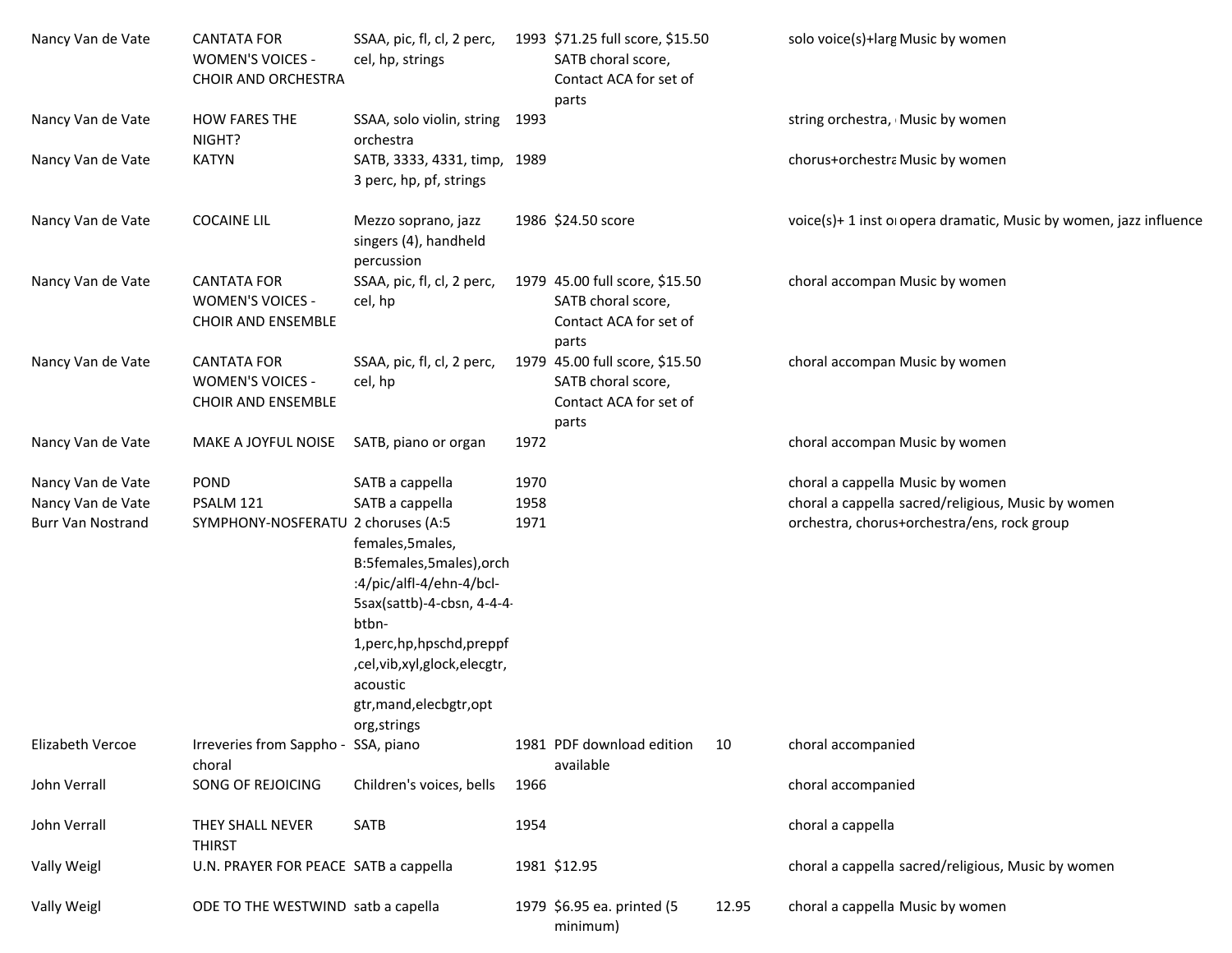| Nancy Van de Vate                                                  | <b>CANTATA FOR</b><br><b>WOMEN'S VOICES -</b><br><b>CHOIR AND ORCHESTRA</b> | SSAA, pic, fl, cl, 2 perc,<br>cel, hp, strings                                                                                                                                                                                                                             |                      | 1993 \$71.25 full score, \$15.50<br>SATB choral score,<br>Contact ACA for set of<br>parts |       | solo voice(s)+larg Music by women                                                                                                     |
|--------------------------------------------------------------------|-----------------------------------------------------------------------------|----------------------------------------------------------------------------------------------------------------------------------------------------------------------------------------------------------------------------------------------------------------------------|----------------------|-------------------------------------------------------------------------------------------|-------|---------------------------------------------------------------------------------------------------------------------------------------|
| Nancy Van de Vate                                                  | <b>HOW FARES THE</b><br>NIGHT?                                              | SSAA, solo violin, string 1993<br>orchestra                                                                                                                                                                                                                                |                      |                                                                                           |       | string orchestra, Music by women                                                                                                      |
| Nancy Van de Vate                                                  | <b>KATYN</b>                                                                | SATB, 3333, 4331, timp, 1989<br>3 perc, hp, pf, strings                                                                                                                                                                                                                    |                      |                                                                                           |       | chorus+orchestra Music by women                                                                                                       |
| Nancy Van de Vate                                                  | <b>COCAINE LIL</b>                                                          | Mezzo soprano, jazz<br>singers (4), handheld<br>percussion                                                                                                                                                                                                                 |                      | 1986 \$24.50 score                                                                        |       | voice(s)+ 1 inst o opera dramatic, Music by women, jazz influence                                                                     |
| Nancy Van de Vate                                                  | <b>CANTATA FOR</b><br>WOMEN'S VOICES -<br><b>CHOIR AND ENSEMBLE</b>         | SSAA, pic, fl, cl, 2 perc,<br>cel, hp                                                                                                                                                                                                                                      |                      | 1979 45.00 full score, \$15.50<br>SATB choral score,<br>Contact ACA for set of<br>parts   |       | choral accompan Music by women                                                                                                        |
| Nancy Van de Vate                                                  | <b>CANTATA FOR</b><br>WOMEN'S VOICES -<br><b>CHOIR AND ENSEMBLE</b>         | SSAA, pic, fl, cl, 2 perc,<br>cel, hp                                                                                                                                                                                                                                      |                      | 1979 45.00 full score, \$15.50<br>SATB choral score,<br>Contact ACA for set of<br>parts   |       | choral accompan Music by women                                                                                                        |
| Nancy Van de Vate                                                  | MAKE A JOYFUL NOISE                                                         | SATB, piano or organ                                                                                                                                                                                                                                                       | 1972                 |                                                                                           |       | choral accompan Music by women                                                                                                        |
| Nancy Van de Vate<br>Nancy Van de Vate<br><b>Burr Van Nostrand</b> | POND<br>PSALM 121<br>SYMPHONY-NOSFERATU 2 choruses (A:5                     | SATB a cappella<br>SATB a cappella<br>females, 5males,<br>B:5females,5males),orch<br>:4/pic/alfl-4/ehn-4/bcl-<br>5sax(sattb)-4-cbsn, 4-4-4-<br>btbn-<br>1, perc, hp, hpschd, preppf<br>,cel,vib,xyl,glock,elecgtr,<br>acoustic<br>gtr, mand, elecbgtr, opt<br>org, strings | 1970<br>1958<br>1971 |                                                                                           |       | choral a cappella Music by women<br>choral a cappella sacred/religious, Music by women<br>orchestra, chorus+orchestra/ens, rock group |
| Elizabeth Vercoe                                                   | Irreveries from Sappho - SSA, piano<br>choral                               |                                                                                                                                                                                                                                                                            |                      | 1981 PDF download edition<br>available                                                    | 10    | choral accompanied                                                                                                                    |
| John Verrall                                                       | SONG OF REJOICING                                                           | Children's voices, bells                                                                                                                                                                                                                                                   | 1966                 |                                                                                           |       | choral accompanied                                                                                                                    |
| John Verrall                                                       | THEY SHALL NEVER<br><b>THIRST</b>                                           | SATB                                                                                                                                                                                                                                                                       | 1954                 |                                                                                           |       | choral a cappella                                                                                                                     |
| Vally Weigl                                                        | U.N. PRAYER FOR PEACE SATB a cappella                                       |                                                                                                                                                                                                                                                                            |                      | 1981 \$12.95                                                                              |       | choral a cappella sacred/religious, Music by women                                                                                    |
| Vally Weigl                                                        | ODE TO THE WESTWIND satb a capella                                          |                                                                                                                                                                                                                                                                            |                      | 1979 \$6.95 ea. printed (5<br>minimum)                                                    | 12.95 | choral a cappella Music by women                                                                                                      |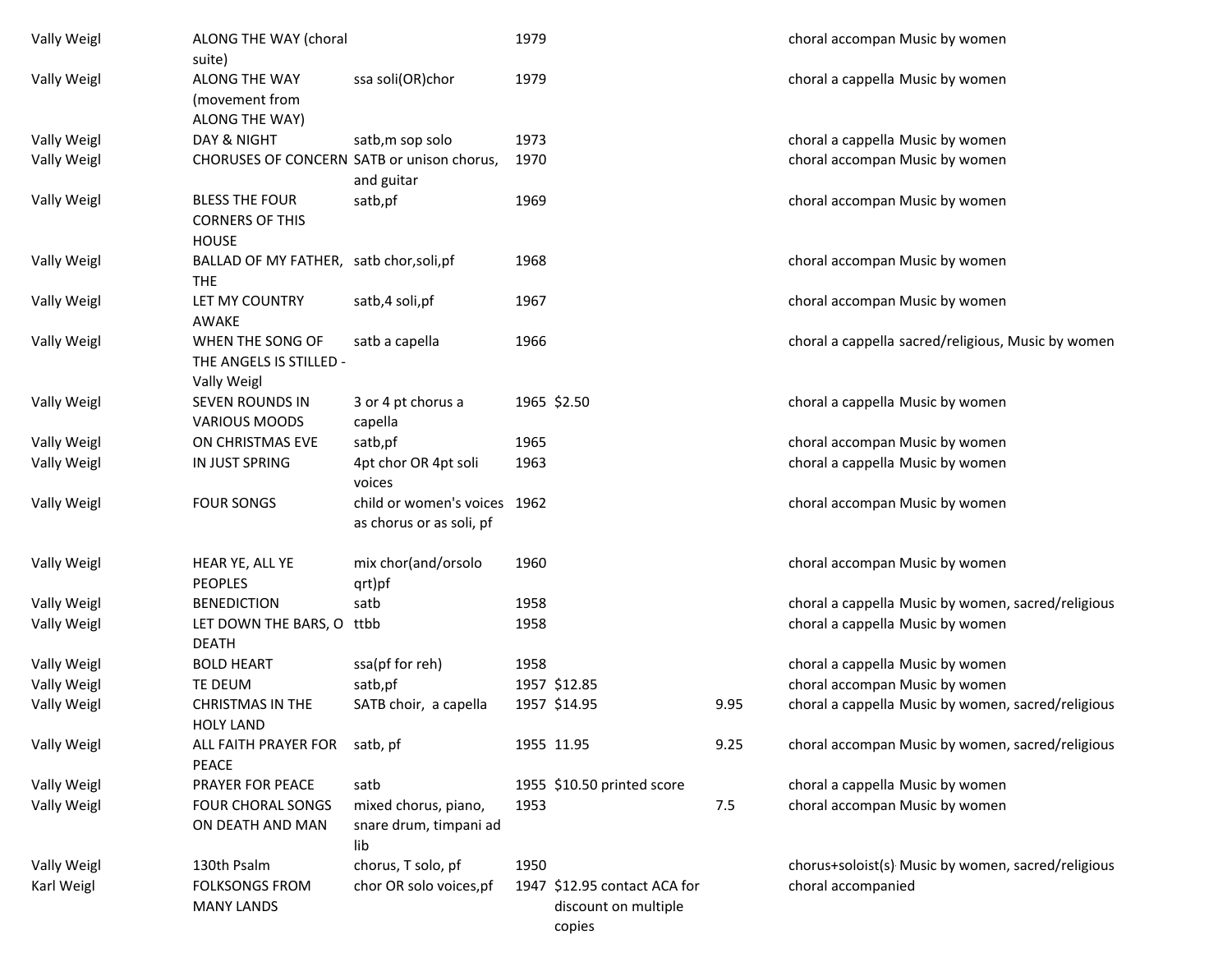| Vally Weigl        | ALONG THE WAY (choral<br>suite)                                 |                                                          | 1979 |                                                      |      | choral accompan Music by women                     |
|--------------------|-----------------------------------------------------------------|----------------------------------------------------------|------|------------------------------------------------------|------|----------------------------------------------------|
| Vally Weigl        | ALONG THE WAY<br>(movement from<br>ALONG THE WAY)               | ssa soli(OR)chor                                         | 1979 |                                                      |      | choral a cappella Music by women                   |
| Vally Weigl        | DAY & NIGHT                                                     | satb, m sop solo                                         | 1973 |                                                      |      | choral a cappella Music by women                   |
| Vally Weigl        | CHORUSES OF CONCERN SATB or unison chorus,                      | and guitar                                               | 1970 |                                                      |      | choral accompan Music by women                     |
| Vally Weigl        | <b>BLESS THE FOUR</b><br><b>CORNERS OF THIS</b><br><b>HOUSE</b> | satb,pf                                                  | 1969 |                                                      |      | choral accompan Music by women                     |
| Vally Weigl        | BALLAD OF MY FATHER, satb chor, soli, pf<br><b>THE</b>          |                                                          | 1968 |                                                      |      | choral accompan Music by women                     |
| Vally Weigl        | LET MY COUNTRY<br>AWAKE                                         | satb,4 soli,pf                                           | 1967 |                                                      |      | choral accompan Music by women                     |
| Vally Weigl        | WHEN THE SONG OF<br>THE ANGELS IS STILLED -<br>Vally Weigl      | satb a capella                                           | 1966 |                                                      |      | choral a cappella sacred/religious, Music by women |
| Vally Weigl        | <b>SEVEN ROUNDS IN</b><br><b>VARIOUS MOODS</b>                  | 3 or 4 pt chorus a<br>capella                            |      | 1965 \$2.50                                          |      | choral a cappella Music by women                   |
| Vally Weigl        | ON CHRISTMAS EVE                                                | satb,pf                                                  | 1965 |                                                      |      | choral accompan Music by women                     |
| Vally Weigl        | IN JUST SPRING                                                  | 4pt chor OR 4pt soli<br>voices                           | 1963 |                                                      |      | choral a cappella Music by women                   |
| Vally Weigl        | <b>FOUR SONGS</b>                                               | child or women's voices 1962<br>as chorus or as soli, pf |      |                                                      |      | choral accompan Music by women                     |
| Vally Weigl        | HEAR YE, ALL YE<br><b>PEOPLES</b>                               | mix chor(and/orsolo<br>qrt)pf                            | 1960 |                                                      |      | choral accompan Music by women                     |
| Vally Weigl        | <b>BENEDICTION</b>                                              | satb                                                     | 1958 |                                                      |      | choral a cappella Music by women, sacred/religious |
| Vally Weigl        | LET DOWN THE BARS, O ttbb<br><b>DEATH</b>                       |                                                          | 1958 |                                                      |      | choral a cappella Music by women                   |
| Vally Weigl        | <b>BOLD HEART</b>                                               | ssa(pf for reh)                                          | 1958 |                                                      |      | choral a cappella Music by women                   |
| Vally Weigl        | TE DEUM                                                         | satb,pf                                                  |      | 1957 \$12.85                                         |      | choral accompan Music by women                     |
| <b>Vally Weigl</b> | CHRISTMAS IN THE<br>HOLY LAND                                   | SATB choir, a capella                                    |      | 1957 \$14.95                                         | 9.95 | choral a cappella Music by women, sacred/religious |
| Vally Weigl        | ALL FAITH PRAYER FOR<br><b>PEACE</b>                            | satb, pf                                                 |      | 1955 11.95                                           | 9.25 | choral accompan Music by women, sacred/religious   |
| Vally Weigl        | PRAYER FOR PEACE                                                | satb                                                     |      | 1955 \$10.50 printed score                           |      | choral a cappella Music by women                   |
| Vally Weigl        | <b>FOUR CHORAL SONGS</b><br>ON DEATH AND MAN                    | mixed chorus, piano,<br>snare drum, timpani ad<br>lib    | 1953 |                                                      | 7.5  | choral accompan Music by women                     |
| Vally Weigl        | 130th Psalm                                                     | chorus, T solo, pf                                       | 1950 |                                                      |      | chorus+soloist(s) Music by women, sacred/religious |
| Karl Weigl         | <b>FOLKSONGS FROM</b><br><b>MANY LANDS</b>                      | chor OR solo voices, pf                                  |      | 1947 \$12.95 contact ACA for<br>discount on multiple |      | choral accompanied                                 |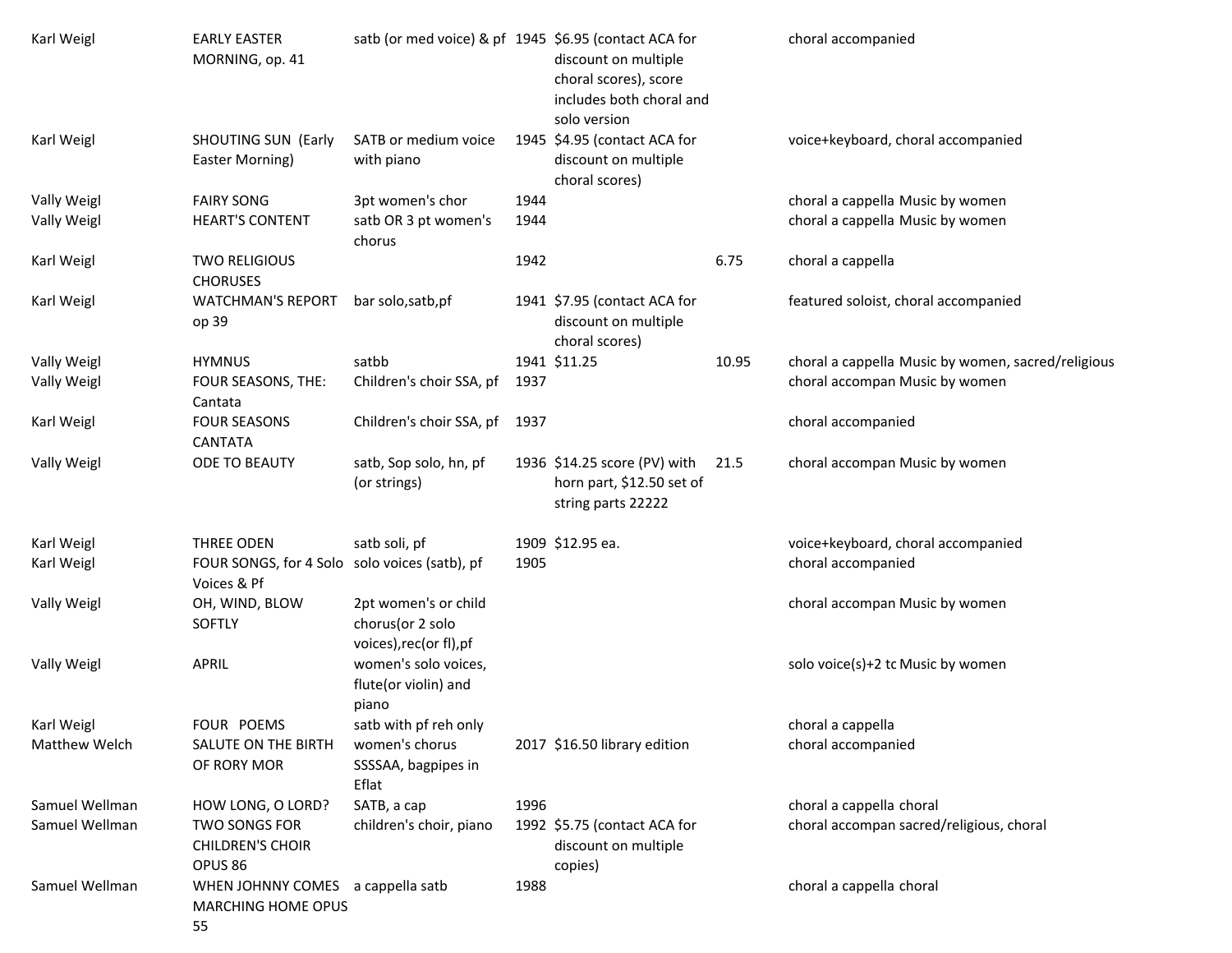| Karl Weigl     | <b>EARLY EASTER</b><br>MORNING, op. 41                                | satb (or med voice) & pf 1945 \$6.95 (contact ACA for               |      | discount on multiple<br>choral scores), score<br>includes both choral and              |       | choral accompanied                                 |
|----------------|-----------------------------------------------------------------------|---------------------------------------------------------------------|------|----------------------------------------------------------------------------------------|-------|----------------------------------------------------|
| Karl Weigl     | <b>SHOUTING SUN (Early</b><br>Easter Morning)                         | SATB or medium voice<br>with piano                                  |      | solo version<br>1945 \$4.95 (contact ACA for<br>discount on multiple<br>choral scores) |       | voice+keyboard, choral accompanied                 |
| Vally Weigl    | <b>FAIRY SONG</b>                                                     | 3pt women's chor                                                    | 1944 |                                                                                        |       | choral a cappella Music by women                   |
| Vally Weigl    | <b>HEART'S CONTENT</b>                                                | satb OR 3 pt women's<br>chorus                                      | 1944 |                                                                                        |       | choral a cappella Music by women                   |
| Karl Weigl     | <b>TWO RELIGIOUS</b><br><b>CHORUSES</b>                               |                                                                     | 1942 |                                                                                        | 6.75  | choral a cappella                                  |
| Karl Weigl     | <b>WATCHMAN'S REPORT</b><br>op 39                                     | bar solo, satb, pf                                                  |      | 1941 \$7.95 (contact ACA for<br>discount on multiple<br>choral scores)                 |       | featured soloist, choral accompanied               |
| Vally Weigl    | <b>HYMNUS</b>                                                         | satbb                                                               |      | 1941 \$11.25                                                                           | 10.95 | choral a cappella Music by women, sacred/religious |
| Vally Weigl    | FOUR SEASONS, THE:<br>Cantata                                         | Children's choir SSA, pf                                            | 1937 |                                                                                        |       | choral accompan Music by women                     |
| Karl Weigl     | <b>FOUR SEASONS</b><br><b>CANTATA</b>                                 | Children's choir SSA, pf                                            | 1937 |                                                                                        |       | choral accompanied                                 |
| Vally Weigl    | ODE TO BEAUTY                                                         | satb, Sop solo, hn, pf<br>(or strings)                              |      | 1936 \$14.25 score (PV) with<br>horn part, \$12.50 set of<br>string parts 22222        | 21.5  | choral accompan Music by women                     |
| Karl Weigl     | THREE ODEN                                                            | satb soli, pf                                                       |      | 1909 \$12.95 ea.                                                                       |       | voice+keyboard, choral accompanied                 |
| Karl Weigl     | FOUR SONGS, for 4 Solo solo voices (satb), pf<br>Voices & Pf          |                                                                     | 1905 |                                                                                        |       | choral accompanied                                 |
| Vally Weigl    | OH, WIND, BLOW<br><b>SOFTLY</b>                                       | 2pt women's or child<br>chorus(or 2 solo<br>voices), rec(or fl), pf |      |                                                                                        |       | choral accompan Music by women                     |
| Vally Weigl    | <b>APRIL</b>                                                          | women's solo voices,<br>flute(or violin) and<br>piano               |      |                                                                                        |       | solo voice(s)+2 tc Music by women                  |
| Karl Weigl     | FOUR POEMS                                                            | satb with pf reh only                                               |      |                                                                                        |       | choral a cappella                                  |
| Matthew Welch  | <b>SALUTE ON THE BIRTH</b><br>OF RORY MOR                             | women's chorus<br>SSSSAA, bagpipes in<br>Eflat                      |      | 2017 \$16.50 library edition                                                           |       | choral accompanied                                 |
| Samuel Wellman | HOW LONG, O LORD?                                                     | SATB, a cap                                                         | 1996 |                                                                                        |       | choral a cappella choral                           |
| Samuel Wellman | <b>TWO SONGS FOR</b><br><b>CHILDREN'S CHOIR</b><br>OPUS <sub>86</sub> | children's choir, piano                                             |      | 1992 \$5.75 (contact ACA for<br>discount on multiple                                   |       | choral accompan sacred/religious, choral           |
| Samuel Wellman | WHEN JOHNNY COMES a cappella satb<br><b>MARCHING HOME OPUS</b><br>55  |                                                                     | 1988 | copies)                                                                                |       | choral a cappella choral                           |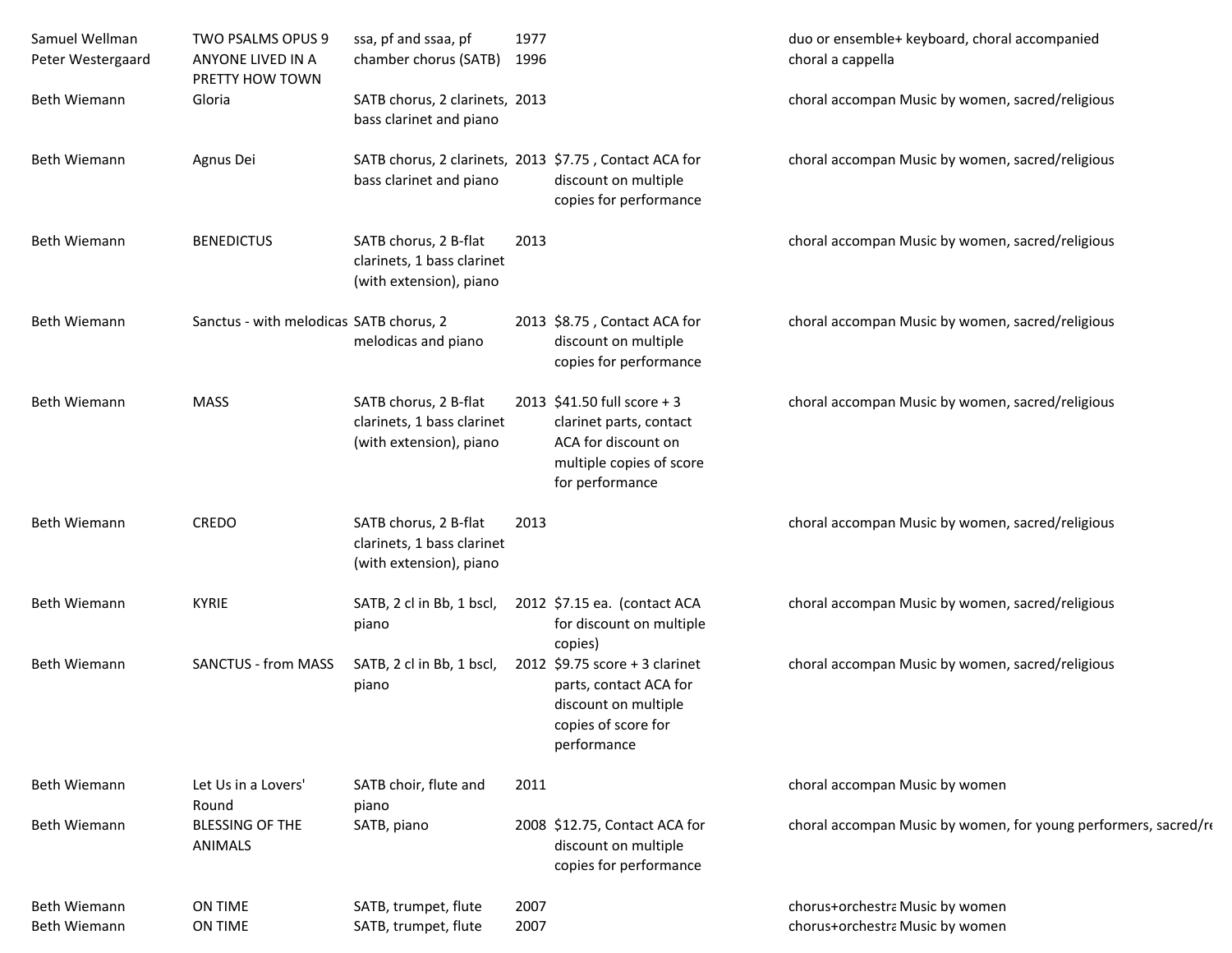| Samuel Wellman<br>Peter Westergaard | TWO PSALMS OPUS 9<br>ANYONE LIVED IN A<br>PRETTY HOW TOWN | ssa, pf and ssaa, pf<br>chamber chorus (SATB)                                     | 1977<br>1996 |                                                                                                                              | duo or ensemble+ keyboard, choral accompanied<br>choral a cappella |
|-------------------------------------|-----------------------------------------------------------|-----------------------------------------------------------------------------------|--------------|------------------------------------------------------------------------------------------------------------------------------|--------------------------------------------------------------------|
| Beth Wiemann                        | Gloria                                                    | SATB chorus, 2 clarinets, 2013<br>bass clarinet and piano                         |              |                                                                                                                              | choral accompan Music by women, sacred/religious                   |
| Beth Wiemann                        | Agnus Dei                                                 | SATB chorus, 2 clarinets, 2013 \$7.75, Contact ACA for<br>bass clarinet and piano |              | discount on multiple<br>copies for performance                                                                               | choral accompan Music by women, sacred/religious                   |
| Beth Wiemann                        | <b>BENEDICTUS</b>                                         | SATB chorus, 2 B-flat<br>clarinets, 1 bass clarinet<br>(with extension), piano    | 2013         |                                                                                                                              | choral accompan Music by women, sacred/religious                   |
| Beth Wiemann                        | Sanctus - with melodicas SATB chorus, 2                   | melodicas and piano                                                               |              | 2013 \$8.75, Contact ACA for<br>discount on multiple<br>copies for performance                                               | choral accompan Music by women, sacred/religious                   |
| Beth Wiemann                        | <b>MASS</b>                                               | SATB chorus, 2 B-flat<br>clarinets, 1 bass clarinet<br>(with extension), piano    |              | 2013 \$41.50 full score + 3<br>clarinet parts, contact<br>ACA for discount on<br>multiple copies of score<br>for performance | choral accompan Music by women, sacred/religious                   |
| Beth Wiemann                        | CREDO                                                     | SATB chorus, 2 B-flat<br>clarinets, 1 bass clarinet<br>(with extension), piano    | 2013         |                                                                                                                              | choral accompan Music by women, sacred/religious                   |
| Beth Wiemann                        | <b>KYRIE</b>                                              | SATB, 2 cl in Bb, 1 bscl,<br>piano                                                |              | 2012 \$7.15 ea. (contact ACA<br>for discount on multiple<br>copies)                                                          | choral accompan Music by women, sacred/religious                   |
| Beth Wiemann                        | <b>SANCTUS - from MASS</b>                                | SATB, 2 cl in Bb, 1 bscl,<br>piano                                                |              | 2012 \$9.75 score + 3 clarinet<br>parts, contact ACA for<br>discount on multiple<br>copies of score for<br>performance       | choral accompan Music by women, sacred/religious                   |
| Beth Wiemann                        | Let Us in a Lovers'<br>Round                              | SATB choir, flute and<br>piano                                                    | 2011         |                                                                                                                              | choral accompan Music by women                                     |
| Beth Wiemann                        | <b>BLESSING OF THE</b><br>ANIMALS                         | SATB, piano                                                                       |              | 2008 \$12.75, Contact ACA for<br>discount on multiple<br>copies for performance                                              | choral accompan Music by women, for young performers, sacred/re    |
| Beth Wiemann<br>Beth Wiemann        | ON TIME<br>ON TIME                                        | SATB, trumpet, flute<br>SATB, trumpet, flute                                      | 2007<br>2007 |                                                                                                                              | chorus+orchestra Music by women<br>chorus+orchestra Music by women |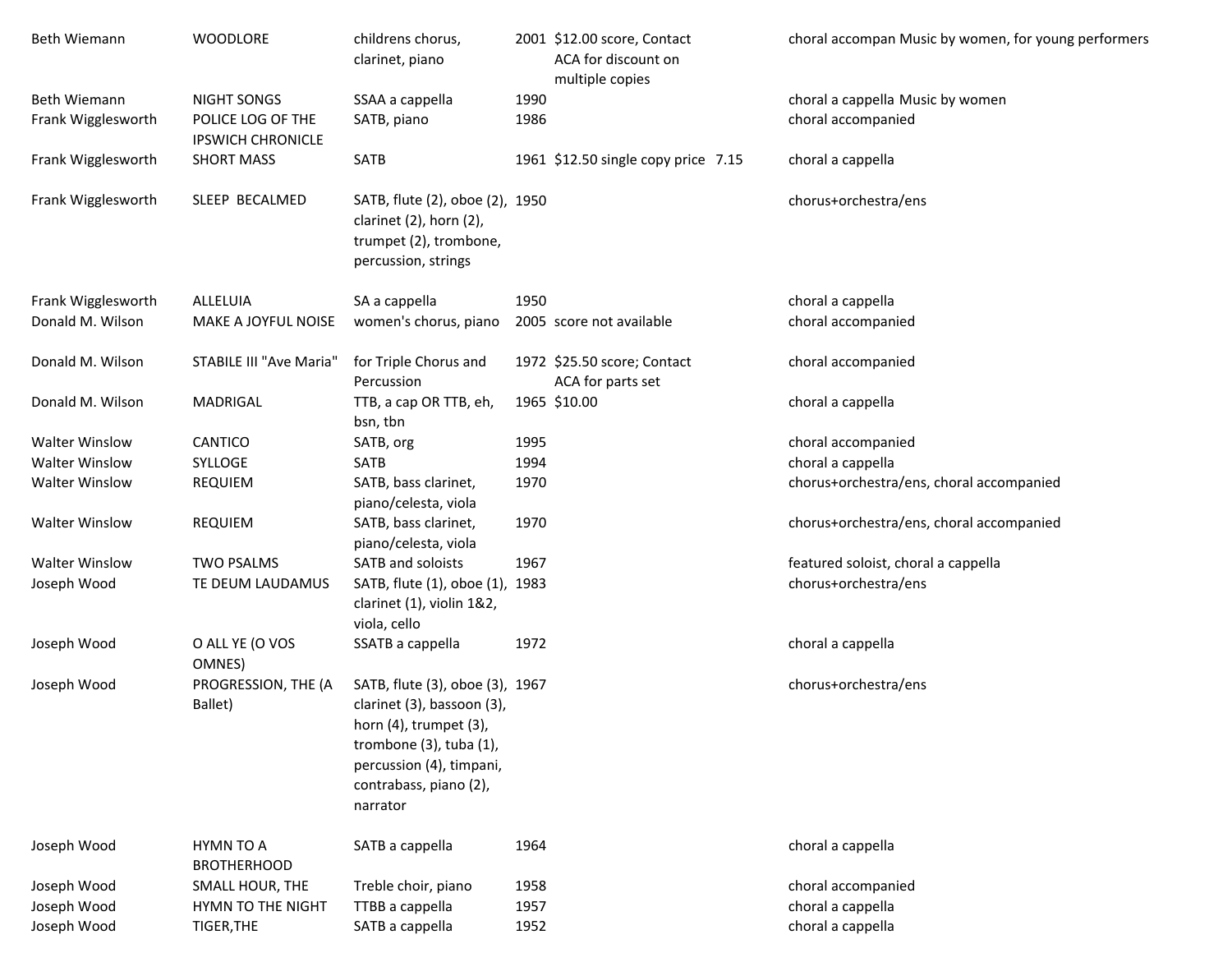| Beth Wiemann          | <b>WOODLORE</b>                               | childrens chorus,<br>clarinet, piano                                                                                                                                                       |      | 2001 \$12.00 score, Contact<br>ACA for discount on<br>multiple copies | choral accompan Music by women, for young performers |
|-----------------------|-----------------------------------------------|--------------------------------------------------------------------------------------------------------------------------------------------------------------------------------------------|------|-----------------------------------------------------------------------|------------------------------------------------------|
| <b>Beth Wiemann</b>   | <b>NIGHT SONGS</b>                            | SSAA a cappella                                                                                                                                                                            | 1990 |                                                                       | choral a cappella Music by women                     |
| Frank Wigglesworth    | POLICE LOG OF THE<br><b>IPSWICH CHRONICLE</b> | SATB, piano                                                                                                                                                                                | 1986 |                                                                       | choral accompanied                                   |
| Frank Wigglesworth    | <b>SHORT MASS</b>                             | <b>SATB</b>                                                                                                                                                                                |      | 1961 \$12.50 single copy price 7.15                                   | choral a cappella                                    |
| Frank Wigglesworth    | SLEEP BECALMED                                | SATB, flute (2), oboe (2), 1950<br>clarinet (2), horn (2),<br>trumpet (2), trombone,<br>percussion, strings                                                                                |      |                                                                       | chorus+orchestra/ens                                 |
| Frank Wigglesworth    | ALLELUIA                                      | SA a cappella                                                                                                                                                                              | 1950 |                                                                       | choral a cappella                                    |
| Donald M. Wilson      | MAKE A JOYFUL NOISE                           | women's chorus, piano                                                                                                                                                                      |      | 2005 score not available                                              | choral accompanied                                   |
| Donald M. Wilson      | STABILE III "Ave Maria"                       | for Triple Chorus and<br>Percussion                                                                                                                                                        |      | 1972 \$25.50 score; Contact<br>ACA for parts set                      | choral accompanied                                   |
| Donald M. Wilson      | MADRIGAL                                      | TTB, a cap OR TTB, eh,<br>bsn, tbn                                                                                                                                                         |      | 1965 \$10.00                                                          | choral a cappella                                    |
| <b>Walter Winslow</b> | CANTICO                                       | SATB, org                                                                                                                                                                                  | 1995 |                                                                       | choral accompanied                                   |
| <b>Walter Winslow</b> | SYLLOGE                                       | SATB                                                                                                                                                                                       | 1994 |                                                                       | choral a cappella                                    |
| <b>Walter Winslow</b> | <b>REQUIEM</b>                                | SATB, bass clarinet,<br>piano/celesta, viola                                                                                                                                               | 1970 |                                                                       | chorus+orchestra/ens, choral accompanied             |
| <b>Walter Winslow</b> | <b>REQUIEM</b>                                | SATB, bass clarinet,<br>piano/celesta, viola                                                                                                                                               | 1970 |                                                                       | chorus+orchestra/ens, choral accompanied             |
| <b>Walter Winslow</b> | <b>TWO PSALMS</b>                             | SATB and soloists                                                                                                                                                                          | 1967 |                                                                       | featured soloist, choral a cappella                  |
| Joseph Wood           | TE DEUM LAUDAMUS                              | SATB, flute (1), oboe (1), 1983<br>clarinet (1), violin 1&2,<br>viola, cello                                                                                                               |      |                                                                       | chorus+orchestra/ens                                 |
| Joseph Wood           | O ALL YE (O VOS<br>OMNES)                     | SSATB a cappella                                                                                                                                                                           | 1972 |                                                                       | choral a cappella                                    |
| Joseph Wood           | PROGRESSION, THE (A<br>Ballet)                | SATB, flute (3), oboe (3), 1967<br>clarinet (3), bassoon (3),<br>horn $(4)$ , trumpet $(3)$ ,<br>trombone (3), tuba (1),<br>percussion (4), timpani,<br>contrabass, piano (2),<br>narrator |      |                                                                       | chorus+orchestra/ens                                 |
| Joseph Wood           | HYMN TO A<br><b>BROTHERHOOD</b>               | SATB a cappella                                                                                                                                                                            | 1964 |                                                                       | choral a cappella                                    |
| Joseph Wood           | SMALL HOUR, THE                               | Treble choir, piano                                                                                                                                                                        | 1958 |                                                                       | choral accompanied                                   |
| Joseph Wood           | HYMN TO THE NIGHT                             | TTBB a cappella                                                                                                                                                                            | 1957 |                                                                       | choral a cappella                                    |
| Joseph Wood           | TIGER, THE                                    | SATB a cappella                                                                                                                                                                            | 1952 |                                                                       | choral a cappella                                    |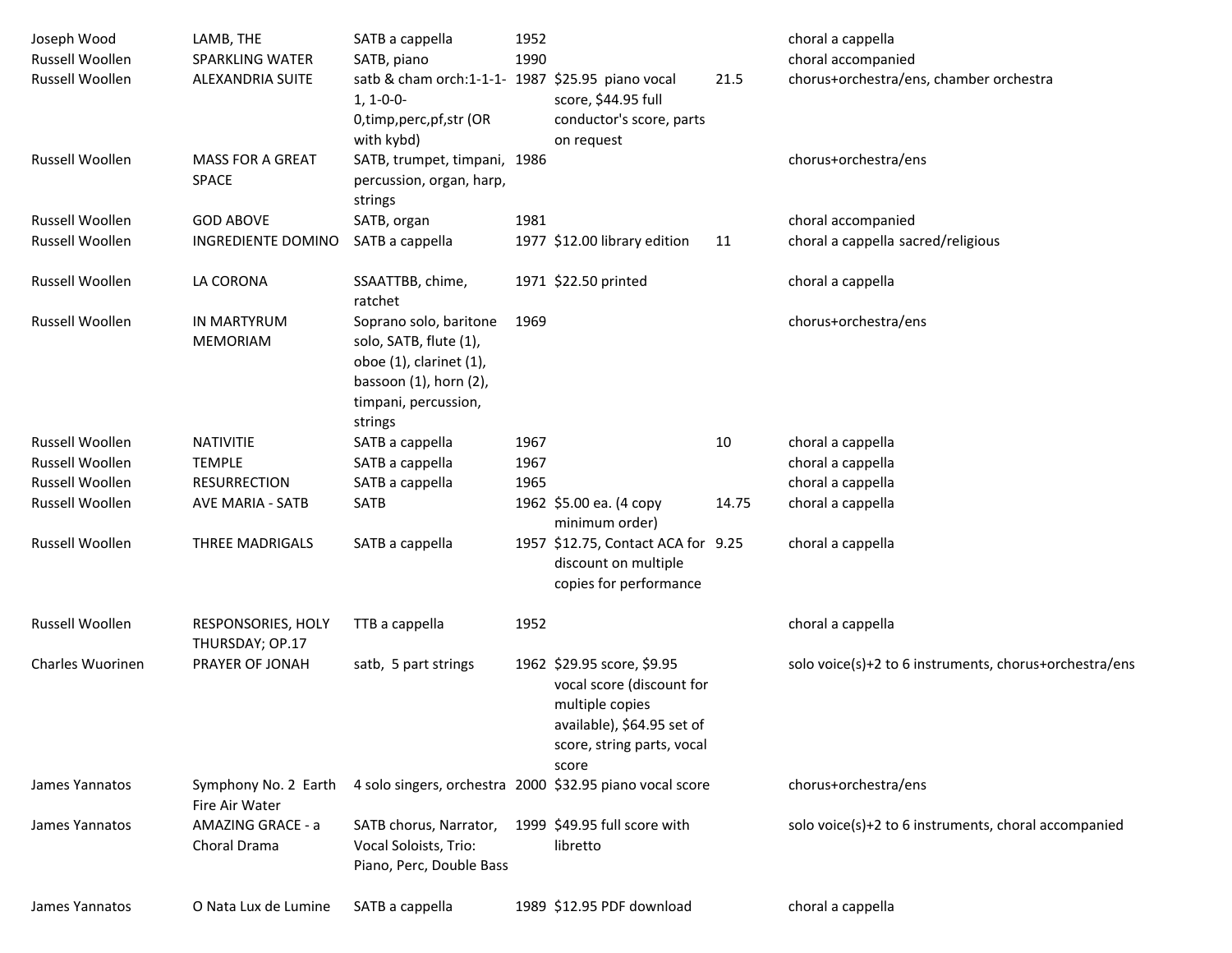| Joseph Wood<br>Russell Woollen | LAMB, THE<br><b>SPARKLING WATER</b>    | SATB a cappella                                                                                                                                | 1952<br>1990 |                                                                                                                                                 |       | choral a cappella                                             |
|--------------------------------|----------------------------------------|------------------------------------------------------------------------------------------------------------------------------------------------|--------------|-------------------------------------------------------------------------------------------------------------------------------------------------|-------|---------------------------------------------------------------|
| Russell Woollen                | <b>ALEXANDRIA SUITE</b>                | SATB, piano<br>satb & cham orch:1-1-1- 1987 \$25.95 piano vocal<br>$1, 1 - 0 - 0 -$<br>0,timp,perc,pf,str (OR<br>with kybd)                    |              | score, \$44.95 full<br>conductor's score, parts<br>on request                                                                                   | 21.5  | choral accompanied<br>chorus+orchestra/ens, chamber orchestra |
| Russell Woollen                | <b>MASS FOR A GREAT</b><br>SPACE       | SATB, trumpet, timpani, 1986<br>percussion, organ, harp,<br>strings                                                                            |              |                                                                                                                                                 |       | chorus+orchestra/ens                                          |
| <b>Russell Woollen</b>         | <b>GOD ABOVE</b>                       | SATB, organ                                                                                                                                    | 1981         |                                                                                                                                                 |       | choral accompanied                                            |
| Russell Woollen                | INGREDIENTE DOMINO                     | SATB a cappella                                                                                                                                |              | 1977 \$12.00 library edition                                                                                                                    | 11    | choral a cappella sacred/religious                            |
| Russell Woollen                | LA CORONA                              | SSAATTBB, chime,<br>ratchet                                                                                                                    |              | 1971 \$22.50 printed                                                                                                                            |       | choral a cappella                                             |
| Russell Woollen                | <b>IN MARTYRUM</b><br><b>MEMORIAM</b>  | Soprano solo, baritone<br>solo, SATB, flute (1),<br>oboe (1), clarinet (1),<br>bassoon $(1)$ , horn $(2)$ ,<br>timpani, percussion,<br>strings | 1969         |                                                                                                                                                 |       | chorus+orchestra/ens                                          |
| Russell Woollen                | <b>NATIVITIE</b>                       | SATB a cappella                                                                                                                                | 1967         |                                                                                                                                                 | 10    | choral a cappella                                             |
| Russell Woollen                | <b>TEMPLE</b>                          | SATB a cappella                                                                                                                                | 1967         |                                                                                                                                                 |       | choral a cappella                                             |
| Russell Woollen                | <b>RESURRECTION</b>                    | SATB a cappella                                                                                                                                | 1965         |                                                                                                                                                 |       | choral a cappella                                             |
| Russell Woollen                | <b>AVE MARIA - SATB</b>                | SATB                                                                                                                                           |              | 1962 \$5.00 ea. (4 copy<br>minimum order)                                                                                                       | 14.75 | choral a cappella                                             |
| Russell Woollen                | THREE MADRIGALS                        | SATB a cappella                                                                                                                                |              | 1957 \$12.75, Contact ACA for 9.25<br>discount on multiple<br>copies for performance                                                            |       | choral a cappella                                             |
| Russell Woollen                | RESPONSORIES, HOLY<br>THURSDAY; OP.17  | TTB a cappella                                                                                                                                 | 1952         |                                                                                                                                                 |       | choral a cappella                                             |
| Charles Wuorinen               | PRAYER OF JONAH                        | satb, 5 part strings                                                                                                                           |              | 1962 \$29.95 score, \$9.95<br>vocal score (discount for<br>multiple copies<br>available), \$64.95 set of<br>score, string parts, vocal<br>score |       | solo voice(s)+2 to 6 instruments, chorus+orchestra/ens        |
| James Yannatos                 | Symphony No. 2 Earth<br>Fire Air Water | 4 solo singers, orchestra 2000 \$32.95 piano vocal score                                                                                       |              |                                                                                                                                                 |       | chorus+orchestra/ens                                          |
| James Yannatos                 | AMAZING GRACE - a<br>Choral Drama      | SATB chorus, Narrator,<br>Vocal Soloists, Trio:<br>Piano, Perc, Double Bass                                                                    |              | 1999 \$49.95 full score with<br>libretto                                                                                                        |       | solo voice(s)+2 to 6 instruments, choral accompanied          |
| James Yannatos                 | O Nata Lux de Lumine                   | SATB a cappella                                                                                                                                |              | 1989 \$12.95 PDF download                                                                                                                       |       | choral a cappella                                             |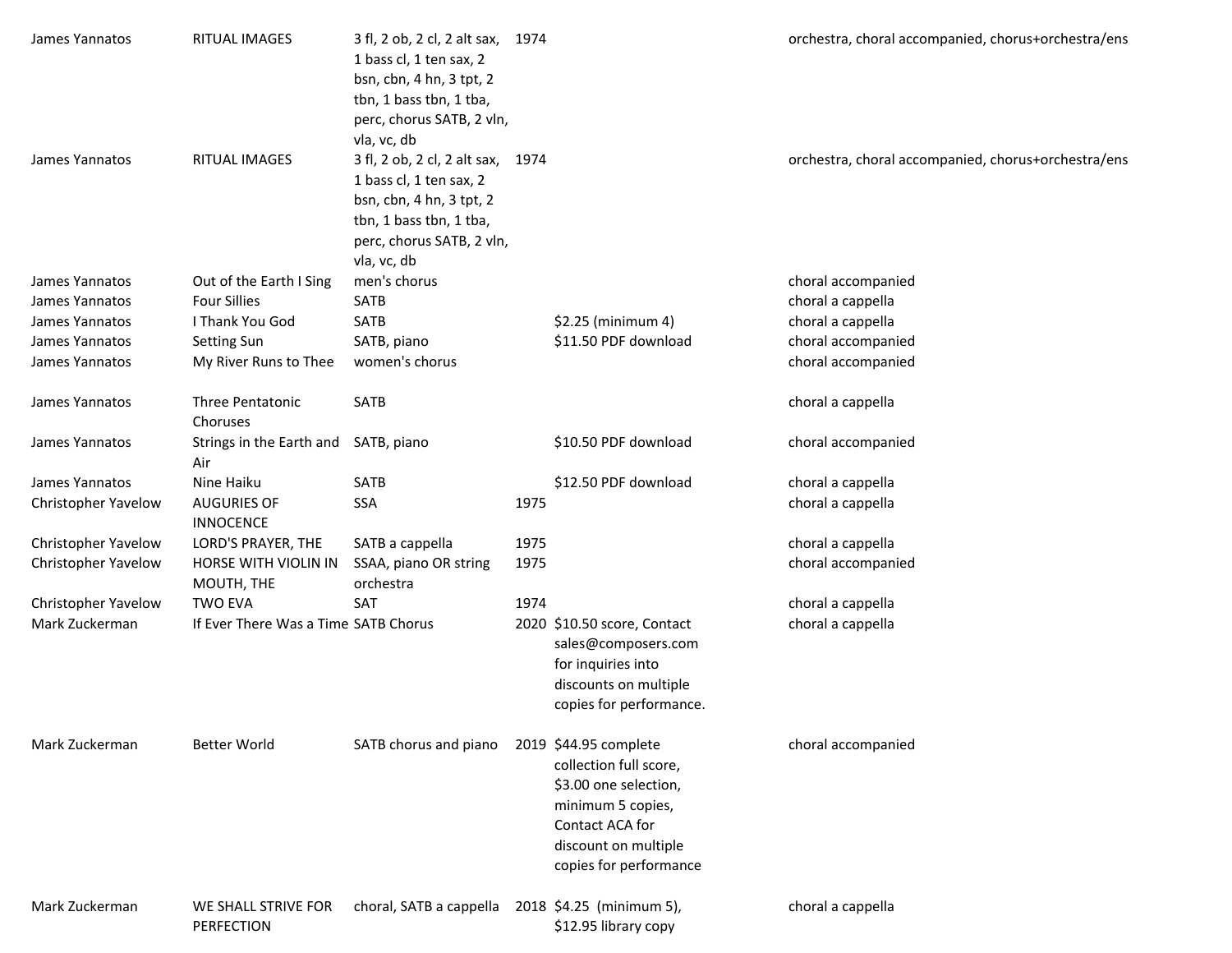| James Yannatos      | RITUAL IMAGES                               | 3 fl, 2 ob, 2 cl, 2 alt sax, 1974<br>1 bass cl, 1 ten sax, 2<br>bsn, cbn, 4 hn, 3 tpt, 2<br>tbn, 1 bass tbn, 1 tba,<br>perc, chorus SATB, 2 vln,<br>vla, vc, db |      |                                                                                                                                                                    | orchestra, choral accompanied, chorus+orchestra/ens |
|---------------------|---------------------------------------------|-----------------------------------------------------------------------------------------------------------------------------------------------------------------|------|--------------------------------------------------------------------------------------------------------------------------------------------------------------------|-----------------------------------------------------|
| James Yannatos      | RITUAL IMAGES                               | 3 fl, 2 ob, 2 cl, 2 alt sax, 1974<br>1 bass cl, 1 ten sax, 2<br>bsn, cbn, 4 hn, 3 tpt, 2<br>tbn, 1 bass tbn, 1 tba,<br>perc, chorus SATB, 2 vln,<br>vla, vc, db |      |                                                                                                                                                                    | orchestra, choral accompanied, chorus+orchestra/ens |
| James Yannatos      | Out of the Earth I Sing                     | men's chorus                                                                                                                                                    |      |                                                                                                                                                                    | choral accompanied                                  |
| James Yannatos      | <b>Four Sillies</b>                         | SATB                                                                                                                                                            |      |                                                                                                                                                                    | choral a cappella                                   |
| James Yannatos      | I Thank You God                             | SATB                                                                                                                                                            |      | \$2.25 (minimum 4)                                                                                                                                                 | choral a cappella                                   |
| James Yannatos      | Setting Sun                                 | SATB, piano                                                                                                                                                     |      | \$11.50 PDF download                                                                                                                                               | choral accompanied                                  |
| James Yannatos      | My River Runs to Thee                       | women's chorus                                                                                                                                                  |      |                                                                                                                                                                    | choral accompanied                                  |
| James Yannatos      | Three Pentatonic<br>Choruses                | SATB                                                                                                                                                            |      |                                                                                                                                                                    | choral a cappella                                   |
| James Yannatos      | Strings in the Earth and SATB, piano<br>Air |                                                                                                                                                                 |      | \$10.50 PDF download                                                                                                                                               | choral accompanied                                  |
| James Yannatos      | Nine Haiku                                  | SATB                                                                                                                                                            |      | \$12.50 PDF download                                                                                                                                               | choral a cappella                                   |
| Christopher Yavelow | <b>AUGURIES OF</b><br><b>INNOCENCE</b>      | SSA                                                                                                                                                             | 1975 |                                                                                                                                                                    | choral a cappella                                   |
| Christopher Yavelow | LORD'S PRAYER, THE                          | SATB a cappella                                                                                                                                                 | 1975 |                                                                                                                                                                    | choral a cappella                                   |
| Christopher Yavelow | HORSE WITH VIOLIN IN<br>MOUTH, THE          | SSAA, piano OR string<br>orchestra                                                                                                                              | 1975 |                                                                                                                                                                    | choral accompanied                                  |
| Christopher Yavelow | <b>TWO EVA</b>                              | SAT                                                                                                                                                             | 1974 |                                                                                                                                                                    | choral a cappella                                   |
| Mark Zuckerman      | If Ever There Was a Time SATB Chorus        |                                                                                                                                                                 |      | 2020 \$10.50 score, Contact<br>sales@composers.com<br>for inquiries into<br>discounts on multiple<br>copies for performance.                                       | choral a cappella                                   |
| Mark Zuckerman      | <b>Better World</b>                         | SATB chorus and piano                                                                                                                                           |      | 2019 \$44.95 complete<br>collection full score,<br>\$3.00 one selection,<br>minimum 5 copies,<br>Contact ACA for<br>discount on multiple<br>copies for performance | choral accompanied                                  |
| Mark Zuckerman      | WE SHALL STRIVE FOR<br>PERFECTION           | choral, SATB a cappella                                                                                                                                         |      | 2018 \$4.25 (minimum 5),<br>\$12.95 library copy                                                                                                                   | choral a cappella                                   |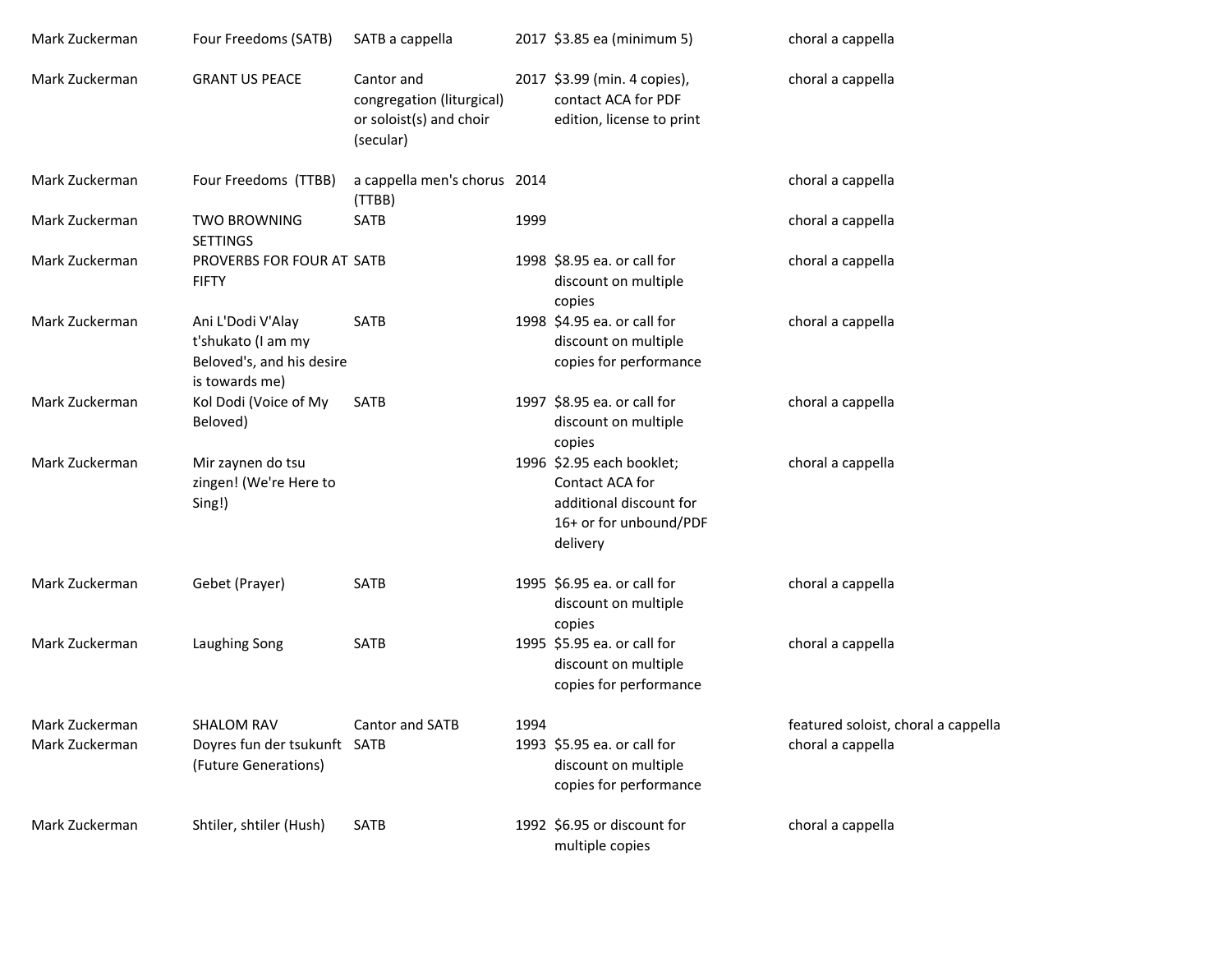| Mark Zuckerman                   | Four Freedoms (SATB)                                                                   | SATB a cappella                                                                 |      | 2017 \$3.85 ea (minimum 5)                                                                                    | choral a cappella                                        |
|----------------------------------|----------------------------------------------------------------------------------------|---------------------------------------------------------------------------------|------|---------------------------------------------------------------------------------------------------------------|----------------------------------------------------------|
| Mark Zuckerman                   | <b>GRANT US PEACE</b>                                                                  | Cantor and<br>congregation (liturgical)<br>or soloist(s) and choir<br>(secular) |      | 2017 \$3.99 (min. 4 copies),<br>contact ACA for PDF<br>edition, license to print                              | choral a cappella                                        |
| Mark Zuckerman                   | Four Freedoms (TTBB)                                                                   | a cappella men's chorus 2014<br>(TTBB)                                          |      |                                                                                                               | choral a cappella                                        |
| Mark Zuckerman                   | <b>TWO BROWNING</b><br><b>SETTINGS</b>                                                 | SATB                                                                            | 1999 |                                                                                                               | choral a cappella                                        |
| Mark Zuckerman                   | PROVERBS FOR FOUR AT SATB<br><b>FIFTY</b>                                              |                                                                                 |      | 1998 \$8.95 ea. or call for<br>discount on multiple<br>copies                                                 | choral a cappella                                        |
| Mark Zuckerman                   | Ani L'Dodi V'Alay<br>t'shukato (I am my<br>Beloved's, and his desire<br>is towards me) | SATB                                                                            |      | 1998 \$4.95 ea. or call for<br>discount on multiple<br>copies for performance                                 | choral a cappella                                        |
| Mark Zuckerman                   | Kol Dodi (Voice of My<br>Beloved)                                                      | SATB                                                                            |      | 1997 \$8.95 ea. or call for<br>discount on multiple<br>copies                                                 | choral a cappella                                        |
| Mark Zuckerman                   | Mir zaynen do tsu<br>zingen! (We're Here to<br>Sing!)                                  |                                                                                 |      | 1996 \$2.95 each booklet;<br>Contact ACA for<br>additional discount for<br>16+ or for unbound/PDF<br>delivery | choral a cappella                                        |
| Mark Zuckerman                   | Gebet (Prayer)                                                                         | SATB                                                                            |      | 1995 \$6.95 ea. or call for<br>discount on multiple<br>copies                                                 | choral a cappella                                        |
| Mark Zuckerman                   | Laughing Song                                                                          | SATB                                                                            |      | 1995 \$5.95 ea. or call for<br>discount on multiple<br>copies for performance                                 | choral a cappella                                        |
| Mark Zuckerman<br>Mark Zuckerman | SHALOM RAV<br>Doyres fun der tsukunft SATB<br>(Future Generations)                     | Cantor and SATB                                                                 | 1994 | 1993 \$5.95 ea. or call for<br>discount on multiple<br>copies for performance                                 | featured soloist, choral a cappella<br>choral a cappella |
| Mark Zuckerman                   | Shtiler, shtiler (Hush)                                                                | <b>SATB</b>                                                                     |      | 1992 \$6.95 or discount for<br>multiple copies                                                                | choral a cappella                                        |